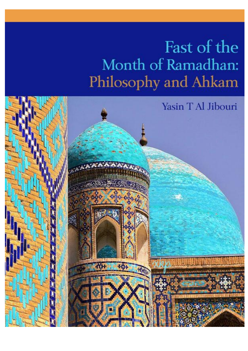### Fast of the Month of Ramadhan: Philosophy and Ahkam

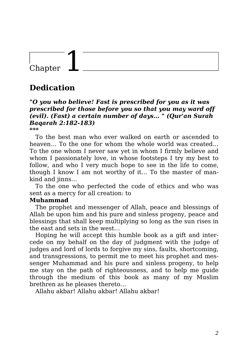### Chapter

### **Dedication**

#### *"O you who believe! Fast is prescribed for you as it was prescribed for those before you so that you may ward off (evil). (Fast) a certain number of days… " (Qur'an Surah Baqarah 2:182-183)*

*\*\*\**

To the best man who ever walked on earth or ascended to heaven… To the one for whom the whole world was created… To the one whom I never saw yet in whom I firmly believe and whom I passionately love, in whose footsteps I try my best to follow, and who I very much hope to see in the life to come, though I know I am not worthy of it… To the master of mankind and jinns…

To the one who perfected the code of ethics and who was sent as a mercy for all creation: to

#### **Muhammad**

The prophet and messenger of Allah, peace and blessings of Allah be upon him and his pure and sinless progeny, peace and blessings that shall keep multiplying so long as the sun rises in the east and sets in the west…

Hoping he will accept this humble book as a gift and intercede on my behalf on the day of judgment with the judge of judges and lord of lords to forgive my sins, faults, shortcoming, and transgressions, to permit me to meet his prophet and messenger Muhammad and his pure and sinless progeny, to help me stay on the path of righteousness, and to help me guide through the medium of this book as many of my Muslim brethren as he pleases thereto…

Allahu akbar! Allahu akbar! Allahu akbar!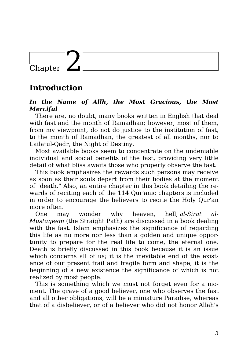### Chapter  $\blacktriangle$

### **Introduction**

#### *In the Name of Allh, the Most Gracious, the Most Merciful*

There are, no doubt, many books written in English that deal with fast and the month of Ramadhan: however, most of them. from my viewpoint, do not do justice to the institution of fast, to the month of Ramadhan, the greatest of all months, nor to Lailatul-Qadr, the Night of Destiny.

Most available books seem to concentrate on the undeniable individual and social benefits of the fast, providing very little detail of what bliss awaits those who properly observe the fast.

This book emphasizes the rewards such persons may receive as soon as their souls depart from their bodies at the moment of "death." Also, an entire chapter in this book detailing the rewards of reciting each of the 114 Qur'anic chapters is included in order to encourage the believers to recite the Holy Qur'an more often.

One may wonder why heaven, hell, *al-Sirat al-Mustaqeem* (the Straight Path) are discussed in a book dealing with the fast. Islam emphasizes the significance of regarding this life as no more nor less than a golden and unique opportunity to prepare for the real life to come, the eternal one. Death is briefly discussed in this book because it is an issue which concerns all of us; it is the inevitable end of the existence of our present frail and fragile form and shape; it is the beginning of a new existence the significance of which is not realized by most people.

This is something which we must not forget even for a moment. The grave of a good believer, one who observes the fast and all other obligations, will be a miniature Paradise, whereas that of a disbeliever, or of a believer who did not honor Allah's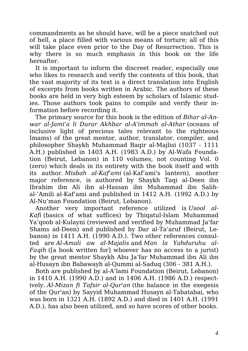commandments as he should have, will be a piece snatched out of hell, a place filled with various means of torture; all of this will take place even prior to the Day of Resurrection. This is why there is so much emphasis in this book on the life hereafter.

It is important to inform the discreet reader, especially one who likes to research and verify the contents of this book, that the vast majority of its text is a direct translation into English of excerpts from books written in Arabic. The authors of these books are held in very high esteem by scholars of Islamic studies. Those authors took pains to compile and verify their information before recording it.

The primary source for this book is the edition of *Bihar al-Anwar al-Jami'a li Durar Akhbar al-A'immah al-Athar* (oceans of inclusive light of precious tales relevant to the righteous Imams) of the great mentor, author, translator, compiler, and philosopher Shaykh Muhammad Baqir al-Majlisi (1037 - 1111 A.H.) published in 1403 A.H. (1983 A.D.) by Al-Wafa Foundation (Beirut, Lebanon) in 110 volumes, not counting Vol. 0 (zero) which deals in its entirety with the book itself and with its author. *Misbah al-Kaf'ami* (al-Kaf'ami's lantern), another major reference, is authored by Shaykh Taqi al-Deen ibn Ibrahim ibn Ali ibn al-Hassan ibn Muhammad ibn Salihal-'Amili al-Kaf'ami and published in 1412 A.H. (1992 A.D.) by Al-Nu'man Foundation (Beirut, Lebanon).

Another very important reference utilized is *Usool al-Kafi* (basics of what suffices) by Thiqatul-Islam Muhammad Ya'qoob al-Kulayni (reviewed and verified by Muhammad Ja'far Shams ad-Deen) and published by Dar al-Ta'aruf (Beirut, Lebanon) in 1411 A.H. (1990 A.D.). Two other references consulted are *Al-Amali aw al-Majalis* and *Man la Yahduruhu al-Faqih* ([a book written for] whoever has no access to a jurist) by the great mentor Shaykh Abu Ja'far Muhammad ibn Ali ibn al-Husayn ibn Babawayh al-Qummi al-Saduq (306 - 381 A.H.).

Both are published by al-A'lami Foundation (Beirut, Lebanon) in 1410 A.H. (1990 A.D.) and in 1406 A.H. (1986 A.D.) respectively. *Al-Mizan fi Tafsir al-Qur'an* (the balance in the exegesis of the Qur'an) by Sayyid Muhammad Husayn al-Tabatabai, who was born in 1321 A.H. (1892 A.D.) and died in 1401 A.H. (1991 A.D.), has also been utilized, and so have scores of other books.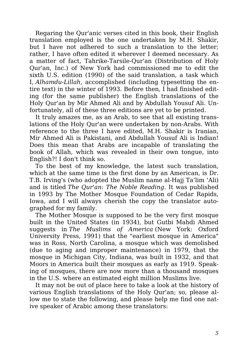Regaring the Qur'anic verses cited in this book, their English translation employed is the one undertaken by M.H. Shakir, but I have not adhered to such a translation to the letter; rather, I have often edited it wherever I deemed necessary. As a matter of fact, Tahrike-Tarsile-Qur'an (Distribution of Holy Qur'an, Inc.) of New York had commissioned me to edit the sixth U.S. edition (1990) of the said translation, a task which I, *Alhamdu-Lillah*, accomplished (including typesetting the entire text) in the winter of 1993. Before then, I had finished editing (for the same publisher) the English translations of the Holy Qur'an by Mir Ahmed Ali and by Abdullah Yousuf Ali. Unfortunately, all of these three editions are yet to be printed.

It truly amazes me, as an Arab, to see that all existing translations of the Holy Qur'an were undertaken by non-Arabs. With reference to the three I have edited, M.H. Shakir is Iranian, Mir Ahmed Ali is Pakistani, and Abdullah Yousuf Ali is Indian! Does this mean that Arabs are incapable of translating the book of Allah, which was revealed in their own tongue, into English?! I don't think so.

To the best of my knowledge, the latest such translation, which at the same time is the first done by an American, is Dr. T.B. Irving's (who adopted the Muslim name al-Hajj Ta'lim 'Ali) and is titled *The Qur'an: The Noble Reading*. It was published in 1993 by The Mother Mosque Foundation of Cedar Rapids, Iowa, and I will always cherish the copy the translator autographed for my family.

The Mother Mosque is supposed to be the very first mosque built in the United States (in 1934), but Gutbi Mahdi Ahmed suggests in *The Muslims of America* (New York: Oxford University Press, 1991) that the "earliest mosque in America" was in Ross, North Carolina, a mosque which was demolished (due to aging and improper maintenance) in 1979, that the mosque in Michigan City, Indiana, was built in 1932, and that Moors in America built their mosques as early as 1919. Speaking of mosques, there are now more than a thousand mosques in the U.S. where an estimated eight million Muslims live.

It may not be out of place here to take a look at the history of various English translations of the Holy Qur'an; so, please allow me to state the following, and please help me find one native speaker of Arabic among these translators: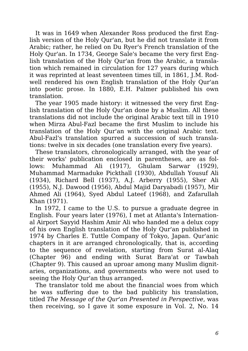It was in 1649 when Alexander Ross produced the first English version of the Holy Qur'an, but he did not translate it from Arabic; rather, he relied on Du Ryer's French translation of the Holy Qur'an. In 1734, George Sale's became the very first English translation of the Holy Qur'an from the Arabic, a translation which remained in circulation for 127 years during which it was reprinted at least seventeen times till, in 1861, J.M. Rodwell rendered his own English translation of the Holy Qur'an into poetic prose. In 1880, E.H. Palmer published his own translation.

The year 1905 made history: it witnessed the very first English translation of the Holy Qur'an done by a Muslim. All these translations did not include the original Arabic text till in 1910 when Mirza Abul-Fazl became the first Muslim to include his translation of the Holy Qur'an with the original Arabic text. Abul-Fazl's translation spurred a succession of such translations: twelve in six decades (one translation every five years).

These translators, chronologically arranged, with the year of their works' publication enclosed in parentheses, are as follows: Muhammad Ali (1917), Ghulam Sarwar (1929), Muhammad Marmaduke Pickthall (1930), Abdullah Yousuf Ali (1934), Richard Bell (1937), A.J. Arberry (1955), Sher Ali (1955), N.J. Dawood (1956), Abdul Majid Daryabadi (1957), Mir Ahmed Ali (1964), Syed Abdul Lateef (1968), and Zafarullah Khan (1971).

In 1972, I came to the U.S. to pursue a graduate degree in English. Four years later (1976), I met at Atlanta's International Airport Sayyid Hashim Amir Ali who handed me a delux copy of his own English translation of the Holy Qur'an published in 1974 by Charles E. Tuttle Company of Tokyo, Japan. Qur'anic chapters in it are arranged chronologically, that is, according to the sequence of revelation, starting from Surat al-Alaq (Chapter 96) and ending with Surat Bara'at or Tawbah (Chapter 9). This caused an uproar among many Muslim dignitaries, organizations, and governments who were not used to seeing the Holy Qur'an thus arranged.

The translator told me about the financial woes from which he was suffering due to the bad publicity his translation, titled *The Message of the Qur'an Presented in Perspective*, was then receiving, so I gave it some exposure in Vol. 2, No. 14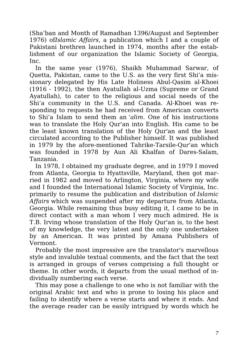(Sha'ban and Month of Ramadhan 1396/August and September 1976) of*Islamic Affairs*, a publication which I and a couple of Pakistani brethren launched in 1974, months after the establishment of our organization the Islamic Society of Georgia, Inc.

In the same year (1976), Shaikh Muhammad Sarwar, of Quetta, Pakistan, came to the U.S. as the very first Shi'a missionary delegated by His Late Holiness Abul-Qasim al-Khoei (1916 - 1992), the then Ayatullah al-Uzma (Supreme or Grand Ayatullah), to cater to the religious and social needs of the Shi'a community in the U.S. and Canada. Al-Khoei was responding to requests he had received from American converts to Shi'a Islam to send them an *'alim*. One of his instructions was to translate the Holy Qur'an into English. His came to be the least known translation of the Holy Qur'an and the least circulated according to the Publisher himself. It was published in 1979 by the afore-mentioned Tahrike-Tarsile-Qur'an which was founded in 1978 by Aun Ali Khalfan of Dares-Salam, Tanzania.

In 1978, I obtained my graduate degree, and in 1979 I moved from Atlanta, Georgia to Hyattsville, Maryland, then got married in 1982 and moved to Arlington, Virginia, where my wife and I founded the International Islamic Society of Virginia, Inc. primarily to resume the publication and distribution of *Islamic Affairs* which was suspended after my departure from Atlanta, Georgia. While remaining thus busy editing it, I came to be in direct contact with a man whom I very much admired. He is T.B. Irving whose translation of the Holy Qur'an is, to the best of my knowledge, the very latest and the only one undertaken by an American. It was printed by Amana Publishers of Vermont.

Probably the most impressive are the translator's marvellous style and invaluble textual comments, and the fact that the text is arranged in groups of verses comprising a full thought or theme. In other words, it departs from the usual method of individually numbering each verse.

This may pose a challenge to one who is not familiar with the original Arabic text and who is prone to losing his place and failing to identify where a verse starts and where it ends. And the average reader can be easily intrigued by words which he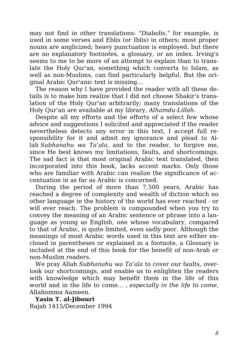may not find in other translations: "Diabolis," for example, is used in some verses and Eblis (or Iblis) in others; most proper nouns are anglicized; heavy punctuation is employed, but there are no explanatory footnotes, a glossary, or an index. Irving's seems to me to be more of an attempt to explain than to translate the Holy Qur'an, something which converts to Islam, as well as non-Muslims, can find particularly helpful. But the original Arabic Qur'anic text is missing…

The reason why I have provided the reader with all these details is to make him realize that I did not choose Shakir's translation of the Holy Qur'an arbitrarily; many translations of the Holy Qur'an are available at my library, *Alhamdu-Lillah*.

Despite all my efforts and the efforts of a select few whose advice and suggestions I solicited and appreciated if the reader nevertheless detects any error in this text, I accept full responsibility for it and admit my ignorance and plead to Allah *Subhanahu wa Ta'ala*, and to the reader, to forgive me, since He best knows my limitations, faults, and shortcomings. The sad fact is that most original Arabic text translated, then incorporated into this book, lacks accent marks. Only those who are familiar with Arabic can realize the significance of accentuation in as far as Arabic is concerned.

During the period of more than 7,500 years, Arabic has reached a degree of complexity and wealth of diction which no other language in the history of the world has ever reached - or will ever reach. The problem is compounded when you try to convey the meaning of an Arabic sentence or phrase into a language as young as English, one whose vocabulary, compared to that of Arabic, is quite limited, even sadly poor. Although the meanings of most Arabic words used in this text are either enclosed in parentheses or explained in a footnote, a Glossary is included at the end of this book for the benefit of non-Arab or non-Muslim readers.

We pray Allah *Subhanahu wa Ta'ala* to cover our faults, overlook our shortcomings, and enable us to enlighten the readers with knowledge which may benefit them in the life of this world and in the life to come… , *especially in the life to come*, Allahomma Aameen.

**Yasin T. al-Jibouri** Rajab 1415/December 1994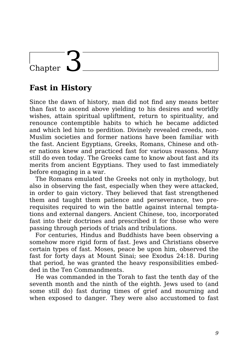## Chapter

### **Fast in History**

Since the dawn of history, man did not find any means better than fast to ascend above yielding to his desires and worldly wishes, attain spiritual upliftment, return to spirituality, and renounce contemptible habits to which he became addicted and which led him to perdition. Divinely revealed creeds, non-Muslim societies and former nations have been familiar with the fast. Ancient Egyptians, Greeks, Romans, Chinese and other nations knew and practiced fast for various reasons. Many still do even today. The Greeks came to know about fast and its merits from ancient Egyptians. They used to fast immediately before engaging in a war.

The Romans emulated the Greeks not only in mythology, but also in observing the fast, especially when they were attacked, in order to gain victory. They believed that fast strengthened them and taught them patience and perseverance, two prerequisites required to win the battle against internal temptations and external dangers. Ancient Chinese, too, incorporated fast into their doctrines and prescribed it for those who were passing through periods of trials and tribulations.

For centuries, Hindus and Buddhists have been observing a somehow more rigid form of fast. Jews and Christians observe certain types of fast. Moses, peace be upon him, observed the fast for forty days at Mount Sinai; see Exodus 24:18. During that period, he was granted the heavy responsibilities embedded in the Ten Commandments.

He was commanded in the Torah to fast the tenth day of the seventh month and the ninth of the eighth. Jews used to (and some still do) fast during times of grief and mourning and when exposed to danger. They were also accustomed to fast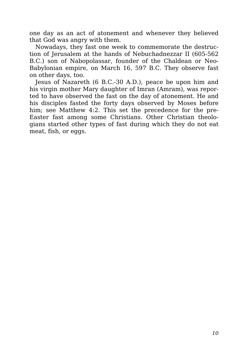one day as an act of atonement and whenever they believed that God was angry with them.

Nowadays, they fast one week to commemorate the destruction of Jerusalem at the hands of Nebuchadnezzar II (605-562 B.C.) son of Nabopolassar, founder of the Chaldean or Neo-Babylonian empire, on March 16, 597 B.C. They observe fast on other days, too.

Jesus of Nazareth (6 B.C.-30 A.D.), peace be upon him and his virgin mother Mary daughter of Imran (Amram), was reported to have observed the fast on the day of atonement. He and his disciples fasted the forty days observed by Moses before him; see Matthew 4:2. This set the precedence for the pre-Easter fast among some Christians. Other Christian theologians started other types of fast during which they do not eat meat, fish, or eggs.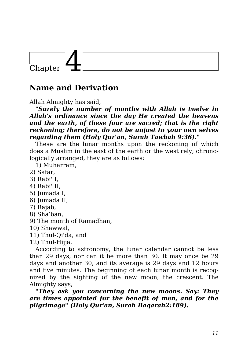## .<br>Chapter

### **Name and Derivation**

Allah Almighty has said,

*"Surely the number of months with Allah is twelve in Allah's ordinance since the day He created the heavens and the earth, of these four are sacred; that is the right reckoning; therefore, do not be unjust to your own selves regarding them (Holy Qur'an, Surah Tawbah 9:36)."*

These are the lunar months upon the reckoning of which does a Muslim in the east of the earth or the west rely; chronologically arranged, they are as follows:

1) Muharram,

- 2) Safar,
- 3) Rabi' I,
- 4) Rabi' II,
- 5) Jumada I,
- 6) Jumada II,
- 7) Rajab,
- 8) Sha'ban,
- 9) The month of Ramadhan,
- 10) Shawwal,
- 11) Thul-Qi'da, and
- 12) Thul-Hijja.

According to astronomy, the lunar calendar cannot be less than 29 days, nor can it be more than 30. It may once be 29 days and another 30, and its average is 29 days and 12 hours and five minutes. The beginning of each lunar month is recognized by the sighting of the new moon, the crescent. The Almighty says,

*"They ask you concerning the new moons. Say: They are times appointed for the benefit of men, and for the pilgrimage" (Holy Qur'an, Surah Baqarah2:189).*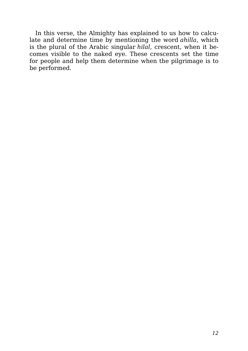In this verse, the Almighty has explained to us how to calculate and determine time by mentioning the word *ahilla*, which is the plural of the Arabic singular *hilal*, crescent, when it becomes visible to the naked eye. These crescents set the time for people and help them determine when the pilgrimage is to be performed.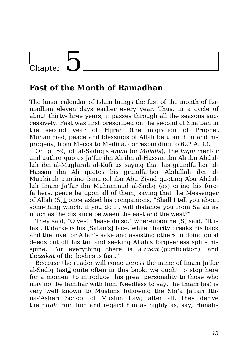### Chapter

### **Fast of the Month of Ramadhan**

The lunar calendar of Islam brings the fast of the month of Ramadhan eleven days earlier every year. Thus, in a cycle of about thirty-three years, it passes through all the seasons successively. Fast was first prescribed on the second of Sha'ban in the second year of Hijrah (the migration of Prophet Muhammad, peace and blessings of Allah be upon him and his progeny, from Mecca to Medina, corresponding to 622 A.D.).

On p. 59, of al-Saduq's *Amali* (or *Majalis*), the *faqih* mentor and author quotes Ja'far ibn Ali ibn al-Hassan ibn Ali ibn Abdullah ibn al-Mughirah al-Kufi as saying that his grandfather al-Hassan ibn Ali quotes his grandfather Abdullah ibn al-Mughirah quoting Isma'eel ibn Abu Ziyad quoting Abu Abdullah Imam Ja'far ibn Muhammad al-Sadiq (as) citing his forefathers, peace be upon all of them, saying that the Messenger of Allah (S)1 once asked his companions, "Shall I tell you about something which, if you do it, will distance you from Satan as much as the distance between the east and the west?"

They said, "O yes! Please do so," whereupon he (S) said, "It is fast. It darkens his [Satan's] face, while charity breaks his back and the love for Allah's sake and assisting others in doing good deeds cut off his tail and seeking Allah's forgiveness splits his spine. For everything there is a *zakat* (purification), and the*zakat* of the bodies is fast."

Because the reader will come across the name of Imam Ja'far al-Sadiq  $(as)2$  quite often in this book, we ought to stop here for a moment to introduce this great personality to those who may not be familiar with him. Needless to say, the Imam (as) is very well known to Muslims following the Shi'a Ja'fari Ithna-'Asheri School of Muslim Law; after all, they derive their *fiqh* from him and regard him as highly as, say, Hanafis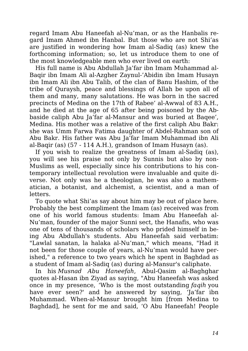regard Imam Abu Haneefah al-Nu'man, or as the Hanbalis regard Imam Ahmed ibn Hanbal. But those who are not Shi'as are justified in wondering how Imam al-Sadiq (as) knew the forthcoming information; so, let us introduce them to one of the most knowledgeable men who ever lived on earth:

His full name is Abu Abdullah Ja'far ibn Imam Muhammad al-Baqir ibn Imam Ali al-Azgher Zaynul-'Abidin ibn Imam Husayn ibn Imam Ali ibn Abu Talib, of the clan of Banu Hashim, of the tribe of Quraysh, peace and blessings of Allah be upon all of them and many, many salutations. He was born in the sacred precincts of Medina on the 17th of Rabee' al-Awwal of 83 A.H., and he died at the age of 65 after being poisoned by the Abbaside caliph Abu Ja'far al-Mansur and was buried at Baqee', Medina. His mother was a relative of the first caliph Abu Bakr: she was Umm Farwa Fatima daughter of Abdel-Rahman son of Abu Bakr. His father was Abu Ja'far Imam Muhammad ibn Ali al-Baqir (as) (57 - 114 A.H.), grandson of Imam Husayn (as).

If you wish to realize the greatness of Imam al-Sadiq (as), you will see his praise not only by Sunnis but also by non-Muslims as well, especially since his contributions to his contemporary intellectual revolution were invaluable and quite diverse. Not only was he a theologian, he was also a mathematician, a botanist, and alchemist, a scientist, and a man of letters.

To quote what Shi'as say about him may be out of place here. Probably the best compliment the Imam (as) received was from one of his world famous students: Imam Abu Haneefah al-Nu'man, founder of the major Sunni sect, the Hanafis, who was one of tens of thousands of scholars who prided himself in being Abu Abdullah's students. Abu Haneefah said verbatim: "Lawlal sanatan, la halaka al-Nu'man," which means, "Had it not been for those couple of years, al-Nu'man would have perished," a reference to two years which he spent in Baghdad as a student of Imam al-Sadiq (as) during al-Mansur's caliphate.

In his *Musnad Abu Haneefah*, Abul-Qasim al-Baghghar quotes al-Hasan ibn Ziyad as saying, "Abu Haneefah was asked once in my presence, 'Who is the most outstanding *faqih* you have ever seen?' and he answered by saying, 'Ja'far ibn Muhammad. When-al-Mansur brought him [from Medina to Baghdad], he sent for me and said, 'O Abu Haneefah! People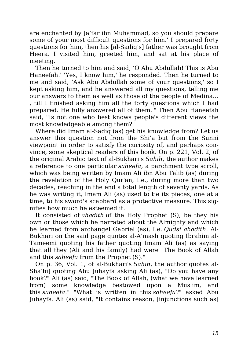are enchanted by Ja'far ibn Muhammad, so you should prepare some of your most difficult questions for him.' I prepared forty questions for him, then his [al-Sadiq's] father was brought from Heera. I visited him, greeted him, and sat at his place of meeting.

Then he turned to him and said, 'O Abu Abdullah! This is Abu Haneefah.' 'Yes, I know him,' he responded. Then he turned to me and said, 'Ask Abu Abdullah some of your questions,' so I kept asking him, and he answered all my questions, telling me our answers to them as well as those of the people of Medina… , till I finished asking him all the forty questions which I had prepared. He fully answered all of them.'" Then Abu Haneefah said, "Is not one who best knows people's different views the most knowledgeable among them?"

Where did Imam al-Sadiq (as) get his knowledge from? Let us answer this question not from the Shi'a but from the Sunni viewpoint in order to satisfy the curiosity of, and perhaps convince, some skeptical readers of this book. On p. 221, Vol. 2, of the original Arabic text of al-Bukhari's *Sahih*, the author makes a reference to one particular *saheefa*, a parchment type scroll, which was being written by Imam Ali ibn Abu Talib (as) during the revelation of the Holy Qur'an, I.e., during more than two decades, reaching in the end a total length of seventy yards. As he was writing it, Imam Ali (as) used to tie its pieces, one at a time, to his sword's scabbard as a protective measure. This signifies how much he esteemed it.

It consisted of *ahadith* of the Holy Prophet (S), be they his own or those which he narrated about the Almighty and which he learned from archangel Gabriel (as), I.e. *Qudsi ahadith*. Al-Bukhari on the said page quotes al-A'mash quoting Ibrahim al-Tameemi quoting his father quoting Imam Ali (as) as saying that all they (Ali and his family) had were "The Book of Allah and this *saheefa* from the Prophet (S)."

On p. 36, Vol. 1, of al-Bukhari's *Sahih*, the author quotes al-Sha'bi] quoting Abu Juhayfa asking Ali (as), "Do you have any book?" Ali (as) said, "The Book of Allah, (what we have learned from) some knowledge bestowed upon a Muslim, and this *saheefa*." "What is written in this *saheefa*?" asked Abu Juhayfa. Ali (as) said, "It contains reason, [injunctions such as]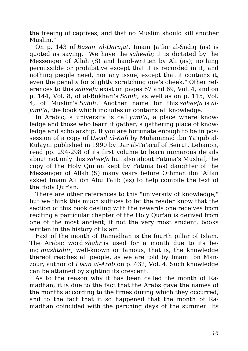the freeing of captives, and that no Muslim should kill another Muslim."

On p. 143 of *Basair al-Darajat*, Imam Ja'far al-Sadiq (as) is quoted as saying, "We have the *saheefa*; it is dictated by the Messenger of Allah (S) and hand-written by Ali (as); nothing permissible or prohibitive except that it is recorded in it, and nothing people need, nor any issue, except that it contains it, even the penalty for slightly scratching one's cheek." Other references to this *saheefa* exist on pages 67 and 69, Vol. 4, and on p. 144, Vol. 8, of al-Bukhari's *Sahih*, as well as on p. 115, Vol. 4, of Muslim's *Sahih*. Another name for this *saheefa* is *aljami'a*, the book which includes or contains all knowledge.

In Arabic, a university is call *jami'a*, a place where knowledge and those who learn it gather, a gathering place of knowledge and scholarship. If you are fortunate enough to be in possession of a copy of *Usool al-Kafi* by Muhammad ibn Ya'qub al-Kulayni published in 1990 by Dar al-Ta'aruf of Beirut, Lebanon, read pp. 294-298 of its first volume to learn numarous details about not only this *saheefa* but also about Fatima's Mushaf, the copy of the Holy Qur'an kept by Fatima (as) daughter of the Messenger of Allah (S) many years before Othman ibn 'Affan asked Imam Ali ibn Abu Talib (as) to help compile the text of the Holy Qur'an.

There are other references to this "university of knowledge," but we think this much suffices to let the reader know that the section of this book dealing with the rewards one receives from reciting a particular chapter of the Holy Qur'an is derived from one of the most ancient, if not the very most ancient, books written in the history of Islam.

Fast of the month of Ramadhan is the fourth pillar of Islam. The Arabic word *shahr* is used for a month due to its being *mushtahir*, well-known or famous, that is, the knowledge thereof reaches all people, as we are told by Imam Ibn Manzour, author of *Lisan al-Arab* on p. 432, Vol. 4. Such knowledge can be attained by sighting its crescent.

As to the reason why it has been called the month of Ramadhan, it is due to the fact that the Arabs gave the names of the months according to the times during which they occurred, and to the fact that it so happened that the month of Ramadhan coincided with the parching days of the summer. Its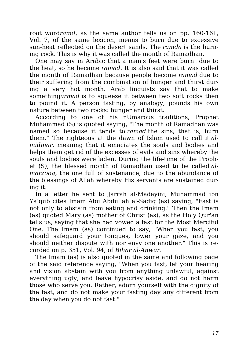root word*ramd*, as the same author tells us on pp. 160-161, Vol. 7, of the same lexicon, means to burn due to excessive sun-heat reflected on the desert sands. The *ramda* is the burning rock. This is why it was called the month of Ramadhan.

One may say in Arabic that a man's feet were burnt due to the heat, so he became *ramad*. It is also said that it was called the month of Ramadhan because people become *ramad* due to their suffering from the combination of hunger and thirst during a very hot month. Arab linguists say that to make something*armad* is to squeeze it between two soft rocks then to pound it. A person fasting, by analogy, pounds his own nature between two rocks: hunger and thirst.

According to one of his nUmarous traditions, Prophet Muhammad (S) is quoted saying, "The month of Ramadhan was named so because it tends to *ramad* the sins, that is, burn them." The righteous at the dawn of Islam used to call it *almidmar*, meaning that it emaciates the souls and bodies and helps them get rid of the excesses of evils and sins whereby the souls and bodies were laden. During the life-time of the Prophet (S), the blessed month of Ramadhan used to be called *almarzooq*, the one full of sustenance, due to the abundance of the blessings of Allah whereby His servants are sustained during it.

In a letter he sent to Jarrah al-Madayini, Muhammad ibn Ya'qub cites Imam Abu Abdullah al-Sadiq (as) saying, "Fast is not only to abstain from eating and drinking." Then the Imam (as) quoted Mary (as) mother of Christ (as), as the Holy Qur'an tells us, saying that she had vowed a fast for the Most Merciful One. The Imam (as) continued to say, "When you fast, you should safeguard your tongues, lower your gaze, and you should neither dispute with nor envy one another." This is recorded on p. 351, Vol. 94, of *Bihar al-Anwar*.

The Imam (as) is also quoted in the same and following page of the said reference saying, "When you fast, let your hearing and vision abstain with you from anything unlawful, against everything ugly, and leave hypocrisy aside, and do not harm those who serve you. Rather, adorn yourself with the dignity of the fast, and do not make your fasting day any different from the day when you do not fast."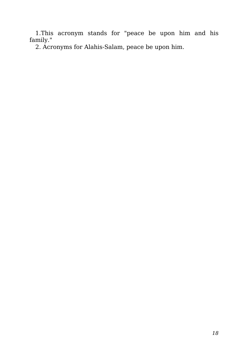1.This acronym stands for "peace be upon him and his family."

2. Acronyms for Alahis-Salam, peace be upon him.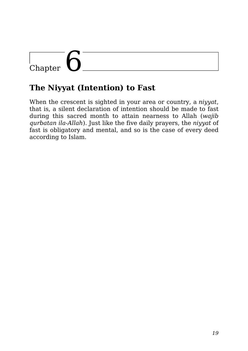# |<br>Chapter

### **The Niyyat (Intention) to Fast**

When the crescent is sighted in your area or country, a *niyyat*, that is, a silent declaration of intention should be made to fast during this sacred month to attain nearness to Allah (*wajib qurbatan ila-Allah*). Just like the five daily prayers, the *niyyat* of fast is obligatory and mental, and so is the case of every deed according to Islam.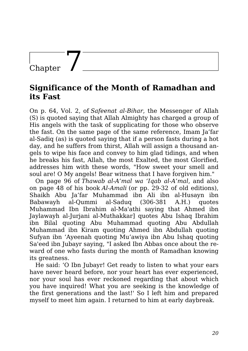### Chapter

#### **Significance of the Month of Ramadhan and its Fast**

On p. 64, Vol. 2, of *Safeenat al-Bihar*, the Messenger of Allah (S) is quoted saying that Allah Almighty has charged a group of His angels with the task of supplicating for those who observe the fast. On the same page of the same reference, Imam Ja'far al-Sadiq (as) is quoted saying that if a person fasts during a hot day, and he suffers from thirst, Allah will assign a thousand angels to wipe his face and convey to him glad tidings, and when he breaks his fast, Allah, the most Exalted, the most Glorified, addresses him with these words, "How sweet your smell and soul are! O My angels! Bear witness that I have forgiven him."

On page 96 of *Thawab al-A'mal wa 'Iqab al-A'mal*, and also on page 48 of his book *Al-Amali* (or pp. 29-32 of old editions), Shaikh Abu Ja'far Muhammad ibn Ali ibn al-Husayn ibn Babawayh al-Qummi al-Saduq (306-381 A.H.) quotes Muhammad Ibn Ibrahim al-Ma'athi saying that Ahmed ibn Jaylawayh al-Jurjani al-Muthakkar] quotes Abu Ishaq Ibrahim ibn Bilal quoting Abu Muhammad quoting Abu Abdullah Muhammad ibn Kiram quoting Ahmed ibn Abdullah quoting Sufyan ibn 'Ayeenah quoting Mu'awiya ibn Abu Ishaq quoting Sa'eed ibn Jubayr saying, "I asked Ibn Abbas once about the reward of one who fasts during the month of Ramadhan knowing its greatness.

He said: 'O Ibn Jubayr! Get ready to listen to what your ears have never heard before, nor your heart has ever experienced, nor your soul has ever reckoned regarding that about which you have inquired! What you are seeking is the knowledge of the first generations and the last!' So I left him and prepared myself to meet him again. I returned to him at early daybreak.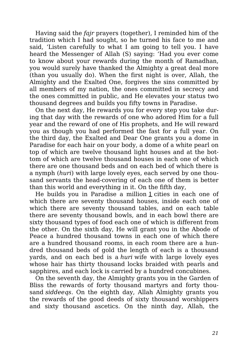Having said the *fajr* prayers (together), I reminded him of the tradition which I had sought, so he turned his face to me and said, 'Listen carefully to what I am going to tell you. I have heard the Messenger of Allah (S) saying: 'Had you ever come to know about your rewards during the month of Ramadhan, you would surely have thanked the Almighty a great deal more (than you usually do). When the first night is over, Allah, the Almighty and the Exalted One, forgives the sins committed by all members of my nation, the ones committed in secrecy and the ones committed in public, and He elevates your status two thousand degrees and builds you fifty towns in Paradise.

On the next day, He rewards you for every step you take during that day with the rewards of one who adored Him for a full year and the reward of one of His prophets, and He will reward you as though you had performed the fast for a full year. On the third day, the Exalted and Dear One grants you a dome in Paradise for each hair on your body, a dome of a white pearl on top of which are twelve thousand light houses and at the bottom of which are twelve thousand houses in each one of which there are one thousand beds and on each bed of which there is a nymph (*huri*) with large lovely eyes, each served by one thousand servants the head-covering of each one of them is better than this world and everything in it. On the fifth day,

He builds you in Paradise a million 1 cities in each one of which there are seventy thousand houses, inside each one of which there are seventy thousand tables, and on each table there are seventy thousand bowls, and in each bowl there are sixty thousand types of food each one of which is different from the other. On the sixth day, He will grant you in the Abode of Peace a hundred thousand towns in each one of which there are a hundred thousand rooms, in each room there are a hundred thousand beds of gold the length of each is a thousand yards, and on each bed is a *huri* wife with large lovely eyes whose hair has thirty thousand locks braided with pearls and sapphires, and each lock is carried by a hundred concubines.

On the seventh day, the Almighty grants you in the Garden of Bliss the rewards of forty thousand martyrs and forty thousand *siddeeqs*. On the eighth day, Allah Almighty grants you the rewards of the good deeds of sixty thousand worshippers and sixty thousand ascetics. On the ninth day, Allah, the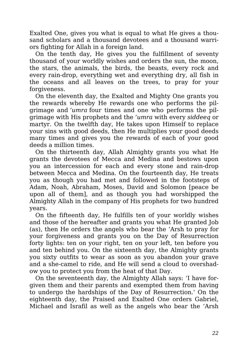Exalted One, gives you what is equal to what He gives a thousand scholars and a thousand devotees and a thousand warriors fighting for Allah in a foreign land.

On the tenth day, He gives you the fulfillment of seventy thousand of your worldly wishes and orders the sun, the moon, the stars, the animals, the birds, the beasts, every rock and every rain-drop, everything wet and everything dry, all fish in the oceans and all leaves on the trees, to pray for your forgiveness.

On the eleventh day, the Exalted and Mighty One grants you the rewards whereby He rewards one who performs the pilgrimage and *'umra* four times and one who performs the pilgrimage with His prophets and the *'umra* with every *siddeeq* or martyr. On the twelfth day, He takes upon Himself to replace your sins with good deeds, then He multiplies your good deeds many times and gives you the rewards of each of your good deeds a million times.

On the thirteenth day, Allah Almighty grants you what He grants the devotees of Mecca and Medina and bestows upon you an intercession for each and every stone and rain-drop between Mecca and Medina. On the fourteenth day, He treats you as though you had met and followed in the footsteps of Adam, Noah, Abraham, Moses, David and Solomon [peace be upon all of them], and as though you had worshipped the Almighty Allah in the company of His prophets for two hundred years.

On the fifteenth day, He fulfills ten of your worldly wishes and those of the hereafter and grants you what He granted Job (as), then He orders the angels who bear the 'Arsh to pray for your forgiveness and grants you on the Day of Resurrection forty lights: ten on your right, ten on your left, ten before you and ten behind you. On the sixteenth day, the Almighty grants you sixty outfits to wear as soon as you abandon your grave and a she-camel to ride, and He will send a cloud to overshadow you to protect you from the heat of that Day.

On the seventeenth day, the Almighty Allah says: 'I have forgiven them and their parents and exempted them from having to undergo the hardships of the Day of Resurrection.' On the eighteenth day, the Praised and Exalted One orders Gabriel, Michael and Israfil as well as the angels who bear the 'Arsh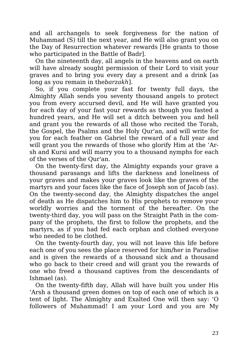and all archangels to seek forgiveness for the nation of Muhammad (S) till the next year, and He will also grant you on the Day of Resurrection whatever rewards [He grants to those who participated in the Battle of Badr].

On the nineteenth day, all angels in the heavens and on earth will have already sought permission of their Lord to visit your graves and to bring you every day a present and a drink [as long as you remain in the*barzakh*].

So, if you complete your fast for twenty full days, the Almighty Allah sends you seventy thousand angels to protect you from every accursed devil, and He will have granted you for each day of your fast your rewards as though you fasted a hundred years, and He will set a ditch between you and hell and grant you the rewards of all those who recited the Torah, the Gospel, the Psalms and the Holy Qur'an, and will write for you for each feather on Gabriel the reward of a full year and will grant you the rewards of those who glorify Him at the 'Arsh and Kursi and will marry you to a thousand nymphs for each of the verses of the Qur'an.

On the twenty-first day, the Almighty expands your grave a thousand parasangs and lifts the darkness and loneliness of your graves and makes your graves look like the graves of the martyrs and your faces like the face of Joseph son of Jacob (as). On the twenty-second day, the Almighty dispatches the angel of death as He dispatches him to His prophets to remove your worldly worries and the torment of the hereafter. On the twenty-third day, you will pass on the Straight Path in the company of the prophets, the first to follow the prophets, and the martyrs, as if you had fed each orphan and clothed everyone who needed to be clothed.

On the twenty-fourth day, you will not leave this life before each one of you sees the place reserved for him/her in Paradise and is given the rewards of a thousand sick and a thousand who go back to their creed and will grant you the rewards of one who freed a thousand captives from the descendants of Ishmael (as).

On the twenty-fifth day, Allah will have built you under His 'Arsh a thousand green domes on top of each one of which is a tent of light. The Almighty and Exalted One will then say: 'O followers of Muhammad! I am your Lord and you are My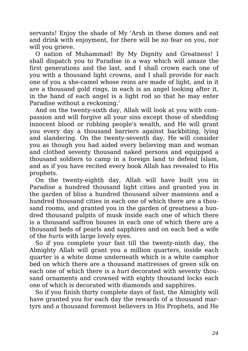servants! Enjoy the shade of My 'Arsh in these domes and eat and drink with enjoyment, for there will be no fear on you, nor will you grieve.

O nation of Muhammad! By My Dignity and Greatness! I shall dispatch you to Paradise in a way which will amaze the first generations and the last, and I shall crown each one of you with a thousand light crowns, and I shall provide for each one of you a she-camel whose reins are made of light, and in it are a thousand gold rings, in each is an angel looking after it, in the hand of each angel is a light rod so that he may enter Paradise without a reckoning.'

And on the twenty-sixth day, Allah will look at you with compassion and will forgive all your sins except those of shedding innocent blood or robbing people's wealth, and He will grant you every day a thousand barriers against backbiting, lying and slandering. On the twenty-seventh day, He will consider you as though you had aided every believing man and woman and clothed seventy thousand naked persons and equipped a thousand soldiers to camp in a foreign land to defend Islam, and as if you have recited every book Allah has revealed to His prophets.

On the twenty-eighth day, Allah will have built you in Paradise a hundred thousand light cities and granted you in the garden of bliss a hundred thousand silver mansions and a hundred thousand cities in each one of which there are a thousand rooms, and granted you in the garden of greatness a hundred thousand pulpits of musk inside each one of which there is a thousand saffron houses in each one of which there are a thousand beds of pearls and sapphires and on each bed a wife of the *huris* with large lovely eyes.

So if you complete your fast till the twenty-ninth day, the Almighty Allah will grant you a million quarters, inside each quarter is a white dome underneath which is a white camphor bed on which there are a thousand mattresses of green silk on each one of which there is a *huri* decorated with seventy thousand ornaments and crowned with eighty thousand locks each one of which is decorated with diamonds and sapphires.

So if you finish thirty complete days of fast, the Almighty will have granted you for each day the rewards of a thousand martyrs and a thousand foremost believers in His Prophets, and He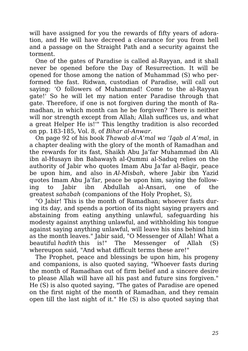will have assigned for you the rewards of fifty years of adoration, and He will have decreed a clearance for you from hell and a passage on the Straight Path and a security against the torment.

One of the gates of Paradise is called al-Rayyan, and it shall never be opened before the Day of Resurrection. It will be opened for those among the nation of Muhammad (S) who performed the fast. Ridwan, custodian of Paradise, will call out saying: 'O followers of Muhammad! Come to the al-Rayyan gate!' So he will let my nation enter Paradise through that gate. Therefore, if one is not forgiven during the month of Ramadhan, in which month can he be forgiven? There is neither will nor strength except from Allah; Allah suffices us, and what a great Helper He is!'" This lengthy tradition is also recorded on pp. 183-185, Vol. 8, of *Bihar al-Anwar*.

On page 92 of his book *Thawab al-A'mal wa 'Iqab al A'mal*, in a chapter dealing with the glory of the month of Ramadhan and the rewards for its fast, Shaikh Abu Ja'far Muhammad ibn Ali ibn al-Husayn ibn Babawayh al-Qummi al-Saduq relies on the authority of Jabir who quotes Imam Abu Ja'far al-Baqir, peace be upon him, and also in *Al-Misbah*, where Jabir ibn Yazid quotes Imam Abu Ja'far, peace be upon him, saying the following to Jabir ibn Abdullah al-Ansari, one of the greatest *sahabah* (companions of the Holy Prophet, S),

"O Jabir! This is the month of Ramadhan; whoever fasts during its day, and spends a portion of its night saying prayers and abstaining from eating anything unlawful, safeguarding his modesty against anything unlawful, and withholding his tongue against saying anything unlawful, will leave his sins behind him as the month leaves." Jabir said, "O Messenger of Allah! What a beautiful *hadith* this is!" The Messenger of Allah (S) whereupon said, "And what difficult terms these are!"

The Prophet, peace and blessings be upon him, his progeny and companions, is also quoted saying, "Whoever fasts during the month of Ramadhan out of firm belief and a sincere desire to please Allah will have all his past and future sins forgiven." He (S) is also quoted saying, "The gates of Paradise are opened on the first night of the month of Ramadhan, and they remain open till the last night of it." He (S) is also quoted saying that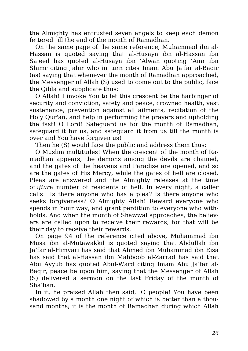the Almighty has entrusted seven angels to keep each demon fettered till the end of the month of Ramadhan.

On the same page of the same reference, Muhammad ibn al-Hassan is quoted saying that al-Husayn ibn al-Hassan ibn Sa'eed has quoted al-Husayn ibn 'Alwan quoting 'Amr ibn Shimr citing Jabir who in turn cites Imam Abu Ja'far al-Baqir (as) saying that whenever the month of Ramadhan approached, the Messenger of Allah (S) used to come out to the public, face the Qibla and supplicate thus:

O Allah! I invoke You to let this crescent be the harbinger of security and conviction, safety and peace, crowned health, vast sustenance, prevention against all ailments, recitation of the Holy Qur'an, and help in performing the prayers and upholding the fast! O Lord! Safeguard us for the month of Ramadhan, safeguard it for us, and safeguard it from us till the month is over and You have forgiven us!

Then he (S) would face the public and address them thus:

O Muslim multitudes! When the crescent of the month of Ramadhan appears, the demons among the devils are chained, and the gates of the heavens and Paradise are opened, and so are the gates of His Mercy, while the gates of hell are closed. Pleas are answered and the Almighty releases at the time of *iftar*a number of residents of hell. In every night, a caller calls: 'Is there anyone who has a plea? Is there anyone who seeks forgiveness? O Almighty Allah! Reward everyone who spends in Your way, and grant perdition to everyone who withholds. And when the month of Shawwal approaches, the believers are called upon to receive their rewards, for that will be their day to receive their rewards.

On page 94 of the reference cited above, Muhammad ibn Musa ibn al-Mutawakkil is quoted saying that Abdullah ibn Ja'far al-Himyari has said that Ahmed ibn Muhammad ibn Eisa has said that al-Hassan ibn Mahboob al-Zarrad has said that Abu Ayyub has quoted Abul-Ward citing Imam Abu Ja'far al-Baqir, peace be upon him, saying that the Messenger of Allah (S) delivered a sermon on the last Friday of the month of Sha'ban.

In it, he praised Allah then said, 'O people! You have been shadowed by a month one night of which is better than a thousand months; it is the month of Ramadhan during which Allah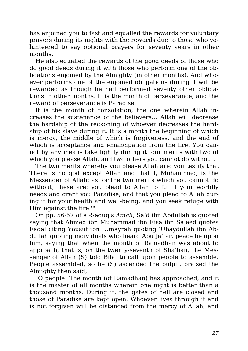has enjoined you to fast and equalled the rewards for voluntary prayers during its nights with the rewards due to those who volunteered to say optional prayers for seventy years in other months.

He also equalled the rewards of the good deeds of those who do good deeds during it with those who perform one of the obligations enjoined by the Almighty (in other months). And whoever performs one of the enjoined obligations during it will be rewarded as though he had performed seventy other obligations in other months. It is the month of perseverance, and the reward of perseverance is Paradise.

It is the month of consolation, the one wherein Allah increases the sustenance of the believers… Allah will decrease the hardship of the reckoning of whoever decreases the hardship of his slave during it. It is a month the beginning of which is mercy, the middle of which is forgiveness, and the end of which is acceptance and emancipation from the fire. You cannot by any means take lightly during it four merits with two of which you please Allah, and two others you cannot do without.

The two merits whereby you please Allah are: you testify that There is no god except Allah and that I, Muhammad, is the Messenger of Allah; as for the two merits which you cannot do without, these are: you plead to Allah to fulfill your worldly needs and grant you Paradise, and that you plead to Allah during it for your health and well-being, and you seek refuge with Him against the fire.'"

On pp. 56-57 of al-Saduq's *Amali*, Sa'd ibn Abdullah is quoted saying that Ahmed ibn Muhammad ibn Eisa ibn Sa'eed quotes Fadal citing Yousuf ibn 'Umayrah quoting 'Ubaydullah ibn Abdullah quoting individuals who heard Abu Ja'far, peace be upon him, saying that when the month of Ramadhan was about to approach, that is, on the twenty-seventh of Sha'ban, the Messenger of Allah (S) told Bilal to call upon people to assemble. People assembled, so he (S) ascended the pulpit, praised the Almighty then said,

"O people! The month (of Ramadhan) has approached, and it is the master of all months wherein one night is better than a thousand months. During it, the gates of hell are closed and those of Paradise are kept open. Whoever lives through it and is not forgiven will be distanced from the mercy of Allah, and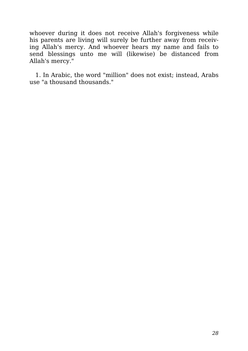whoever during it does not receive Allah's forgiveness while his parents are living will surely be further away from receiving Allah's mercy. And whoever hears my name and fails to send blessings unto me will (likewise) be distanced from Allah's mercy."

1. In Arabic, the word "million" does not exist; instead, Arabs use "a thousand thousands."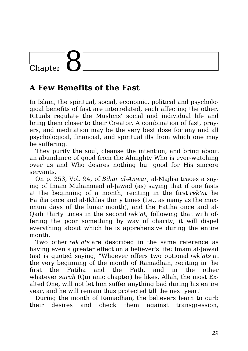# Chapter

### **A Few Benefits of the Fast**

In Islam, the spiritual, social, economic, political and psychological benefits of fast are interrelated, each affecting the other. Rituals regulate the Muslims' social and individual life and bring them closer to their Creator. A combination of fast, prayers, and meditation may be the very best dose for any and all psychological, financial, and spiritual ills from which one may be suffering.

They purify the soul, cleanse the intention, and bring about an abundance of good from the Almighty Who is ever-watching over us and Who desires nothing but good for His sincere servants.

On p. 353, Vol. 94, of *Bihar al-Anwar*, al-Majlisi traces a saying of Imam Muhammad al-Jawad (as) saying that if one fasts at the beginning of a month, reciting in the first *rek'at* the Fatiha once and al-Ikhlas thirty times (I.e., as many as the maximum days of the lunar month), and the Fatiha once and al-Qadr thirty times in the second *rek'at*, following that with offering the poor something by way of charity, it will dispel everything about which he is apprehensive during the entire month.

Two other *rek'ats* are described in the same reference as having even a greater effect on a believer's life: Imam al-Jawad (as) is quoted saying, "Whoever offers two optional *rek'ats* at the very beginning of the month of Ramadhan, reciting in the first the Fatiha and the Fath, and in the other whatever *surah* (Qur'anic chapter) he likes, Allah, the most Exalted One, will not let him suffer anything bad during his entire year, and he will remain thus protected till the next year."

During the month of Ramadhan, the believers learn to curb their desires and check them against transgression,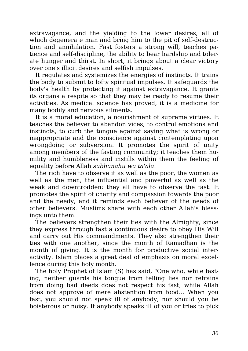extravagance, and the yielding to the lower desires, all of which degenerate man and bring him to the pit of self-destruction and annihilation. Fast fosters a strong will, teaches patience and self-discipline, the ability to bear hardship and tolerate hunger and thirst. In short, it brings about a clear victory over one's illicit desires and selfish impulses.

It regulates and systemizes the energies of instincts. It trains the body to submit to lofty spiritual impulses. It safeguards the body's health by protecting it against extravagance. It grants its organs a respite so that they may be ready to resume their activities. As medical science has proved, it is a medicine for many bodily and nervous ailments.

It is a moral education, a nourishment of supreme virtues. It teaches the believer to abandon vices, to control emotions and instincts, to curb the tongue against saying what is wrong or inappropriate and the conscience against contemplating upon wrongdoing or subversion. It promotes the spirit of unity among members of the fasting community; it teaches them humility and humbleness and instills within them the feeling of equality before Allah *subhanahu wa ta'ala*.

The rich have to observe it as well as the poor, the women as well as the men, the influential and powerful as well as the weak and downtrodden: they all have to observe the fast. It promotes the spirit of charity and compassion towards the poor and the needy, and it reminds each believer of the needs of other believers. Muslims share with each other Allah's blessings unto them.

The believers strengthen their ties with the Almighty, since they express through fast a continuous desire to obey His Will and carry out His commandments. They also strengthen their ties with one another, since the month of Ramadhan is the month of giving. It is the month for productive social interactivity. Islam places a great deal of emphasis on moral excellence during this holy month.

The holy Prophet of Islam (S) has said, "One who, while fasting, neither guards his tongue from telling lies nor refrains from doing bad deeds does not respect his fast, while Allah does not approve of mere abstention from food… When you fast, you should not speak ill of anybody, nor should you be boisterous or noisy. If anybody speaks ill of you or tries to pick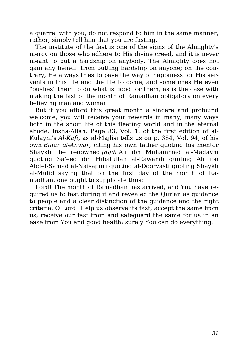a quarrel with you, do not respond to him in the same manner; rather, simply tell him that you are fasting."

The institute of the fast is one of the signs of the Almighty's mercy on those who adhere to His divine creed, and it is never meant to put a hardship on anybody. The Almighty does not gain any benefit from putting hardship on anyone; on the contrary, He always tries to pave the way of happiness for His servants in this life and the life to come, and sometimes He even "pushes" them to do what is good for them, as is the case with making the fast of the month of Ramadhan obligatory on every believing man and woman.

But if you afford this great month a sincere and profound welcome, you will receive your rewards in many, many ways both in the short life of this fleeting world and in the eternal abode, Insha-Allah. Page 83, Vol. 1, of the first edition of al-Kulayni's *Al-Kafi*, as al-Majlisi tells us on p. 354, Vol. 94, of his own *Bihar al-Anwar*, citing his own father quoting his mentor Shaykh the renowned *faqih* Ali ibn Muhammad al-Madayni quoting Sa'eed ibn Hibatullah al-Rawandi quoting Ali ibn Abdel-Samad al-Naisapuri quoting al-Dooryasti quoting Shaykh al-Mufid saying that on the first day of the month of Ramadhan, one ought to supplicate thus:

Lord! The month of Ramadhan has arrived, and You have required us to fast during it and revealed the Qur'an as guidance to people and a clear distinction of the guidance and the right criteria. O Lord! Help us observe its fast; accept the same from us; receive our fast from and safeguard the same for us in an ease from You and good health; surely You can do everything.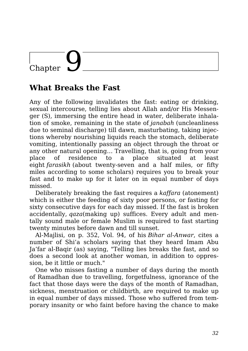## Chapter

### **What Breaks the Fast**

Any of the following invalidates the fast: eating or drinking, sexual intercourse, telling lies about Allah and/or His Messenger (S), immersing the entire head in water, deliberate inhalation of smoke, remaining in the state of *janabah* (uncleanliness due to seminal discharge) till dawn, masturbating, taking injections whereby nourishing liquids reach the stomach, deliberate vomiting, intentionally passing an object through the throat or any other natural opening… Travelling, that is, going from your place of residence to a place situated at least eight *farasikh* (about twenty-seven and a half miles, or fifty miles according to some scholars) requires you to break your fast and to make up for it later on in equal number of days missed.

Deliberately breaking the fast requires a *kaffara* (atonement) which is either the feeding of sixty poor persons, or fasting for sixty consecutive days for each day missed. If the fast is broken accidentally, *qaza*(making up) suffices. Every adult and mentally sound male or female Muslim is required to fast starting twenty minutes before dawn and till sunset.

Al-Majlisi, on p. 352, Vol. 94, of his *Bihar al-Anwar*, cites a number of Shi'a scholars saying that they heard Imam Abu Ja'far al-Baqir (as) saying, "Telling lies breaks the fast, and so does a second look at another woman, in addition to oppression, be it little or much."

One who misses fasting a number of days during the month of Ramadhan due to travelling, forgetfulness, ignorance of the fact that those days were the days of the month of Ramadhan, sickness, menstruation or childbirth, are required to make up in equal number of days missed. Those who suffered from temporary insanity or who faint before having the chance to make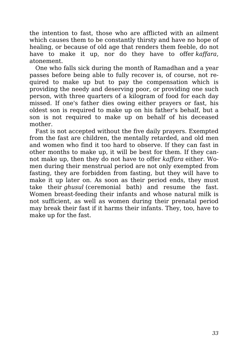the intention to fast, those who are afflicted with an ailment which causes them to be constantly thirsty and have no hope of healing, or because of old age that renders them feeble, do not have to make it up, nor do they have to offer *kaffara*, atonement.

One who falls sick during the month of Ramadhan and a year passes before being able to fully recover is, of course, not required to make up but to pay the compensation which is providing the needy and deserving poor, or providing one such person, with three quarters of a kilogram of food for each day missed. If one's father dies owing either prayers or fast, his oldest son is required to make up on his father's behalf, but a son is not required to make up on behalf of his deceased mother.

Fast is not accepted without the five daily prayers. Exempted from the fast are children, the mentally retarded, and old men and women who find it too hard to observe. If they can fast in other months to make up, it will be best for them. If they cannot make up, then they do not have to offer *kaffara* either. Women during their menstrual period are not only exempted from fasting, they are forbidden from fasting, but they will have to make it up later on. As soon as their period ends, they must take their *ghusul* (ceremonial bath) and resume the fast. Women breast-feeding their infants and whose natural milk is not sufficient, as well as women during their prenatal period may break their fast if it harms their infants. They, too, have to make up for the fast.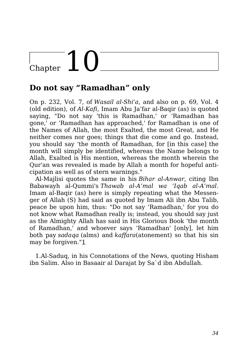# Chapter  $10^{-1}$

### **Do not say "Ramadhan" only**

On p. 232, Vol. 7, of *Wasail al-Shi'a*, and also on p. 69, Vol. 4 (old edition), of *Al-Kafi*, Imam Abu Ja'far al-Baqir (as) is quoted saying, "Do not say 'this is Ramadhan,' or 'Ramadhan has gone,' or 'Ramadhan has approached,' for Ramadhan is one of the Names of Allah, the most Exalted, the most Great, and He neither comes nor goes; things that die come and go. Instead, you should say 'the month of Ramadhan, for [in this case] the month will simply be identified, whereas the Name belongs to Allah, Exalted is His mention, whereas the month wherein the Qur'an was revealed is made by Allah a month for hopeful anticipation as well as of stern warnings."

Al-Majlisi quotes the same in his *Bihar al-Anwar*, citing Ibn Babawayh al-Qummi's *Thawab al-A'mal wa 'Iqab al-A'mal*. Imam al-Baqir (as) here is simply repeating what the Messenger of Allah (S) had said as quoted by Imam Ali ibn Abu Talib, peace be upon him, thus: "Do not say 'Ramadhan,' for you do not know what Ramadhan really is; instead, you should say just as the Almighty Allah has said in His Glorious Book 'the month of Ramadhan,' and whoever says 'Ramadhan' [only], let him both pay *sadaqa* (alms) and *kaffara*(atonement) so that his sin may be forgiven."1

1.Al-Saduq, in his Connotations of the News, quoting Hisham ibn Salim. Also in Basaair al Darajat by Sa`d ibn Abdullah.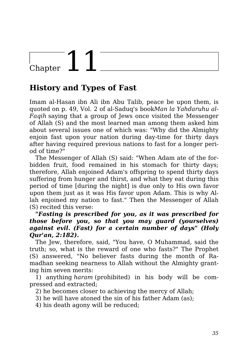# Chapter

### **History and Types of Fast**

Imam al-Hasan ibn Ali ibn Abu Talib, peace be upon them, is quoted on p. 49, Vol. 2 of al-Saduq's book*Man la Yahdaruhu al-Faqih* saying that a group of Jews once visited the Messenger of Allah (S) and the most learned man among them asked him about several issues one of which was: "Why did the Almighty enjoin fast upon your nation during day-time for thirty days after having required previous nations to fast for a longer period of time?"

The Messenger of Allah (S) said: "When Adam ate of the forbidden fruit, food remained in his stomach for thirty days; therefore, Allah enjoined Adam's offspring to spend thirty days suffering from hunger and thirst, and what they eat during this period of time [during the night] is due only to His own favor upon them just as it was His favor upon Adam. This is why Allah enjoined my nation to fast." Then the Messenger of Allah (S) recited this verse:

*"Fasting is prescribed for you, as it was prescribed for those before you, so that you may guard (yourselves) against evil. (Fast) for a certain number of days" (Holy Qur'an, 2:182).*

The Jew, therefore, said, "You have, O Muhammad, said the truth; so, what is the reward of one who fasts?" The Prophet (S) answered, "No believer fasts during the month of Ramadhan seeking nearness to Allah without the Almighty granting him seven merits:

1) anything *haram* (prohibited) in his body will be compressed and extracted;

2) he becomes closer to achieving the mercy of Allah;

3) he will have atoned the sin of his father Adam (as);

4) his death agony will be reduced;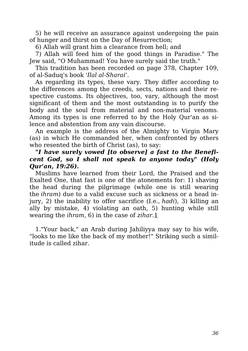5) he will receive an assurance against undergoing the pain of hunger and thirst on the Day of Resurrection;

6) Allah will grant him a clearance from hell; and

7) Allah will feed him of the good things in Paradise." The Jew said, "O Muhammad! You have surely said the truth."

This tradition has been recorded on page 378, Chapter 109, of al-Saduq's book *'Ilal al-Sharai'*.

As regarding its types, these vary. They differ according to the differences among the creeds, sects, nations and their respective customs. Its objectives, too, vary, although the most significant of them and the most outstanding is to purify the body and the soul from material and non-material venoms. Among its types is one referred to by the Holy Qur'an as silence and abstention from any vain discourse.

An example is the address of the Almighty to Virgin Mary (as) in which He commanded her, when confronted by others who resented the birth of Christ (as), to say:

#### *"I have surely vowed [to observe] a fast to the Beneficent God, so I shall not speak to anyone today" (Holy Qur'an, 19:26).*

Muslims have learned from their Lord, the Praised and the Exalted One, that fast is one of the atonements for: 1) shaving the head during the pilgrimage (while one is still wearing the *ihram*) due to a valid excuse such as sickness or a head injury, 2) the inability to offer sacrifice (I.e., *hadi*), 3) killing an ally by mistake, 4) violating an oath, 5) hunting while still wearing the *ihram*, 6) in the case of *zihar*.1

1."Your back," an Arab during Jahiliyya may say to his wife, "looks to me like the back of my mother!" Striking such a similitude is called zihar.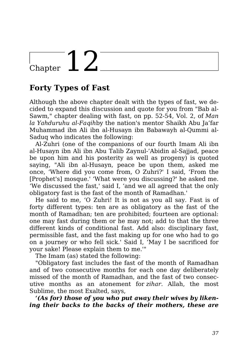## Chapter  $12^{-}$

### **Forty Types of Fast**

Although the above chapter dealt with the types of fast, we decided to expand this discussion and quote for you from "Bab al-Sawm," chapter dealing with fast, on pp. 52-54, Vol. 2, of *Man la Yahduruhu al-Faqih*by the nation's mentor Shaikh Abu Ja'far Muhammad ibn Ali ibn al-Husayn ibn Babawayh al-Qummi al-Saduq who indicates the following:

Al-Zuhri (one of the companions of our fourth Imam Ali ibn al-Husayn ibn Ali ibn Abu Talib Zaynul-'Abidin al-Sajjad, peace be upon him and his posterity as well as progeny) is quoted saying, "Ali ibn al-Husayn, peace be upon them, asked me once, 'Where did you come from, O Zuhri?' I said, 'From the [Prophet's] mosque.' 'What were you discussing?' he asked me. 'We discussed the fast,' said I, 'and we all agreed that the only obligatory fast is the fast of the month of Ramadhan.'

He said to me, 'O Zuhri! It is not as you all say. Fast is of forty different types: ten are as obligatory as the fast of the month of Ramadhan; ten are prohibited; fourteen are optional: one may fast during them or he may not; add to that the three different kinds of conditional fast. Add also: disciplinary fast, permissible fast, and the fast making up for one who had to go on a journey or who fell sick.' Said I, 'May I be sacrificed for your sake! Please explain them to me.'"

The Imam (as) stated the following:

"Obligatory fast includes the fast of the month of Ramadhan and of two consecutive months for each one day deliberately missed of the month of Ramadhan, and the fast of two consecutive months as an atonement for *zihar*. Allah, the most Sublime, the most Exalted, says,

*'(As for) those of you who put away their wives by likening their backs to the backs of their mothers, these are*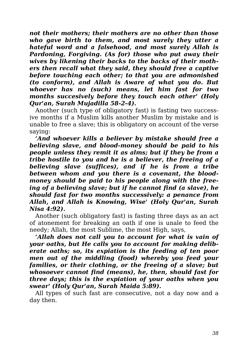*not their mothers; their mothers are no other than those who gave birth to them, and most surely they utter a hateful word and a falsehood, and most surely Allah is Pardoning, Forgiving. (As for) those who put away their wives by likening their backs to the backs of their mothers then recall what they said, they should free a captive before touching each other; to that you are admonished (to conform), and Allah is Aware of what you do. But whoever has no (such) means, let him fast for two months succesively before they touch each other' (Holy Qur'an, Surah Mujadilla 58-2-4).*

Another (such type of obligatory fast) is fasting two successive months if a Muslim kills another Muslim by mistake and is unable to free a slave; this is obligatory on account of the verse saying:

*'And whoever kills a believer by mistake should free a believing slave, and blood-money should be paid to his people unless they remit it as alms; but if they be from a tribe hostile to you and he is a believer, the freeing of a believing slave (suffices), and if he is from a tribe between whom and you there is a covenant, the bloodmoney should be paid to his people along with the freeing of a believing slave; but if he cannot find (a slave), he should fast for two months successively: a penance from Allah, and Allah is Knowing, Wise' (Holy Qur'an, Surah Nisa 4:92).*

Another (such obligatory fast) is fasting three days as an act of atonement for breaking an oath if one is unale to feed the needy; Allah, the most Sublime, the most High, says,

*'Allah does not call you to account for what is vain of your oaths, but He calls you to account for making deliberate oaths; so, its expiation is the feeding of ten poor men out of the middling (food) whereby you feed your families, or their clothing, or the freeing of a slave; but whosoever cannot find (means), he, then, should fast for three days; this is the expiation of your oaths when you swear' (Holy Qur'an, Surah Maida 5:89).*

All types of such fast are consecutive, not a day now and a day then.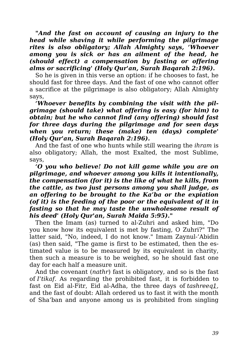*"And the fast on account of causing an injury to the head while shaving it while performing the pilgrimage rites is also obligatory; Allah Almighty says, 'Whoever among you is sick or has an ailment of the head, he (should effect) a compensation by fasting or offering alms or sacrificing' (Holy Qur'an, Surah Baqarah 2:196).*

So he is given in this verse an option: if he chooses to fast, he should fast for three days. And the fast of one who cannot offer a sacrifice at the pilgrimage is also obligatory; Allah Almighty says,

*'Whoever benefits by combining the visit with the pilgrimage (should take) what offering is easy (for him) to obtain; but he who cannot find (any offering) should fast for three days during the pilgrimage and for seen days when you return; these (make) ten (days) complete' (Holy Qur'an, Surah Baqarah 2:196).*

And the fast of one who hunts while still wearing the *ihram* is also obligatory; Allah, the most Exalted, the most Sublime, says,

*'O you who believe! Do not kill game while you are on pilgrimage, and whoever among you kills it intentionally, the compensation (for it) is the like of what he kills, from the cattle, as two just persons among you shall judge, as an offering to be brought to the Ka'ba or the expiation (of it) is the feeding of the poor or the equivalent of it in fasting so that he may taste the unwholesome result of his deed' (Holy Qur'an, Surah Maida 5:95)."*

Then the Imam (as) turned to al-Zuhri and asked him, "Do you know how its equivalent is met by fasting, O Zuhri?" The latter said, "No, indeed, I do not know." Imam Zaynul-'Abidin (as) then said, "The game is first to be estimated, then the estimated value is to be measured by its equivalent in charity, then such a measure is to be weighed, so he should fast one day for each half a measure unit.

And the covenant (*nathr*) fast is obligatory, and so is the fast of *I'tikaf*. As regarding the prohibited fast, it is forbidden to fast on Eid al-Fitr, Eid al-Adha, the three days of *tashreeq1*, and the fast of doubt: Allah ordered us to fast it with the month of Sha'ban and anyone among us is prohibited from singling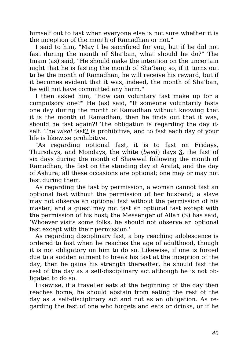himself out to fast when everyone else is not sure whether it is the inception of the month of Ramadhan or not."

I said to him, "May I be sacrificed for you, but if he did not fast during the month of Sha'ban, what should he do?" The Imam (as) said, "He should make the intention on the uncertain night that he is fasting the month of Sha'ban; so, if it turns out to be the month of Ramadhan, he will receive his reward, but if it becomes evident that it was, indeed, the month of Sha'ban, he will not have committed any harm."

I then asked him, "How can voluntary fast make up for a compulsory one?" He (as) said, "If someone voluntarily fasts one day during the month of Ramadhan without knowing that it is the month of Ramadhan, then he finds out that it was, should he fast again?! The obligation is regarding the day itself. The *wisal* fast2 is prohibitive, and to fast each day of your life is likewise prohibitive.

"As regarding optional fast, it is to fast on Fridays, Thursdays, and Mondays, the white (*beed*) days 3, the fast of six days during the month of Shawwal following the month of Ramadhan, the fast on the standing day at Arafat, and the day of Ashura; all these occasions are optional; one may or may not fast during them.

As regarding the fast by permission, a woman cannot fast an optional fast without the permission of her husband; a slave may not observe an optional fast without the permission of his master; and a guest may not fast an optional fast except with the permission of his host; the Messenger of Allah (S) has said, 'Whoever visits some folks, he should not observe an optional fast except with their permission.'

As regarding disciplinary fast, a boy reaching adolescence is ordered to fast when he reaches the age of adulthood, though it is not obligatory on him to do so. Likewise, if one is forced due to a sudden ailment to break his fast at the inception of the day, then he gains his strength thereafter, he should fast the rest of the day as a self-disciplinary act although he is not obligated to do so.

Likewise, if a traveller eats at the beginning of the day then reaches home, he should abstain from eating the rest of the day as a self-disciplinary act and not as an obligation. As regarding the fast of one who forgets and eats or drinks, or if he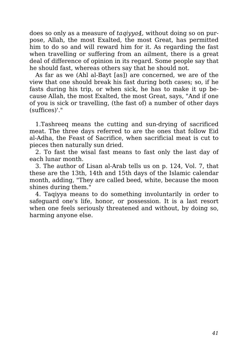does so only as a measure of *taqiyya4*, without doing so on purpose, Allah, the most Exalted, the most Great, has permitted him to do so and will reward him for it. As regarding the fast when travelling or suffering from an ailment, there is a great deal of difference of opinion in its regard. Some people say that he should fast, whereas others say that he should not.

As far as we (Ahl al-Bayt [as]) are concerned, we are of the view that one should break his fast during both cases; so, if he fasts during his trip, or when sick, he has to make it up because Allah, the most Exalted, the most Great, says, "And if one of you is sick or travelling, (the fast of) a number of other days (suffices)'."

1.Tashreeq means the cutting and sun-drying of sacrificed meat. The three days referred to are the ones that follow Eid al-Adha, the Feast of Sacrifice, when sacrificial meat is cut to pieces then naturally sun dried.

2. To fast the wisal fast means to fast only the last day of each lunar month.

3. The author of Lisan al-Arab tells us on p. 124, Vol. 7, that these are the 13th, 14th and 15th days of the Islamic calendar month, adding, "They are called beed, white, because the moon shines during them."

4. Taqiyya means to do something involuntarily in order to safeguard one's life, honor, or possession. It is a last resort when one feels seriously threatened and without, by doing so, harming anyone else.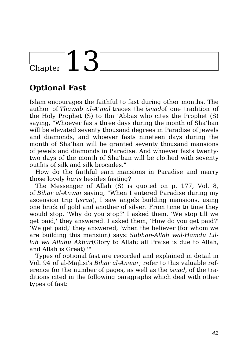# Chapter 13

### **Optional Fast**

Islam encourages the faithful to fast during other months. The author of *Thawab al-A'mal* traces the *isnad*of one tradition of the Holy Prophet (S) to Ibn 'Abbas who cites the Prophet (S) saying, "Whoever fasts three days during the month of Sha'ban will be elevated seventy thousand degrees in Paradise of jewels and diamonds, and whoever fasts nineteen days during the month of Sha'ban will be granted seventy thousand mansions of jewels and diamonds in Paradise. And whoever fasts twentytwo days of the month of Sha'ban will be clothed with seventy outfits of silk and silk brocades."

How do the faithful earn mansions in Paradise and marry those lovely *huris* besides fasting?

The Messenger of Allah (S) is quoted on p. 177, Vol. 8, of *Bihar al-Anwar* saying, "When I entered Paradise during my ascension trip (*israa*), I saw angels building mansions, using one brick of gold and another of silver. From time to time they would stop. 'Why do you stop?' I asked them. 'We stop till we get paid,' they answered. I asked them, 'How do you get paid?' 'We get paid,' they answered, 'when the believer (for whom we are building this mansion) says: *Subhan-Allah wal-Hamdu Lillah wa Allahu Akbar*(Glory to Allah; all Praise is due to Allah, and Allah is Great).'"

Types of optional fast are recorded and explained in detail in Vol. 94 of al-Majlisi's *Bihar al-Anwar*; refer to this valuable reference for the number of pages, as well as the *isnad*, of the traditions cited in the following paragraphs which deal with other types of fast: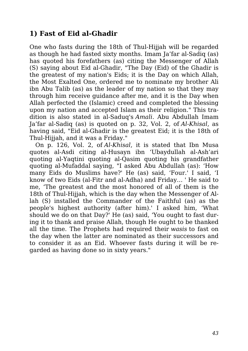#### **1) Fast of Eid al-Ghadir**

One who fasts during the 18th of Thul-Hijjah will be regarded as though he had fasted sixty months. Imam Ja'far al-Sadiq (as) has quoted his forefathers (as) citing the Messenger of Allah (S) saying about Eid al-Ghadir, "The Day (Eid) of the Ghadir is the greatest of my nation's Eids; it is the Day on which Allah, the Most Exalted One, ordered me to nominate my brother Ali ibn Abu Talib (as) as the leader of my nation so that they may through him receive guidance after me, and it is the Day when Allah perfected the (Islamic) creed and completed the blessing upon my nation and accepted Islam as their religion." This tradition is also stated in al-Saduq's *Amali*. Abu Abdullah Imam Ja'far al-Sadiq (as) is quoted on p. 32, Vol. 2, of *Al-Khisal*, as having said, "Eid al-Ghadir is the greatest Eid; it is the 18th of Thul-Hijjah, and it was a Friday."

On p. 126, Vol. 2, of *Al-Khisal*, it is stated that Ibn Musa quotes al-Asdi citing al-Husayn ibn 'Ubaydullah al-Ash'ari quoting al-Yaqtini quoting al-Qasim quoting his grandfather quoting al-Mufaddal saying, "I asked Abu Abdullah (as): 'How many Eids do Muslims have?' He (as) said, 'Four.' I said, 'I know of two Eids (al-Fitr and al-Adha) and Friday… ' He said to me, 'The greatest and the most honored of all of them is the 18th of Thul-Hijjah, which is the day when the Messenger of Allah (S) installed the Commander of the Faithful (as) as the people's highest authority (after him).' I asked him, 'What should we do on that Day?' He (as) said, 'You ought to fast during it to thank and praise Allah, though He ought to be thanked all the time. The Prophets had required their *wasis* to fast on the day when the latter are nominated as their successors and to consider it as an Eid. Whoever fasts during it will be regarded as having done so in sixty years."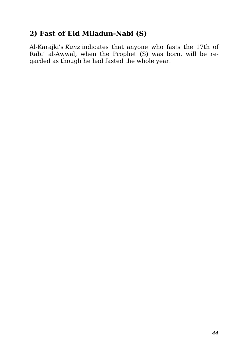#### **2) Fast of Eid Miladun-Nabi (S)**

Al-Karajki's *Kanz* indicates that anyone who fasts the 17th of Rabi' al-Awwal, when the Prophet (S) was born, will be regarded as though he had fasted the whole year.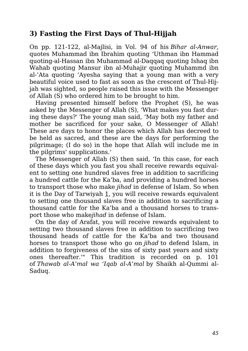#### **3) Fasting the First Days of Thul-Hijjah**

On pp. 121-122, al-Majlisi, in Vol. 94 of his *Bihar al-Anwar*, quotes Muhammad ibn Ibrahim quoting 'Uthman ibn Hammad quoting-al-Hassan ibn Muhammad al-Daqqaq quoting Ishaq ibn Wahab quoting Mansur ibn al-Muhajir quoting Muhammd ibn al-'Ata quoting 'Ayesha saying that a young man with a very beautiful voice used to fast as soon as the crescent of Thul-Hijjah was sighted, so people raised this issue with the Messenger of Allah (S) who ordered him to be brought to him.

Having presented himself before the Prophet (S), he was asked by the Messenger of Allah (S), 'What makes you fast during these days?' The young man said, 'May both my father and mother be sacrificed for your sake, O Messenger of Allah! These are days to honor the places which Allah has decreed to be held as sacred, and these are the days for performing the pilgrimage; (I do so) in the hope that Allah will include me in the pilgrims' supplications.'

The Messenger of Allah (S) then said, 'In this case, for each of these days which you fast you shall receive rewards equivalent to setting one hundred slaves free in addition to sacrificing a hundred cattle for the Ka'ba, and providing a hundred horses to transport those who make *jihad* in defense of Islam. So when it is the Day of Tarwiyah 1, you will receive rewards equivalent to setting one thousand slaves free in addition to sacrificing a thousand cattle for the Ka'ba and a thousand horses to transport those who make*jihad* in defense of Islam.

On the day of Arafat, you will receive rewards equivalent to setting two thousand slaves free in addition to sacrificing two thousand heads of cattle for the Ka'ba and two thousand horses to transport those who go on *jihad* to defend Islam, in addition to forgiveness of the sins of sixty past years and sixty ones thereafter.'" This tradition is recorded on p. 101 of *Thawab al-A'mal wa 'Iqab al-A'mal* by Shaikh al-Qummi al-Saduq.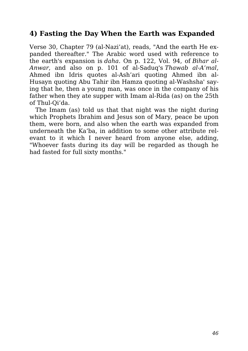#### **4) Fasting the Day When the Earth was Expanded**

Verse 30, Chapter 79 (al-Nazi'at), reads, "And the earth He expanded thereafter." The Arabic word used with reference to the earth's expansion is *daha*. On p. 122, Vol. 94, of *Bihar al-Anwar*, and also on p. 101 of al-Saduq's *Thawab al-A'mal*, Ahmed ibn Idris quotes al-Ash'ari quoting Ahmed ibn al-Husayn quoting Abu Tahir ibn Hamza quoting al-Washsha' saying that he, then a young man, was once in the company of his father when they ate supper with Imam al-Rida (as) on the 25th of Thul-Qi'da.

The Imam (as) told us that that night was the night during which Prophets Ibrahim and Jesus son of Mary, peace be upon them, were born, and also when the earth was expanded from underneath the Ka'ba, in addition to some other attribute relevant to it which I never heard from anyone else, adding, "Whoever fasts during its day will be regarded as though he had fasted for full sixty months."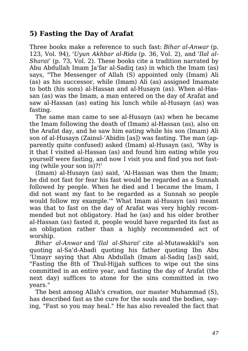#### **5) Fasting the Day of Arafat**

Three books make a reference to such fast: *Bihar al-Anwar* (p. 123, Vol. 94), *'Uyun Akhbar al-Rida* (p. 36, Vol. 2), and *'Ilal al-Sharai'* (p. 73, Vol. 2). These books cite a tradition narrated by Abu Abdullah Imam Ja'far al-Sadiq (as) in which the Imam (as) says, "The Messenger of Allah (S) appointed only (Imam) Ali (as) as his successor, while (Imam) Ali (as) assigned Imamate to both (his sons) al-Hassan and al-Husayn (as). When al-Hassan (as) was the Imam, a man entered on the day of Arafat and saw al-Hassan (as) eating his lunch while al-Husayn (as) was fasting.

The same man came to see al-Husayn (as) when he became the Imam following the death of (Imam) al-Hassan (as), also on the Arafat day, and he saw him eating while his son (Imam) Ali son of al-Husayn (Zainul-'Abidin [as]) was fasting. The man (apparently quite confused) asked (Imam) al-Husayn (as), 'Why is it that I visited al-Hassan (as) and found him eating while you yourself were fasting, and now I visit you and find you not fasting (while your son is)?!'

(Imam) al-Husayn (as) said, 'Al-Hassan was then the Imam; he did not fast for fear his fast would be regarded as a Sunnah followed by people. When he died and I became the Imam, I did not want my fast to be regarded as a Sunnah so people would follow my example.'" What Imam al-Husayn (as) meant was that to fast on the day of Arafat was very highly recommended but not obligatory. Had he (as) and his older brother al-Hassan (as) fasted it, people would have regarded its fast as an obligation rather than a highly recommended act of worship.

*Bihar al-Anwar* and *'Ilal al-Sharai'* cite al-Mutawakkil's son quoting al-Sa'd-Abadi quoting his father quoting Ibn Abu 'Umayr saying that Abu Abdullah (Imam al-Sadiq [as]) said, "Fasting the 8th of Thul-Hijjah suffices to wipe out the sins committed in an entire year, and fasting the day of Arafat (the next day) suffices to atone for the sins committed in two years."

The best among Allah's creation, our master Muhammad (S), has described fast as the cure for the souls and the bodies, saying, "Fast so you may heal." He has also revealed the fact that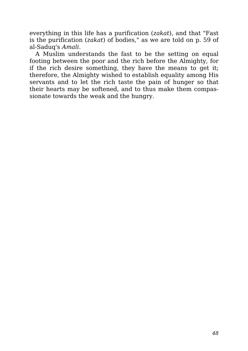everything in this life has a purification (*zakat*), and that "Fast is the purification (*zakat*) of bodies," as we are told on p. 59 of al-Saduq's *Amali*.

A Muslim understands the fast to be the setting on equal footing between the poor and the rich before the Almighty, for if the rich desire something, they have the means to get it; therefore, the Almighty wished to establish equality among His servants and to let the rich taste the pain of hunger so that their hearts may be softened, and to thus make them compassionate towards the weak and the hungry.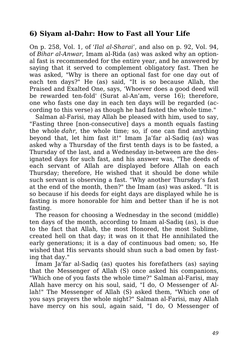#### **6) Siyam al-Dahr: How to Fast all Your Life**

On p. 258, Vol. 1, of *'Ilal al-Sharai'*, and also on p. 92, Vol. 94, of *Bihar al-Anwar*, Imam al-Rida (as) was asked why an optional fast is recommended for the entire year, and he answered by saying that it served to complement obligatory fast. Then he was asked, "Why is there an optional fast for one day out of each ten days?" He (as) said, "It is so because Allah, the Praised and Exalted One, says, 'Whoever does a good deed will be rewarded ten-fold' (Surat al-An'am, verse 16); therefore, one who fasts one day in each ten days will be regarded (according to this verse) as though he had fasted the whole time."

Salman al-Farisi, may Allah be pleased with him, used to say, "Fasting three [non-consecutive] days a month equals fasting the whole *dahr*, the whole time; so, if one can find anything beyond that, let him fast it!" Imam Ja'far al-Sadiq (as) was asked why a Thursday of the first tenth days is to be fasted, a Thursday of the last, and a Wednesday in-between are the designated days for such fast, and his answer was, "The deeds of each servant of Allah are displayed before Allah on each Thursday; therefore, He wished that it should be done while such servant is observing a fast. "Why another Thursday's fast at the end of the month, then?" the Imam (as) was asked. "It is so because if his deeds for eight days are displayed while he is fasting is more honorable for him and better than if he is not fasting.

The reason for choosing a Wednesday in the second (middle) ten days of the month, according to Imam al-Sadiq (as), is due to the fact that Allah, the most Honored, the most Sublime, created hell on that day; it was on it that He annihilated the early generations; it is a day of continuous bad omen; so, He wished that His servants should shun such a bad omen by fasting that day."

Imam Ja'far al-Sadiq (as) quotes his forefathers (as) saying that the Messenger of Allah (S) once asked his companions, "Which one of you fasts the whole time?" Salman al-Farisi, may Allah have mercy on his soul, said, "I do, O Messenger of Allah!" The Messenger of Allah (S) asked them, "Which one of you says prayers the whole night?" Salman al-Farisi, may Allah have mercy on his soul, again said, "I do, O Messenger of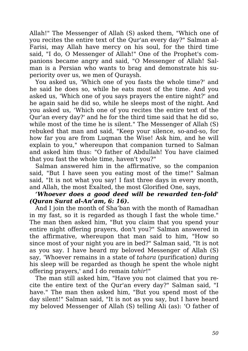Allah!" The Messenger of Allah (S) asked them, "Which one of you recites the entire text of the Qur'an every day?" Salman al-Farisi, may Allah have mercy on his soul, for the third time said, "I do, O Messenger of Allah!" One of the Prophet's companions became angry and said, "O Messenger of Allah! Salman is a Persian who wants to brag and demonstrate his superiority over us, we men of Quraysh.

You asked us, 'Which one of you fasts the whole time?' and he said he does so, while he eats most of the time. And you asked us, 'Which one of you says prayers the entire night?' and he again said he did so, while he sleeps most of the night. And you asked us, 'Which one of you recites the entire text of the Qur'an every day?' and he for the third time said that he did so, while most of the time he is silent." The Messenger of Allah (S) rebuked that man and said, "Keep your silence, so-and-so, for how far you are from Luqman the Wise! Ask him, and he will explain to you," whereupon that companion turned to Salman and asked him thus: "O father of Abdullah! You have claimed that you fast the whole time, haven't you?"

Salman answered him in the affirmative, so the companion said, "But I have seen you eating most of the time!" Salman said, "It is not what you say! I fast three days in every month, and Allah, the most Exalted, the most Glorified One, says,

#### *'Whoever does a good deed will be rewarded ten-fold' (Quran Surat al-An'am, 6: 16).*

And I join the month of Sha'ban with the month of Ramadhan in my fast, so it is regarded as though I fast the whole time." The man then asked him, "But you claim that you spend your entire night offering prayers, don't you?" Salman answered in the affirmative, whereupon that man said to him, "How so since most of your night you are in bed?" Salman said, "It is not as you say. I have heard my beloved Messenger of Allah (S) say, 'Whoever remains in a state of *tahara* (purification) during his sleep will be regarded as though he spent the whole night offering prayers,' and I do remain *tahir*!"

The man still asked him, "Have you not claimed that you recite the entire text of the Qur'an every day?" Salman said, "I have." The man then asked him, "But you spend most of the day silent!" Salman said, "It is not as you say, but I have heard my beloved Messenger of Allah (S) telling Ali (as): 'O father of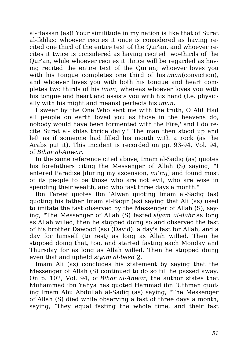al-Hassan (as)! Your similitude in my nation is like that of Surat al-Ikhlas: whoever recites it once is considered as having recited one third of the entire text of the Qur'an, and whoever recites it twice is considered as having recited two-thirds of the Qur'an, while whoever recites it thrice will be regarded as having recited the entire text of the Qur'an; whoever loves you with his tongue completes one third of his *iman*(conviction), and whoever loves you with both his tongue and heart completes two thirds of his *iman*, whereas whoever loves you with his tongue and heart and assists you with his hand (I.e. physically with his might and means) perfects his *iman*.

I swear by the One Who sent me with the truth, O Ali! Had all people on earth loved you as those in the heavens do, nobody would have been tormented with the Fire,' and I do recite Surat al-Ikhlas thrice daily." The man then stood up and left as if someone had filled his mouth with a rock (as the Arabs put it). This incident is recorded on pp. 93-94, Vol. 94, of *Bihar al-Anwar*.

In the same reference cited above, Imam al-Sadiq (as) quotes his forefathers citing the Messenger of Allah (S) saying, "I entered Paradise [during my ascension, *mi'raj*] and found most of its people to be those who are not evil, who are wise in spending their wealth, and who fast three days a month."

Ibn Tareef quotes Ibn 'Alwan quoting Imam al-Sadiq (as) quoting his father Imam al-Baqir (as) saying that Ali (as) used to imitate the fast observed by the Messenger of Allah (S), saying, "The Messenger of Allah (S) fasted *siyam al-dahr* as long as Allah willed, then he stopped doing so and observed the fast of his brother Dawood (as) (David): a day's fast for Allah, and a day for himself (to rest) as long as Allah willed. Then he stopped doing that, too, and started fasting each Monday and Thursday for as long as Allah willed. Then he stopped doing even that and upheld *siyam al-beed 2*.

Imam Ali (as) concludes his statement by saying that the Messenger of Allah (S) continued to do so till he passed away. On p. 102, Vol. 94, of *Bihar al-Anwar*, the author states that Muhammad ibn Yahya has quoted Hammad ibn 'Uthman quoting Imam Abu Abdullah al-Sadiq (as) saying, "The Messenger of Allah (S) died while observing a fast of three days a month, saying, 'They equal fasting the whole time, and their fast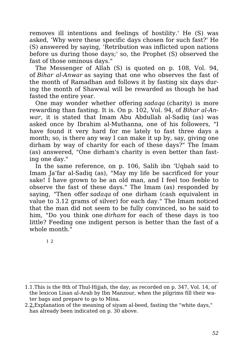removes ill intentions and feelings of hostility.' He (S) was asked, 'Why were these specific days chosen for such fast?' He (S) answered by saying, 'Retribution was inflicted upon nations before us during those days;' so, the Prophet (S) observed the fast of those ominous days."

The Messenger of Allah (S) is quoted on p. 108, Vol. 94, of *Bihar al-Anwar* as saying that one who observes the fast of the month of Ramadhan and follows it by fasting six days during the month of Shawwal will be rewarded as though he had fasted the entire year.

One may wonder whether offering *sadaqa* (charity) is more rewarding than fasting. It is. On p. 102, Vol. 94, of *Bihar al-Anwar*, it is stated that Imam Abu Abdullah al-Sadiq (as) was asked once by Ibrahim al-Muthanna, one of his followers, "I have found it very hard for me lately to fast three days a month; so, is there any way I can make it up by, say, giving one dirham by way of charity for each of these days?" The Imam (as) answered, "One dirham's charity is even better than fasting one day."

In the same reference, on p. 106, Salih ibn 'Uqbah said to Imam Ja'far al-Sadiq (as), "May my life be sacrificed for your sake! I have grown to be an old man, and I feel too feeble to observe the fast of these days." The Imam (as) responded by saying, "Then offer *sadaqa* of one dirham (cash equivalent in value to 3.12 grams of silver) for each day." The Imam noticed that the man did not seem to be fully convinced, so he said to him, "Do you think one *dirham* for each of these days is too little? Feeding one indigent person is better than the fast of a whole month."

1 2

<sup>1.1.</sup>This is the 8th of Thul-Hijjah, the day, as recorded on p. 347, Vol. 14, of the lexicon Lisan al-Arab by Ibn Manzour, when the pilgrims fill their water bags and prepare to go to Mina.

<sup>2.2.</sup>Explanation of the meaning of siyam al-beed, fasting the "white days," has already been indicated on p. 30 above.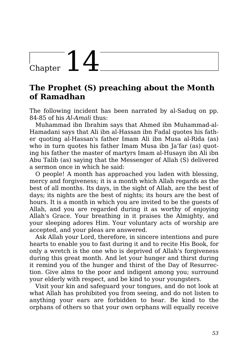## $\sum_{\text{Chapter 14}}$

### **The Prophet (S) preaching about the Month of Ramadhan**

The following incident has been narrated by al-Saduq on pp. 84-85 of his *Al-Amali* thus:

Muhammad ibn Ibrahim says that Ahmed ibn Muhammad-al-Hamadani says that Ali ibn al-Hassan ibn Fadal quotes his father quoting al-Hassan's father Imam Ali ibn Musa al-Rida (as) who in turn quotes his father Imam Musa ibn Ja'far (as) quoting his father the master of martyrs Imam al-Husayn ibn Ali ibn Abu Talib (as) saying that the Messenger of Allah (S) delivered a sermon once in which he said:

O people! A month has approached you laden with blessing, mercy and forgiveness; it is a month which Allah regards as the best of all months. Its days, in the sight of Allah, are the best of days; its nights are the best of nights; its hours are the best of hours. It is a month in which you are invited to be the guests of Allah, and you are regarded during it as worthy of enjoying Allah's Grace. Your breathing in it praises the Almighty, and your sleeping adores Him. Your voluntary acts of worship are accepted, and your pleas are answered.

Ask Allah your Lord, therefore, in sincere intentions and pure hearts to enable you to fast during it and to recite His Book, for only a wretch is the one who is deprived of Allah's forgiveness during this great month. And let your hunger and thirst during it remind you of the hunger and thirst of the Day of Resurrection. Give alms to the poor and indigent among you; surround your elderly with respect, and be kind to your youngsters.

Visit your kin and safeguard your tongues, and do not look at what Allah has prohibited you from seeing, and do not listen to anything your ears are forbidden to hear. Be kind to the orphans of others so that your own orphans will equally receive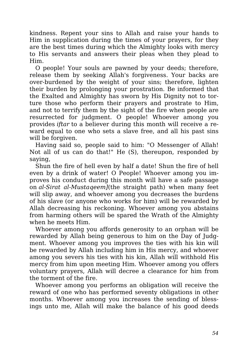kindness. Repent your sins to Allah and raise your hands to Him in supplication during the times of your prayers, for they are the best times during which the Almighty looks with mercy to His servants and answers their pleas when they plead to Him.

O people! Your souls are pawned by your deeds; therefore, release them by seeking Allah's forgiveness. Your backs are over-burdened by the weight of your sins; therefore, lighten their burden by prolonging your prostration. Be informed that the Exalted and Almighty has sworn by His Dignity not to torture those who perform their prayers and prostrate to Him, and not to terrify them by the sight of the fire when people are resurrected for judgment. O people! Whoever among you provides *iftar* to a believer during this month will receive a reward equal to one who sets a slave free, and all his past sins will be forgiven.

Having said so, people said to him: "O Messenger of Allah! Not all of us can do that!" He (S), thereupon, responded by saying,

Shun the fire of hell even by half a date! Shun the fire of hell even by a drink of water! O People! Whoever among you improves his conduct during this month will have a safe passage on *al-Sirat al-Mustaqeem]*(the straight path) when many feet will slip away, and whoever among you decreases the burdens of his slave (or anyone who works for him) will be rewarded by Allah decreasing his reckoning. Whoever among you abstains from harming others will be spared the Wrath of the Almighty when he meets Him.

Whoever among you affords generosity to an orphan will be rewarded by Allah being generous to him on the Day of Judgment. Whoever among you improves the ties with his kin will be rewarded by Allah including him in His mercy, and whoever among you severs his ties with his kin, Allah will withhold His mercy from him upon meeting Him. Whoever among you offers voluntary prayers, Allah will decree a clearance for him from the torment of the fire.

Whoever among you performs an obligation will receive the reward of one who has performed seventy obligations in other months. Whoever among you increases the sending of blessings unto me, Allah will make the balance of his good deeds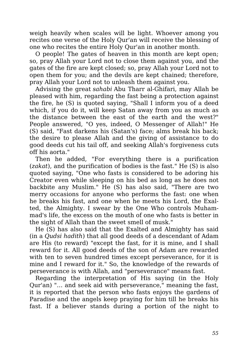weigh heavily when scales will be light. Whoever among you recites one verse of the Holy Qur'an will receive the blessing of one who recites the entire Holy Qur'an in another month.

O people! The gates of heaven in this month are kept open; so, pray Allah your Lord not to close them against you, and the gates of the fire are kept closed; so, pray Allah your Lord not to open them for you; and the devils are kept chained; therefore, pray Allah your Lord not to unleash them against you.

Advising the great *sahabi* Abu Tharr al-Ghifari, may Allah be pleased with him, regarding the fast being a protection against the fire, he (S) is quoted saying, "Shall I inform you of a deed which, if you do it, will keep Satan away from you as much as the distance between the east of the earth and the west?" People answered, "O yes, indeed, O Messenger of Allah!" He (S) said, "Fast darkens his (Satan's) face; alms break his back; the desire to please Allah and the giving of assistance to do good deeds cut his tail off, and seeking Allah's forgiveness cuts off his aorta."

Then he added, "For everything there is a purification (*zakat*), and the purification of bodies is the fast." He (S) is also quoted saying, "One who fasts is considered to be adoring his Creator even while sleeping on his bed as long as he does not backbite any Muslim." He (S) has also said, "There are two merry occasions for anyone who performs the fast: one when he breaks his fast, and one when he meets his Lord, the Exalted, the Almighty. I swear by the One Who controls Muhammad's life, the excess on the mouth of one who fasts is better in the sight of Allah than the sweet smell of musk."

He (S) has also said that the Exalted and Almighty has said (in a *Qudsi hadith*) that all good deeds of a descendant of Adam are His (to reward) "except the fast, for it is mine, and I shall reward for it. All good deeds of the son of Adam are rewarded with ten to seven hundred times except perseverance, for it is mine and I reward for it." So, the knowledge of the rewards of perseverance is with Allah, and "perseverance" means fast.

Regarding the interpretation of His saying (in the Holy Qur'an) "… and seek aid with perseverance," meaning the fast, it is reported that the person who fasts enjoys the gardens of Paradise and the angels keep praying for him till he breaks his fast. If a believer stands during a portion of the night to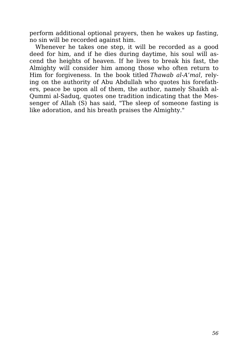perform additional optional prayers, then he wakes up fasting, no sin will be recorded against him.

Whenever he takes one step, it will be recorded as a good deed for him, and if he dies during daytime, his soul will ascend the heights of heaven. If he lives to break his fast, the Almighty will consider him among those who often return to Him for forgiveness. In the book titled *Thawab al-A'mal*, relying on the authority of Abu Abdullah who quotes his forefathers, peace be upon all of them, the author, namely Shaikh al-Qummi al-Saduq, quotes one tradition indicating that the Messenger of Allah (S) has said, "The sleep of someone fasting is like adoration, and his breath praises the Almighty."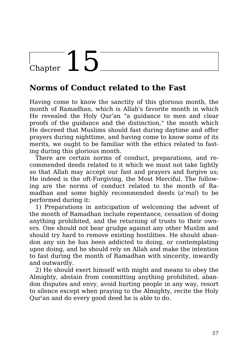## Chapter  $15$

### **Norms of Conduct related to the Fast**

Having come to know the sanctity of this glorious month, the month of Ramadhan, which is Allah's favorite month in which He revealed the Holy Qur'an "a guidance to men and clear proofs of the guidance and the distinction," the month which He decreed that Muslims should fast during daytime and offer prayers during nighttime, and having come to know some of its merits, we ought to be familiar with the ethics related to fasting during this glorious month.

There are certain norms of conduct, preparations, and recommended deeds related to it which we must not take lightly so that Allah may accept our fast and prayers and forgive us; He indeed is the oft-Forgiving, the Most Merciful. The following are the norms of conduct related to the month of Ramadhan and some highly recommended deeds (*a'mal*) to be performed during it:

1) Preparations in anticipation of welcoming the advent of the month of Ramadhan include repentance, cessation of doing anything prohibited, and the returning of trusts to their owners. One should not bear grudge against any other Muslim and should try hard to remove existing hostilities. He should abandon any sin he has been addicted to doing, or contemplating upon doing, and he should rely on Allah and make the intention to fast during the month of Ramadhan with sincerity, inwardly and outwardly.

2) He should exert himself with might and means to obey the Almighty, abstain from committing anything prohibited, abandon disputes and envy, avoid hurting people in any way, resort to silence except when praying to the Almighty, recite the Holy Qur'an and do every good deed he is able to do.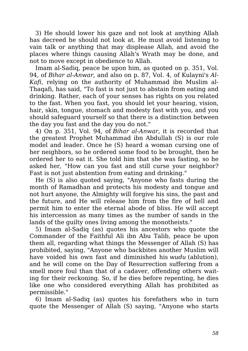3) He should lower his gaze and not look at anything Allah has decreed he should not look at. He must avoid listening to vain talk or anything that may displease Allah, and avoid the places where things causing Allah's Wrath may be done, and not to move except in obedience to Allah.

Imam al-Sadiq, peace be upon him, as quoted on p. 351, Vol. 94, of *Bihar al-Anwar*, and also on p. 87, Vol. 4, of Kulayni's *Al-Kafi*, relying on the authority of Muhammad ibn Muslim al-Thaqafi, has said, "To fast is not just to abstain from eating and drinking. Rather, each of your senses has rights on you related to the fast. When you fast, you should let your hearing, vision, hair, skin, tongue, stomach and modesty fast with you, and you should safeguard yourself so that there is a distinction between the day you fast and the day you do not."

4) On p. 351, Vol. 94, of *Bihar al-Anwar*, it is recorded that the greatest Prophet Muhammad ibn Abdullah (S) is our role model and leader. Once he (S) heard a woman cursing one of her neighbors, so he ordered some food to be brought, then he ordered her to eat it. She told him that she was fasting, so he asked her, "How can you fast and still curse your neighbor? Fast is not just abstention from eating and drinking."

He (S) is also quoted saying, "Anyone who fasts during the month of Ramadhan and protects his modesty and tongue and not hurt anyone, the Almighty will forgive his sins, the past and the future, and He will release him from the fire of hell and permit him to enter the eternal abode of bliss. He will accept his intercession as many times as the number of sands in the lands of the guilty ones living among the monotheists."

5) Imam al-Sadiq (as) quotes his ancestors who quote the Commander of the Faithful Ali ibn Abu Talib, peace be upon them all, regarding what things the Messenger of Allah (S) has prohibited, saying, "Anyone who backbites another Muslim will have voided his own fast and diminished his *wudu* (ablution), and he will come on the Day of Resurrection suffering from a smell more foul than that of a cadaver, offending others waiting for their reckoning. So, if he dies before repenting, he dies like one who considered everything Allah has prohibited as permissible."

6) Imam al-Sadiq (as) quotes his forefathers who in turn quote the Messenger of Allah (S) saying, "Anyone who starts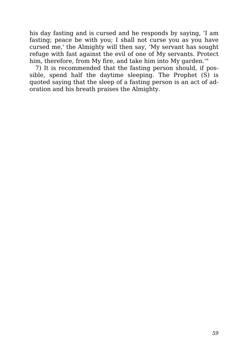his day fasting and is cursed and he responds by saying, 'I am fasting; peace be with you; I shall not curse you as you have cursed me,' the Almighty will then say, 'My servant has sought refuge with fast against the evil of one of My servants. Protect him, therefore, from My fire, and take him into My garden.'"

7) It is recommended that the fasting person should, if possible, spend half the daytime sleeping. The Prophet (S) is quoted saying that the sleep of a fasting person is an act of adoration and his breath praises the Almighty.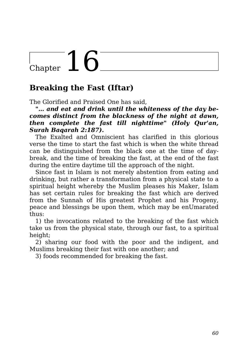## Chapter  $16$

### **Breaking the Fast (Iftar)**

The Glorified and Praised One has said,

*"… and eat and drink until the whiteness of the day becomes distinct from the blackness of the night at dawn, then complete the fast till nighttime" (Holy Qur'an, Surah Baqarah 2:187).*

The Exalted and Omniscient has clarified in this glorious verse the time to start the fast which is when the white thread can be distinguished from the black one at the time of daybreak, and the time of breaking the fast, at the end of the fast during the entire daytime till the approach of the night.

Since fast in Islam is not merely abstention from eating and drinking, but rather a transformation from a physical state to a spiritual height whereby the Muslim pleases his Maker, Islam has set certain rules for breaking the fast which are derived from the Sunnah of His greatest Prophet and his Progeny, peace and blessings be upon them, which may be enUmarated thus:

1) the invocations related to the breaking of the fast which take us from the physical state, through our fast, to a spiritual height;

2) sharing our food with the poor and the indigent, and Muslims breaking their fast with one another; and

3) foods recommended for breaking the fast.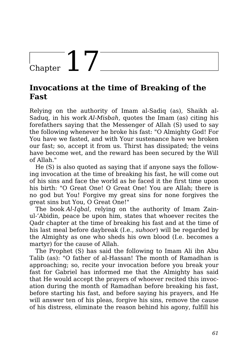## $\begin{array}{c} \begin{array}{c} \end{array} \end{array}$  Chapter  $\begin{array}{c} \begin{array}{c} \end{array}$

### **Invocations at the time of Breaking of the Fast**

Relying on the authority of Imam al-Sadiq (as), Shaikh al-Saduq, in his work *Al-Misbah*, quotes the Imam (as) citing his forefathers saying that the Messenger of Allah (S) used to say the following whenever he broke his fast: "O Almighty God! For You have we fasted, and with Your sustenance have we broken our fast; so, accept it from us. Thirst has dissipated; the veins have become wet, and the reward has been secured by the Will of Allah."

He (S) is also quoted as saying that if anyone says the following invocation at the time of breaking his fast, he will come out of his sins and face the world as he faced it the first time upon his birth: "O Great One! O Great One! You are Allah; there is no god but You! Forgive my great sins for none forgives the great sins but You, O Great One!"

The book *Al-Iqbal*, relying on the authority of Imam Zainul-'Abidin, peace be upon him, states that whoever recites the Qadr chapter at the time of breaking his fast and at the time of his last meal before daybreak (I.e., *suhoor*) will be regarded by the Almighty as one who sheds his own blood (I.e. becomes a martyr) for the cause of Allah.

The Prophet (S) has said the following to Imam Ali ibn Abu Talib (as): "O father of al-Hassan! The month of Ramadhan is approaching; so, recite your invocation before you break your fast for Gabriel has informed me that the Almighty has said that He would accept the prayers of whoever recited this invocation during the month of Ramadhan before breaking his fast, before starting his fast, and before saying his prayers, and He will answer ten of his pleas, forgive his sins, remove the cause of his distress, eliminate the reason behind his agony, fulfill his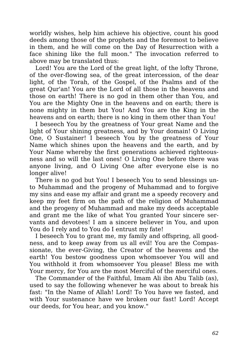worldly wishes, help him achieve his objective, count his good deeds among those of the prophets and the foremost to believe in them, and he will come on the Day of Resurrection with a face shining like the full moon." The invocation referred to above may be translated thus:

Lord! You are the Lord of the great light, of the lofty Throne, of the over-flowing sea, of the great intercession, of the dear light, of the Torah, of the Gospel, of the Psalms and of the great Qur'an! You are the Lord of all those in the heavens and those on earth! There is no god in them other than You, and You are the Mighty One in the heavens and on earth; there is none mighty in them but You! And You are the King in the heavens and on earth; there is no king in them other than You!

I beseech You by the greatness of Your great Name and the light of Your shining greatness, and by Your domain! O Living One, O Sustainer! I beseech You by the greatness of Your Name which shines upon the heavens and the earth, and by Your Name whereby the first generations achieved righteousness and so will the last ones! O Living One before there was anyone living, and O Living One after everyone else is no longer alive!

There is no god but You! I beseech You to send blessings unto Muhammad and the progeny of Muhammad and to forgive my sins and ease my affair and grant me a speedy recovery and keep my feet firm on the path of the religion of Muhammad and the progeny of Muhammad and make my deeds acceptable and grant me the like of what You granted Your sincere servants and devotees! I am a sincere believer in You, and upon You do I rely and to You do I entrust my fate!

I beseech You to grant me, my family and offspring, all goodness, and to keep away from us all evil! You are the Compassionate, the ever-Giving, the Creator of the heavens and the earth! You bestow goodness upon whomsoever You will and You withhold it from whomsoever You please! Bless me with Your mercy, for You are the most Merciful of the merciful ones.

The Commander of the Faithful, Imam Ali ibn Abu Talib (as), used to say the following whenever he was about to break his fast: "In the Name of Allah! Lord! To You have we fasted, and with Your sustenance have we broken our fast! Lord! Accept our deeds, for You hear, and you know."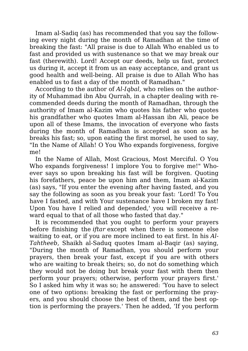Imam al-Sadiq (as) has recommended that you say the following every night during the month of Ramadhan at the time of breaking the fast: "All praise is due to Allah Who enabled us to fast and provided us with sustenance so that we may break our fast (therewith). Lord! Accept our deeds, help us fast, protect us during it, accept it from us an easy acceptance, and grant us good health and well-being. All praise is due to Allah Who has enabled us to fast a day of the month of Ramadhan."

According to the author of *Al-Iqbal*, who relies on the authority of Muhammad ibn Abu Qurrah, in a chapter dealing with recommended deeds during the month of Ramadhan, through the authority of Imam al-Kazim who quotes his father who quotes his grandfather who quotes Imam al-Hassan ibn Ali, peace be upon all of these Imams, the invocation of everyone who fasts during the month of Ramadhan is accepted as soon as he breaks his fast; so, upon eating the first morsel, he used to say, "In the Name of Allah! O You Who expands forgiveness, forgive me!

In the Name of Allah, Most Gracious, Most Merciful. O You Who expands forgiveness! I implore You to forgive me!" Whoever says so upon breaking his fast will be forgiven. Quoting his forefathers, peace be upon him and them, Imam al-Kazim (as) says, "If you enter the evening after having fasted, and you say the following as soon as you break your fast: 'Lord! To You have I fasted, and with Your sustenance have I broken my fast! Upon You have I relied and depended,' you will receive a reward equal to that of all those who fasted that day."

It is recommended that you ought to perform your prayers before finishing the *iftar* except when there is someone else waiting to eat, or if you are more inclined to eat first. In his *Al-Tahtheeb*, Shaikh al-Saduq quotes Imam al-Baqir (as) saying, "During the month of Ramadhan, you should perform your prayers, then break your fast, except if you are with others who are waiting to break theirs; so, do not do something which they would not be doing but break your fast with them then perform your prayers; otherwise, perform your prayers first.' So I asked him why it was so; he answered: 'You have to select one of two options: breaking the fast or performing the prayers, and you should choose the best of them, and the best option is performing the prayers.' Then he added, 'If you perform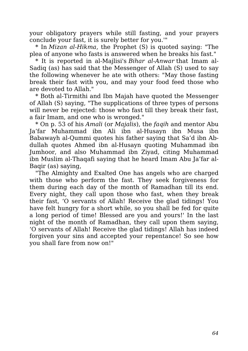your obligatory prayers while still fasting, and your prayers conclude your fast, it is surely better for you.'"

\* In *Mizan al-Hikma*, the Prophet (S) is quoted saying: "The plea of anyone who fasts is answered when he breaks his fast."

\* It is reported in al-Majlisi's *Bihar al-Anwar* that Imam al-Sadiq (as) has said that the Messenger of Allah (S) used to say the following whenever he ate with others: "May those fasting break their fast with you, and may your food feed those who are devoted to Allah."

\* Both al-Tirmithi and Ibn Majah have quoted the Messenger of Allah (S) saying, "The supplications of three types of persons will never be rejected: those who fast till they break their fast, a fair Imam, and one who is wronged."

\* On p. 53 of his *Amali* (or *Majalis*), the *faqih* and mentor Abu Ja'far Muhammad ibn Ali ibn al-Husayn ibn Musa ibn Babawayh al-Qummi quotes his father saying that Sa'd ibn Abdullah quotes Ahmed ibn al-Husayn quoting Muhammad ibn Jumhoor, and also Muhammad ibn Ziyad, citing Muhammad ibn Muslim al-Thaqafi saying that he heard Imam Abu Ja'far al-Baqir (as) saying,

"The Almighty and Exalted One has angels who are charged with those who perform the fast. They seek forgiveness for them during each day of the month of Ramadhan till its end. Every night, they call upon those who fast, when they break their fast, 'O servants of Allah! Receive the glad tidings! You have felt hungry for a short while, so you shall be fed for quite a long period of time! Blessed are you and yours!' In the last night of the month of Ramadhan, they call upon them saying, 'O servants of Allah! Receive the glad tidings! Allah has indeed forgiven your sins and accepted your repentance! So see how you shall fare from now on!"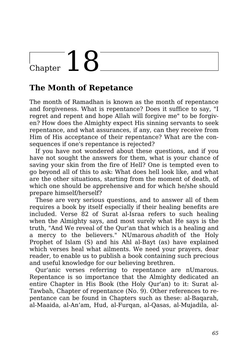# Chapter  $18$

### **The Month of Repetance**

The month of Ramadhan is known as the month of repentance and forgiveness. What is repentance? Does it suffice to say, "I regret and repent and hope Allah will forgive me" to be forgiven? How does the Almighty expect His sinning servants to seek repentance, and what assurances, if any, can they receive from Him of His acceptance of their repentance? What are the consequences if one's repentance is rejected?

If you have not wondered about these questions, and if you have not sought the answers for them, what is your chance of saving your skin from the fire of Hell? One is tempted even to go beyond all of this to ask: What does hell look like, and what are the other situations, starting from the moment of death, of which one should be apprehensive and for which he/she should prepare himself/herself?

These are very serious questions, and to answer all of them requires a book by itself especially if their healing benefits are included. Verse 82 of Surat al-Israa refers to such healing when the Almighty says, and most surely what He says is the truth, "And We reveal of the Qur'an that which is a healing and a mercy to the believers." NUmarous *ahadith* of the Holy Prophet of Islam (S) and his Ahl al-Bayt (as) have explained which verses heal what ailments. We need your prayers, dear reader, to enable us to publish a book containing such precious and useful knowledge for our believing brethren.

Qur'anic verses referring to repentance are nUmarous. Repentance is so importance that the Almighty dedicated an entire Chapter in His Book (the Holy Qur'an) to it: Surat al-Tawbah, Chapter of repentance (No. 9). Other references to repentance can be found in Chapters such as these: al-Baqarah, al-Maaida, al-An'am, Hud, al-Furqan, al-Qasas, al-Mujadila, al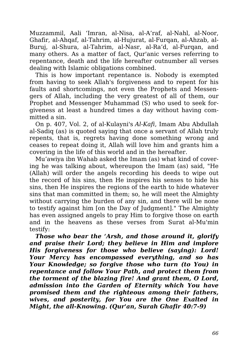Muzzammil, Aali 'Imran, al-Nisa, al-A'raf, al-Nahl, al-Noor, Ghafir, al-Ahqaf, al-Tahrim, al-Hujurat, al-Furqan, al-Ahzab, al-Buruj, al-Shura, al-Tahrim, al-Nasr, al-Ra'd, al-Furqan, and many others. As a matter of fact, Qur'anic verses referring to repentance, death and the life hereafter outnumber all verses dealing with Islamic obligations combined.

This is how important repentance is. Nobody is exempted from having to seek Allah's forgiveness and to repent for his faults and shortcomings, not even the Prophets and Messengers of Allah, including the very greatest of all of them, our Prophet and Messenger Muhammad (S) who used to seek forgiveness at least a hundred times a day without having committed a sin.

On p. 407, Vol. 2, of al-Kulayni's *Al-Kafi*, Imam Abu Abdullah al-Sadiq (as) is quoted saying that once a servant of Allah truly repents, that is, regrets having done something wrong and ceases to repeat doing it, Allah will love him and grants him a covering in the life of this world and in the hereafter.

Mu'awiya ibn Wahab asked the Imam (as) what kind of covering he was talking about, whereupon the Imam (as) said, "He (Allah) will order the angels recording his deeds to wipe out the record of his sins, then He inspires his senses to hide his sins, then He inspires the regions of the earth to hide whatever sins that man committed in them; so, he will meet the Almighty without carrying the burden of any sin, and there will be none to testify against him [on the Day of Judgment]." The Almighty has even assigned angels to pray Him to forgive those on earth and in the heavens as these verses from Surat al-Mu'min testify:

*Those who bear the 'Arsh, and those around it, glorify and praise their Lord; they believe in Him and implore His forgiveness for those who believe (saying): Lord! Your Mercy has encompassed everything, and so has Your Knowledge; so forgive those who turn (to You) in repentance and follow Your Path, and protect them from the torment of the blazing fire! And grant them, O Lord, admission into the Garden of Eternity which You have promised them and the righteous among their fathers, wives, and posterity, for You are the One Exalted in Might, the all-Knowing. (Qur'an, Surah Ghafir 40:7-9)*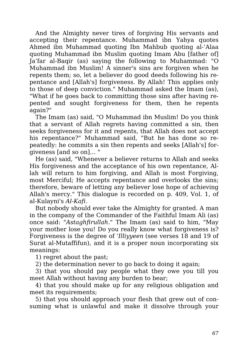And the Almighty never tires of forgiving His servants and accepting their repentance. Muhammad ibn Yahya quotes Ahmed ibn Muhammad quoting Ibn Mahbub quoting al-'Alaa quoting Muhammad ibn Muslim quoting Imam Abu [father of] Ja'far al-Baqir (as) saying the following to Muhammad: "O Muhammad ibn Muslim! A sinner's sins are forgiven when he repents them; so, let a believer do good deeds following his repentance and [Allah's] forgiveness. By Allah! This applies only to those of deep conviction." Muhammad asked the Imam (as), "What if he goes back to committing those sins after having repented and sought forgiveness for them, then he repents again?"

The Imam (as) said, "O Muhammad ibn Muslim! Do you think that a servant of Allah regrets having committed a sin, then seeks forgiveness for it and repents, that Allah does not accept his repentance?" Muhammad said, "But he has done so repeatedly: he commits a sin then repents and seeks [Allah's] forgiveness [and so on]… "

He (as) said, "Whenever a believer returns to Allah and seeks His forgiveness and the acceptance of his own repentance, Allah will return to him forgiving, and Allah is most Forgiving, most Merciful; He accepts repentance and overlooks the sins; therefore, beware of letting any believer lose hope of achieving Allah's mercy." This dialogue is recorded on p. 409, Vol. 1, of al-Kulayni's *Al-Kafi*.

But nobody should ever take the Almighty for granted. A man in the company of the Commander of the Faithful Imam Ali (as) once said: "*Astaghfirullah*." The Imam (as) said to him, "May your mother lose you! Do you really know what forgiveness is? Forgiveness is the degree of *'Illiyyeen* (see verses 18 and 19 of Surat al-Mutaffifun), and it is a proper noun incorporating six meanings:

1) regret about the past;

2) the determination never to go back to doing it again;

3) that you should pay people what they owe you till you meet Allah without having any burden to bear;

4) that you should make up for any religious obligation and meet its requirements;

5) that you should approach your flesh that grew out of consuming what is unlawful and make it dissolve through your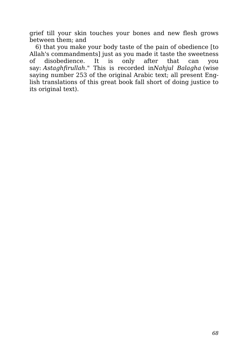grief till your skin touches your bones and new flesh grows between them; and

6) that you make your body taste of the pain of obedience [to Allah's commandments] just as you made it taste the sweetness of disobedience. It is only after that can you say: *Astaghfirullah*." This is recorded in*Nahjul Balagha* (wise saying number 253 of the original Arabic text; all present English translations of this great book fall short of doing justice to its original text).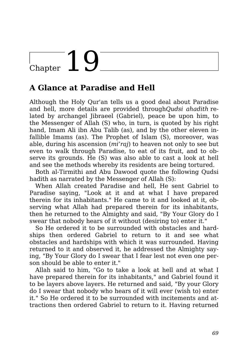## $\overline{\text{Chapter 10}}$

### **A Glance at Paradise and Hell**

Although the Holy Qur'an tells us a good deal about Paradise and hell, more details are provided through*Qudsi ahadith* related by archangel Jibraeel (Gabriel), peace be upon him, to the Messenger of Allah (S) who, in turn, is quoted by his right hand, Imam Ali ibn Abu Talib (as), and by the other eleven infallible Imams (as). The Prophet of Islam (S), moreover, was able, during his ascension (*mi'raj*) to heaven not only to see but even to walk through Paradise, to eat of its fruit, and to observe its grounds. He (S) was also able to cast a look at hell and see the methods whereby its residents are being tortured.

Both al-Tirmithi and Abu Dawood quote the following Qudsi hadith as narrated by the Messenger of Allah (S):

When Allah created Paradise and hell, He sent Gabriel to Paradise saying, "Look at it and at what I have prepared therein for its inhabitants." He came to it and looked at it, observing what Allah had prepared therein for its inhabitants, then he returned to the Almighty and said, "By Your Glory do I swear that nobody hears of it without (desiring to) enter it."

So He ordered it to be surrounded with obstacles and hardships then ordered Gabriel to return to it and see what obstacles and hardships with which it was surrounded. Having returned to it and observed it, he addressed the Almighty saying, "By Your Glory do I swear that I fear lest not even one person should be able to enter it."

Allah said to him, "Go to take a look at hell and at what I have prepared therein for its inhabitants," and Gabriel found it to be layers above layers. He returned and said, "By your Glory do I swear that nobody who hears of it will ever (wish to) enter it." So He ordered it to be surrounded with incitements and attractions then ordered Gabriel to return to it. Having returned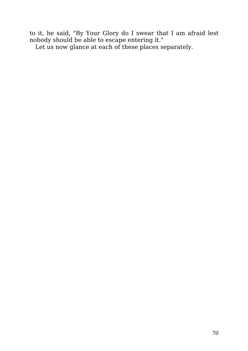to it, he said, "By Your Glory do I swear that I am afraid lest nobody should be able to escape entering it."

Let us now glance at each of these places separately.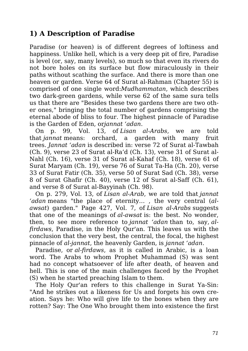#### **1) A Description of Paradise**

Paradise (or heaven) is of different degrees of loftiness and happiness. Unlike hell, which is a very deep pit of fire, Paradise is level (or, say, many levels), so much so that even its rivers do not bore holes on its surface but flow miraculously in their paths without scathing the surface. And there is more than one heaven or garden. Verse 64 of Surat al-Rahman (Chapter 55) is comprised of one single word:*Mudhammatan*, which describes two dark-green gardens, while verse 62 of the same sura tells us that there are "Besides these two gardens there are two other ones," bringing the total number of gardens comprising the eternal abode of bliss to four. The highest pinnacle of Paradise is the Garden of Eden, or*jannat 'adan*.

On p. 99, Vol. 13, of *Lisan al-Arabs*, we are told that *jannat* means: orchard, a garden with many fruit trees. *Jannat 'adan* is described in: verse 72 of Surat al-Tawbah (Ch. 9), verse 23 of Surat al-Ra'd (Ch. 13), verse 31 of Surat al-Nahl (Ch. 16), verse 31 of Surat al-Kahaf (Ch. 18), verse 61 of Surat Maryam (Ch. 19), verse 76 of Surat Ta-Ha (Ch. 20), verse 33 of Surat Fatir (Ch. 35), verse 50 of Surat Sad (Ch. 38), verse 8 of Surat Ghafir (Ch. 40), verse 12 of Surat al-Saff (Ch. 61), and verse 8 of Surat al-Bayyinah (Ch. 98).

On p. 279, Vol. 13, of *Lisan al-Arab*, we are told that *jannat 'adan* means "the place of eternity… , the very central (*alawsat*) garden." Page 427, Vol. 7, of *Lisan al-Arabs* suggests that one of the meanings of *al-awsat* is: the best. No wonder, then, to see more reference to *jannat 'adan* than to, say, *alfirdaws*, Paradise, in the Holy Qur'an. This leaves us with the conclusion that the very best, the central, the focal, the highest pinnacle of *al-jannat*, the heavenly Garden, is *jannat 'adan*.

Paradise, or *al-firdaws*, as it is called in Arabic, is a loan word. The Arabs to whom Prophet Muhammad (S) was sent had no concept whatsoever of life after death, of heaven and hell. This is one of the main challenges faced by the Prophet (S) when he started preaching Islam to them.

The Holy Qur'an refers to this challenge in Surat Ya-Sin: "And he strikes out a likeness for Us and forgets his own creation. Says he: Who will give life to the bones when they are rotten? Say: The One Who brought them into existence the first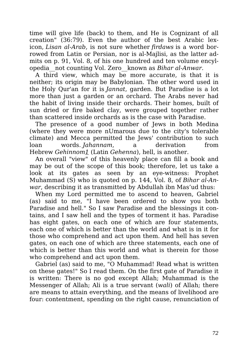time will give life (back) to them, and He is Cognizant of all creation" (36:79). Even the author of the best Arabic lexicon, *Lisan al-Arab*, is not sure whether *firdaws* is a word borrowed from Latin or Persian, nor is al-Majlisi, as the latter admits on p. 91, Vol. 8, of his one hundred and ten volume encylopedia\_\_not counting Vol. Zero\_\_known as *Bihar al-Anwar*.

A third view, which may be more accurate, is that it is neither; its origin may be Babylonian. The other word used in the Holy Qur'an for it is *Jannat*, garden. But Paradise is a lot more than just a garden or an orchard. The Arabs never had the habit of living inside their orchards. Their homes, built of sun dried or fire baked clay, were grouped together rather than scattered inside orchards as is the case with Paradise.

The presence of a good number of Jews in both Medina (where they were more nUmarous due to the city's tolerable climate) and Mecca permitted the Jews' contribution to such loan words. *Jahannam*, a derivation from Hebrew *Gehinnom1* (Latin *Gehenna*), hell, is another.

An overall "view" of this heavenly place can fill a book and may be out of the scope of this book; therefore, let us take a look at its gates as seen by an eye-witness: Prophet Muhammad (S) who is quoted on p. 144, Vol. 8, of *Bihar al-Anwar*, describing it as transmitted by Abdullah ibn Mas'ud thus:

When my Lord permitted me to ascend to heaven, Gabriel (as) said to me, "I have been ordered to show you both Paradise and hell." So I saw Paradise and the blessings it contains, and I saw hell and the types of torment it has. Paradise has eight gates, on each one of which are four statements, each one of which is better than the world and what is in it for those who comprehend and act upon them. And hell has seven gates, on each one of which are three statements, each one of which is better than this world and what is therein for those who comprehend and act upon them.

Gabriel (as) said to me, "O Muhammad! Read what is written on these gates!" So I read them. On the first gate of Paradise it is written: There is no god except Allah; Muhammad is the Messenger of Allah; Ali is a true servant (*wali*) of Allah; there are means to attain everything, and the means of livelihood are four: contentment, spending on the right cause, renunciation of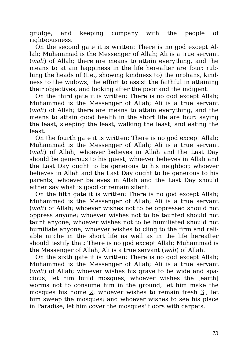grudge, and keeping company with the people of righteousness.

On the second gate it is written: There is no god except Allah; Muhammad is the Messenger of Allah; Ali is a true servant (*wali*) of Allah; there are means to attain everything, and the means to attain happiness in the life hereafter are four: rubbing the heads of (I.e., showing kindness to) the orphans, kindness to the widows, the effort to assist the faithful in attaining their objectives, and looking after the poor and the indigent.

On the third gate it is written: There is no god except Allah; Muhammad is the Messenger of Allah; Ali is a true servant (*wali*) of Allah; there are means to attain everything, and the means to attain good health in the short life are four: saying the least, sleeping the least, walking the least, and eating the least.

On the fourth gate it is written: There is no god except Allah; Muhammad is the Messenger of Allah; Ali is a true servant (*wali*) of Allah; whoever believes in Allah and the Last Day should be generous to his guest; whoever believes in Allah and the Last Day ought to be generous to his neighbor; whoever believes in Allah and the Last Day ought to be generous to his parents; whoever believes in Allah and the Last Day should either say what is good or remain silent.

On the fifth gate it is written: There is no god except Allah; Muhammad is the Messenger of Allah; Ali is a true servant (*wali*) of Allah; whoever wishes not to be oppressed should not oppress anyone; whoever wishes not to be taunted should not taunt anyone; whoever wishes not to be humiliated should not humiliate anyone; whoever wishes to cling to the firm and reliable nitche in the short life as well as in the life hereafter should testify that: There is no god except Allah; Muhammad is the Messenger of Allah; Ali is a true servant (*wali*) of Allah.

On the sixth gate it is written: There is no god except Allah; Muhammad is the Messenger of Allah; Ali is a true servant (*wali*) of Allah; whoever wishes his grave to be wide and spacious, let him build mosques; whoever wishes the [earth] worms not to consume him in the ground, let him make the mosques his home 2; whoever wishes to remain fresh 3 , let him sweep the mosques; and whoever wishes to see his place in Paradise, let him cover the mosques' floors with carpets.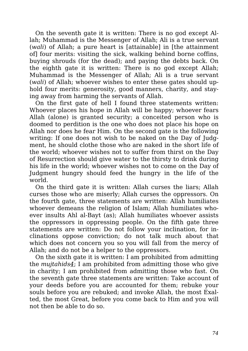On the seventh gate it is written: There is no god except Allah; Muhammad is the Messenger of Allah; Ali is a true servant (*wali*) of Allah; a pure heart is [attainable] in [the attainment of] four merits: visiting the sick, walking behind borne coffins, buying shrouds (for the dead); and paying the debts back. On the eighth gate it is written: There is no god except Allah; Muhammad is the Messenger of Allah; Ali is a true servant (*wali*) of Allah; whoever wishes to enter these gates should uphold four merits: generosity, good manners, charity, and staying away from harming the servants of Allah.

On the first gate of hell I found three statements written: Whoever places his hope in Allah will be happy; whoever fears Allah (alone) is granted security; a conceited person who is doomed to perdition is the one who does not place his hope on Allah nor does he fear Him. On the second gate is the following writing: If one does not wish to be naked on the Day of Judgment, he should clothe those who are naked in the short life of the world; whoever wishes not to suffer from thirst on the Day of Resurrection should give water to the thirsty to drink during his life in the world; whoever wishes not to come on the Day of Judgment hungry should feed the hungry in the life of the world.

On the third gate it is written: Allah curses the liars; Allah curses those who are miserly; Allah curses the oppressors. On the fourth gate, three statements are written: Allah humiliates whoever demeans the religion of Islam: Allah humiliates whoever insults Ahl al-Bayt (as); Allah humiliates whoever assists the oppressors in oppressing people. On the fifth gate three statements are written: Do not follow your inclination, for inclinations oppose conviction; do not talk much about that which does not concern you so you will fall from the mercy of Allah; and do not be a helper to the oppressors.

On the sixth gate it is written: I am prohibited from admitting the *mujtahids4*; I am prohibited from admitting those who give in charity; I am prohibited from admitting those who fast. On the seventh gate three statements are written: Take account of your deeds before you are accounted for them; rebuke your souls before you are rebuked; and invoke Allah, the most Exalted, the most Great, before you come back to Him and you will not then be able to do so.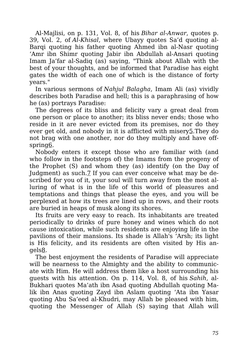Al-Majlisi, on p. 131, Vol. 8, of his *Bihar al-Anwar*, quotes p. 39, Vol. 2, of *Al-Khisal*, where Ubayy quotes Sa'd quoting al-Barqi quoting his father quoting Ahmed ibn al-Nasr quoting 'Amr ibn Shimr quoting Jabir ibn Abdullah al-Ansari quoting Imam Ja'far al-Sadiq (as) saying, "Think about Allah with the best of your thoughts, and be informed that Paradise has eight gates the width of each one of which is the distance of forty years."

In various sermons of *Nahjul Balagha*, Imam Ali (as) vividly describes both Paradise and hell; this is a paraphrasing of how he (as) portrays Paradise:

The degrees of its bliss and felicity vary a great deal from one person or place to another; its bliss never ends; those who reside in it are never evicted from its premises, nor do they ever get old, and nobody in it is afflicted with misery5.They do not brag with one another, nor do they multiply and have offspring6.

Nobody enters it except those who are familiar with (and who follow in the footsteps of) the Imams from the progeny of the Prophet (S) and whom they (as) identify (on the Day of Judgment) as such.7 If you can ever conceive what may be described for you of it, your soul will turn away from the most alluring of what is in the life of this world of pleasures and temptations and things that please the eyes, and you will be perplexed at how its trees are lined up in rows, and their roots are buried in heaps of musk along its shores.

Its fruits are very easy to reach. Its inhabitants are treated periodically to drinks of pure honey and wines which do not cause intoxication, while such residents are enjoying life in the pavilions of their mansions. Its shade is Allah's 'Arsh; its light is His felicity, and its residents are often visited by His angels8.

The best enjoyment the residents of Paradise will appreciate will be nearness to the Almighty and the ability to communicate with Him. He will address them like a host surrounding his guests with his attention. On p. 114, Vol. 8, of his *Sahih*, al-Bukhari quotes Ma'ath ibn Asad quoting Abdullah quoting Malik ibn Anas quoting Zayd ibn Aslam quoting 'Ata ibn Yasar quoting Abu Sa'eed al-Khudri, may Allah be pleased with him, quoting the Messenger of Allah (S) saying that Allah will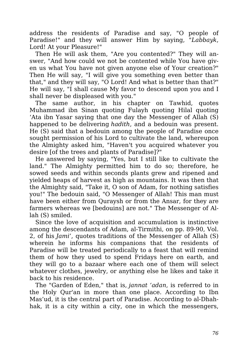address the residents of Paradise and say, "O people of Paradise!" and they will answer Him by saying, "*Labbayk*, Lord! At your Pleasure!"

Then He will ask them, "Are you contented?" They will answer, "And how could we not be contented while You have given us what You have not given anyone else of Your creation?" Then He will say, "I will give you something even better than that," and they will say, "O Lord! And what is better than that?" He will say, "I shall cause My favor to descend upon you and I shall never be displeased with you."

The same author, in his chapter on Tawhid, quotes Muhammad ibn Sinan quoting Fulayh quoting Hilal quoting 'Ata ibn Yasar saying that one day the Messenger of Allah (S) happened to be delivering *hadith*, and a bedouin was present. He (S) said that a bedouin among the people of Paradise once sought permission of his Lord to cultivate the land, whereupon the Almighty asked him, "Haven't you acquired whatever you desire [of the trees and plants of Paradise]?"

He answered by saying, "Yes, but I still like to cultivate the land." The Almighty permitted him to do so; therefore, he sowed seeds and within seconds plants grew and ripened and yielded heaps of harvest as high as mountains. It was then that the Almighty said, "Take it, O son of Adam, for nothing satisfies you!" The bedouin said, "O Messenger of Allah! This man must have been either from Quraysh or from the Ansar, for they are farmers whereas we [bedouins] are not." The Messenger of Allah (S) smiled.

Since the love of acquisition and accumulation is instinctive among the descendants of Adam, al-Tirmithi, on pp. 89-90, Vol. 2, of his *Jami'*, quotes traditions of the Messenger of Allah (S) wherein he informs his companions that the residents of Paradise will be treated periodically to a feast that will remind them of how they used to spend Fridays here on earth, and they will go to a bazaar where each one of them will select whatever clothes, jewelry, or anything else he likes and take it back to his residence.

The "Garden of Eden," that is, *jannat 'adan*, is referred to in the Holy Qur'an in more than one place. According to Ibn Mas'ud, it is the central part of Paradise. According to al-Dhahhak, it is a city within a city, one in which the messengers,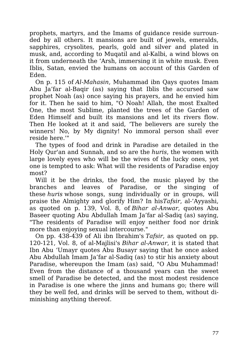prophets, martyrs, and the Imams of guidance reside surrounded by all others. It mansions are built of jewels, emeralds, sapphires, crysolites, pearls, gold and silver and plated in musk, and, according to Muqatil and al-Kalbi, a wind blows on it from underneath the 'Arsh, immersing it in white musk. Even Iblis, Satan, envied the humans on account of this Garden of Eden.

On p. 115 of *Al-Mahasin*, Muhammad ibn Qays quotes Imam Abu Ja'far al-Baqir (as) saying that Iblis the accursed saw prophet Noah (as) once saying his prayers, and he envied him for it. Then he said to him, "O Noah! Allah, the most Exalted One, the most Sublime, planted the trees of the Garden of Eden Himself and built its mansions and let its rivers flow. Then He looked at it and said, 'The believers are surely the winners! No, by My dignity! No immoral person shall ever reside here.'"

The types of food and drink in Paradise are detailed in the Holy Qur'an and Sunnah, and so are the *huris*, the women with large lovely eyes who will be the wives of the lucky ones, yet one is tempted to ask: What will the residents of Paradise enjoy most?

Will it be the drinks, the food, the music played by the branches and leaves of Paradise, or the singing of these *huris* whose songs, sung individually or in groups, will praise the Almighty and glorify Him? In his*Tafsir*, al-'Ayyashi, as quoted on p. 139, Vol. 8, of *Bihar al-Anwar*, quotes Abu Baseer quoting Abu Abdullah Imam Ja'far al-Sadiq (as) saying, "The residents of Paradise will enjoy neither food nor drink more than enjoying sexual intercourse."

On pp. 438-439 of Ali ibn Ibrahim's *Tafsir*, as quoted on pp. 120-121, Vol. 8, of al-Majlisi's *Bihar al-Anwar*, it is stated that Ibn Abu 'Umayr quotes Abu Busayr saying that he once asked Abu Abdullah Imam Ja'far al-Sadiq (as) to stir his anxiety about Paradise, whereupon the Imam (as) said, "O Abu Muhammad! Even from the distance of a thousand years can the sweet smell of Paradise be detected, and the most modest residence in Paradise is one where the jinns and humans go; there will they be well fed, and drinks will be served to them, without diminishing anything thereof.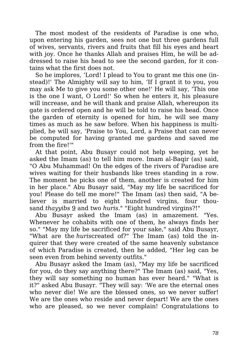The most modest of the residents of Paradise is one who, upon entering his garden, sees not one but three gardens full of wives, servants, rivers and fruits that fill his eyes and heart with joy. Once he thanks Allah and praises Him, he will be addressed to raise his head to see the second garden, for it contains what the first does not.

So he implores, 'Lord! I plead to You to grant me this one (instead)!' The Almighty will say to him, 'If I grant it to you, you may ask Me to give you some other one!' He will say, 'This one is the one I want, O Lord!' So when he enters it, his pleasure will increase, and he will thank and praise Allah, whereupon its gate is ordered open and he will be told to raise his head. Once the garden of eternity is opened for him, he will see many times as much as he saw before. When his happiness is multiplied, he will say, 'Praise to You, Lord, a Praise that can never be computed for having granted me gardens and saved me from the fire!'"

At that point, Abu Busayr could not help weeping, yet he asked the Imam (as) to tell him more. Imam al-Baqir (as) said, "O Abu Muhammad! On the edges of the rivers of Paradise are wives waiting for their husbands like trees standing in a row. The moment he picks one of them, another is created for him in her place." Abu Busayr said, "May my life be sacrificed for you! Please do tell me more!" The Imam (as) then said, "A believer is married to eight hundred virgins, four thousand *thayyibs* 9 and two *huris*." "Eight hundred virgins?!"

Abu Busayr asked the Imam (as) in amazement. "Yes. Whenever he cohabits with one of them, he always finds her so." "May my life be sacrificed for your sake," said Abu Busayr, "What are the *huris*created of?" The Imam (as) told the inquirer that they were created of the same heavenly substance of which Paradise is created, then he added, "Her leg can be seen even from behind seventy outfits."

Abu Busayr asked the Imam (as), "May my life be sacrificed for you, do they say anything there?" The Imam (as) said, "Yes, they will say something no human has ever heard." "What is it?" asked Abu Busayr. "They will say: 'We are the eternal ones who never die! We are the blessed ones, so we never suffer! We are the ones who reside and never depart! We are the ones who are pleased, so we never complain! Congratulations to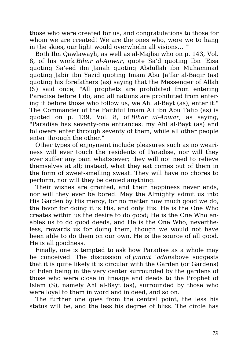those who were created for us, and congratulations to those for whom we are created! We are the ones who, were we to hang in the skies, our light would overwhelm all visions… '"

Both Ibn Qawlawayh, as well as al-Majlisi who on p. 143, Vol. 8, of his work *Bihar al-Anwar*, quote Sa'd quoting Ibn 'Eisa quoting Sa'eed ibn Janah quoting Abdullah ibn Muhammad quoting Jabir ibn Yazid quoting Imam Abu Ja'far al-Baqir (as) quoting his forefathers (as) saying that the Messenger of Allah (S) said once, "All prophets are prohibited from entering Paradise before I do, and all nations are prohibited from entering it before those who follow us, we Ahl al-Bayt (as), enter it." The Commander of the Faithful Imam Ali ibn Abu Talib (as) is quoted on p. 139, Vol. 8, of *Bihar al-Anwar*, as saying, "Paradise has seventy-one entrances: my Ahl al-Bayt (as) and followers enter through seventy of them, while all other people enter through the other."

Other types of enjoyment include pleasures such as no weariness will ever touch the residents of Paradise, nor will they ever suffer any pain whatsoever; they will not need to relieve themselves at all; instead, what they eat comes out of them in the form of sweet-smelling sweat. They will have no chores to perform, nor will they be denied anything.

Their wishes are granted, and their happiness never ends, nor will they ever be bored. May the Almighty admit us into His Garden by His mercy, for no matter how much good we do, the favor for doing it is His, and only His. He is the One Who creates within us the desire to do good; He is the One Who enables us to do good deeds, and He is the One Who, nevertheless, rewards us for doing them, though we would not have been able to do them on our own. He is the source of all good. He is all goodness.

Finally, one is tempted to ask how Paradise as a whole may be conceived. The discussion of *jannat 'adan*above suggests that it is quite likely it is circular with the Garden (or Gardens) of Eden being in the very center surrounded by the gardens of those who were close in lineage and deeds to the Prophet of Islam (S), namely Ahl al-Bayt (as), surrounded by those who were loyal to them in word and in deed, and so on.

The further one goes from the central point, the less his status will be, and the less his degree of bliss. The circle has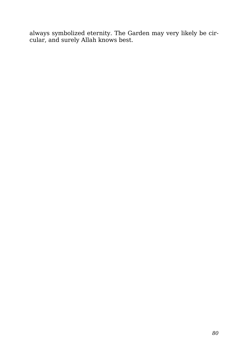always symbolized eternity. The Garden may very likely be circular, and surely Allah knows best.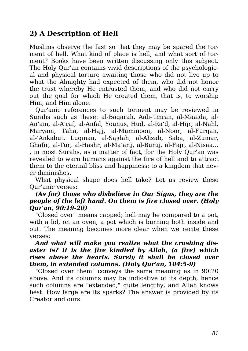#### **2) A Description of Hell**

Muslims observe the fast so that they may be spared the torment of hell. What kind of place is hell, and what sort of torment? Books have been written discussing only this subject. The Holy Qur'an contains vivid descriptions of the psychological and physical torture awaiting those who did not live up to what the Almighty had expected of them, who did not honor the trust whereby He entrusted them, and who did not carry out the goal for which He created them, that is, to worship Him, and Him alone.

Qur'anic references to such torment may be reviewed in Surahs such as these: al-Baqarah, Aali-'Imran, al-Maaida, al-An'am, al-A'raf, al-Anfal, Younus, Hud, al-Ra'd, al-Hijr, al-Nahl, Maryam, Taha, al-Haji, al-Muminoon, al-Noor, al-Furgan, al-'Ankabut, Luqman, al-Sajdah, al-Ahzab, Saba, al-Zumar, Ghafir, al-Tur, al-Hashr, al-Ma'arij, al-Buruj, al-Fajr, al-Nisaa… , in most Surahs, as a matter of fact, for the Holy Qur'an was revealed to warn humans against the fire of hell and to attract them to the eternal bliss and happiness: to a kingdom that never diminishes.

What physical shape does hell take? Let us review these Qur'anic verses:

#### *(As for) those who disbelieve in Our Signs, they are the people of the left hand. On them is fire closed over. (Holy Qur'an, 90:19-20)*

"Closed over" means capped; hell may be compared to a pot, with a lid, on an oven, a pot which is burning both inside and out. The meaning becomes more clear when we recite these verses:

#### *And what will make you realize what the crushing disaster is? It is the fire kindled by Allah, (a fire) which rises above the hearts. Surely it shall be closed over them, in extended columns. (Holy Qur'an, 104:5-9)*

"Closed over them" conveys the same meaning as in 90:20 above. And its columns may be indicative of its depth, hence such columns are "extended," quite lengthy, and Allah knows best. How large are its sparks? The answer is provided by its Creator and ours: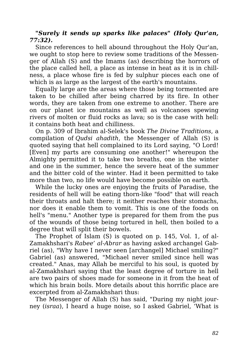#### *"Surely it sends up sparks like palaces" (Holy Qur'an, 77:32).*

Since references to hell abound throughout the Holy Qur'an, we ought to stop here to review some traditions of the Messenger of Allah (S) and the Imams (as) describing the horrors of the place called hell, a place as intense in heat as it is in chillness, a place whose fire is fed by sulphur pieces each one of which is as large as the largest of the earth's mountains.

Equally large are the areas where those being tormented are taken to be chilled after being charred by its fire. In other words, they are taken from one extreme to another. There are on our planet ice mountains as well as volcanoes spewing rivers of molten or fluid rocks as lava; so is the case with hell: it contains both heat and chilliness.

On p. 309 of Ibrahim al-Selek's book *The Divine Traditions*, a compilation of *Qudsi ahadith*, the Messenger of Allah (S) is quoted saying that hell complained to its Lord saying, "O Lord! [Even] my parts are consuming one another!" whereupon the Almighty permitted it to take two breaths, one in the winter and one in the summer, hence the severe heat of the summer and the bitter cold of the winter. Had it been permitted to take more than two, no life would have become possible on earth.

While the lucky ones are enjoying the fruits of Paradise, the residents of hell will be eating thorn-like "food" that will reach their throats and halt there; it neither reaches their stomachs, nor does it enable them to vomit. This is one of the foods on hell's "menu." Another type is prepared for them from the pus of the wounds of those being tortured in hell, then boiled to a degree that will split their bowels.

The Prophet of Islam (S) is quoted on p. 145, Vol. 1, of al-Zamakhshari's *Rabee' al-Abrar* as having asked archangel Gabriel (as), "Why have I never seen [archangel] Michael smiling?" Gabriel (as) answered, "Michael never smiled since hell was created." Anas, may Allah be merciful to his soul, is quoted by al-Zamakhshari saying that the least degree of torture in hell are two pairs of shoes made for someone in it from the heat of which his brain boils. More details about this horrific place are excerpted from al-Zamakhshari thus:

The Messenger of Allah (S) has said, "During my night journey (*israa*), I heard a huge noise, so I asked Gabriel, 'What is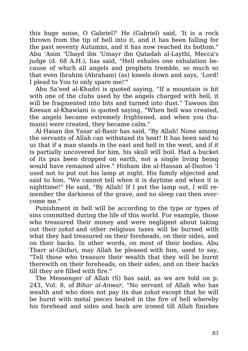this huge noise, O Gabriel?' He (Gabriel) said, 'It is a rock thrown from the tip of hell into it, and it has been falling for the past seventy Autumns, and it has now reached its bottom." Abu 'Asim 'Ubayd ibn 'Umayr ibn Qatadah al-Laythi, Mecca's judge (d. 68 A.H.), has said, "Hell exhales one exhalation because of which all angels and prophets tremble, so much so that even Ibrahim (Abraham) (as) kneels down and says, 'Lord! I plead to You to only spare me!'"

Abu Sa'eed al-Khudri is quoted saying, "If a mountain is hit with one of the clubs used by the angels charged with hell, it will be fragmented into bits and turned into dust." Tawoos ibn Keesan al-Khawlani is quoted saying, "When hell was created, the angels became extremely frightened, and when you (humans) were created, they became calm."

Al-Hasan ibn Yasar al-Basir has said, "By Allah! None among the servants of Allah can withstand its heat! It has been said to us that if a man stands in the east and hell in the west, and if it is partially uncovered for him, his skull will boil. Had a bucket of its pus been dropped on earth, not a single living being would have remained alive." Hisham ibn al-Hassan al-Dastoo 'I used not to put out his lamp at night. His family objected and said to him, "We cannot tell when it is daytime and when it is nighttime!" He said, "By Allah! If I put the lamp out, I will remember the darkness of the grave, and no sleep can then overcome me."

Punishment in hell will be according to the type or types of sins committed during the life of this world. For example, those who treasured their money and were negligent about taking out their *zakat* and other religious taxes will be burned with what they had treasured on their foreheads, on their sides, and on their backs. In other words, on most of their bodies. Abu Tharr al-Ghifari, may Allah be pleased with him, used to say, "Tell those who treasure their wealth that they will be burnt therewith on their foreheads, on their sides, and on their backs till they are filled with fire."

The Messenger of Allah (S) has said, as we are told on p. 243, Vol. 8, of *Bihar al-Anwar*, "No servant of Allah who has wealth and who does not pay its due *zakat* except that he will be burnt with metal pieces heated in the fire of hell whereby his forehead and sides and back are ironed till Allah finishes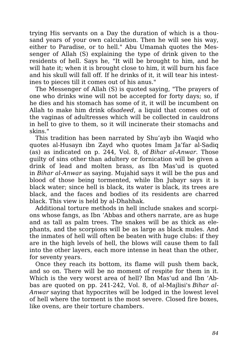trying His servants on a Day the duration of which is a thousand years of your own calculation. Then he will see his way, either to Paradise, or to hell." Abu Umamah quotes the Messenger of Allah (S) explaining the type of drink given to the residents of hell. Says he, "It will be brought to him, and he will hate it; when it is brought close to him, it will burn his face and his skull will fall off. If he drinks of it, it will tear his intestines to pieces till it comes out of his anus."

The Messenger of Allah (S) is quoted saying, "The prayers of one who drinks wine will not be accepted for forty days; so, if he dies and his stomach has some of it, it will be incumbent on Allah to make him drink of*sadeed*, a liquid that comes out of the vaginas of adultresses which will be collected in cauldrons in hell to give to them, so it will incinerate their stomachs and skins."

This tradition has been narrated by Shu'ayb ibn Waqid who quotes al-Husayn ibn Zayd who quotes Imam Ja'far al-Sadiq (as) as indicated on p. 244, Vol. 8, of *Bihar al-Anwar*. Those guilty of sins other than adultery or fornication will be given a drink of lead and molten brass, as Ibn Mas'ud is quoted in *Bihar al-Anwar* as saying. Mujahid says it will be the pus and blood of those being tormented, while Ibn Jubayr says it is black water; since hell is black, its water is black, its trees are black, and the faces and bodies of its residents are charred black. This view is held by al-Dhahhak.

Additional torture methods in hell include snakes and scorpions whose fangs, as Ibn 'Abbas and others narrate, are as huge and as tall as palm trees. The snakes will be as thick as elephants, and the scorpions will be as large as black mules. And the inmates of hell will often be beaten with huge clubs: if they are in the high levels of hell, the blows will cause them to fall into the other layers, each more intense in heat than the other, for seventy years.

Once they reach its bottom, its flame will push them back, and so on. There will be no moment of respite for them in it. Which is the very worst area of hell? Ibn Mas'ud and Ibn 'Abbas are quoted on pp. 241-242, Vol. 8, of al-Majlisi's *Bihar al-Anwar* saying that hypocrites will be lodged in the lowest level of hell where the torment is the most severe. Closed fire boxes, like ovens, are their torture chambers.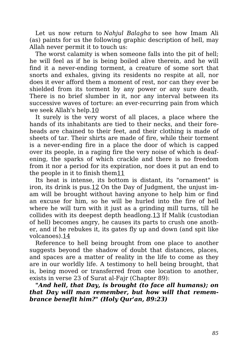Let us now return to *Nahjul Balagha* to see how Imam Ali (as) paints for us the following graphic description of hell, may Allah never permit it to touch us:

The worst calamity is when someone falls into the pit of hell; he will feel as if he is being boiled alive therein, and he will find it a never-ending torment, a creature of some sort that snorts and exhales, giving its residents no respite at all, nor does it ever afford them a moment of rest, nor can they ever be shielded from its torment by any power or any sure death. There is no brief slumber in it, nor any interval between its successive waves of torture: an ever-recurring pain from which we seek Allah's help.10

It surely is the very worst of all places, a place where the hands of its inhabitants are tied to their necks, and their foreheads are chained to their feet, and their clothing is made of sheets of tar. Their shirts are made of fire, while their torment is a never-ending fire in a place the door of which is capped over its people, in a raging fire the very noise of which is deafening, the sparks of which crackle and there is no freedom from it nor a period for its expiration, nor does it put an end to the people in it to finish them11

Its heat is intense, its bottom is distant, its "ornament" is iron, its drink is pus.12 On the Day of Judgment, the unjust imam will be brought without having anyone to help him or find an excuse for him, so he will be hurled into the fire of hell where he will turn with it just as a grinding mill turns, till he collides with its deepest depth headlong.13 If Malik (custodian of hell) becomes angry, he causes its parts to crush one another, and if he rebukes it, its gates fly up and down (and spit like volcanoes).14

Reference to hell being brought from one place to another suggests beyond the shadow of doubt that distances, places, and spaces are a matter of reality in the life to come as they are in our worldly life. A testimony to hell being brought, that is, being moved or transferred from one location to another, exists in verse 23 of Surat al-Fajr (Chapter 89):

*"And hell, that Day, is brought (to face all humans); on that Day will man remember, but how will that remembrance benefit him?" (Holy Qur'an, 89:23)*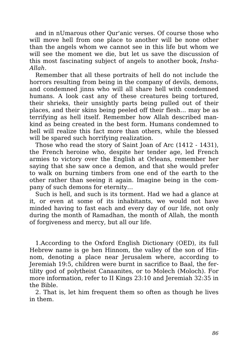and in nUmarous other Qur'anic verses. Of course those who will move hell from one place to another will be none other than the angels whom we cannot see in this life but whom we will see the moment we die, but let us save the discussion of this most fascinating subject of angels to another book, *Insha-Allah*.

Remember that all these portraits of hell do not include the horrors resulting from being in the company of devils, demons, and condemned jinns who will all share hell with condemned humans. A look cast any of these creatures being tortured, their shrieks, their unsightly parts being pulled out of their places, and their skins being peeled off their flesh… may be as terrifying as hell itself. Remember how Allah described mankind as being created in the best form. Humans condemned to hell will realize this fact more than others, while the blessed will be spared such horrifying realization.

Those who read the story of Saint Joan of Arc (1412 - 1431), the French heroine who, despite her tender age, led French armies to victory over the English at Orleans, remember her saying that she saw once a demon, and that she would prefer to walk on burning timbers from one end of the earth to the other rather than seeing it again. Imagine being in the company of such demons for eternity…

Such is hell, and such is its torment. Had we had a glance at it, or even at some of its inhabitants, we would not have minded having to fast each and every day of our life, not only during the month of Ramadhan, the month of Allah, the month of forgiveness and mercy, but all our life.

1.According to the Oxford English Dictionary (OED), its full Hebrew name is ge hen Hinnom, the valley of the son of Hinnom, denoting a place near Jerusalem where, according to Jeremiah 19:5, children were burnt in sacrifice to Baal, the fertility god of polytheist Canaanites, or to Molech (Moloch). For more information, refer to II Kings 23:10 and Jeremiah 32:35 in the Bible.

2. That is, let him frequent them so often as though he lives in them.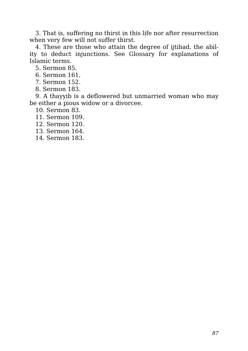3. That is, suffering no thirst in this life nor after resurrection when very few will not suffer thirst.

4. These are those who attain the degree of ijtihad, the ability to deduct injunctions. See Glossary for explanations of Islamic terms.

5. Sermon 85.

- 6. Sermon 161.
- 7. Sermon 152.
- 8. Sermon 183.

9. A thayyib is a deflowered but unmarried woman who may be either a pious widow or a divorcee.

10. Sermon 83.

- 11. Sermon 109.
- 12. Sermon 120.
- 13. Sermon 164.
- 14. Sermon 183.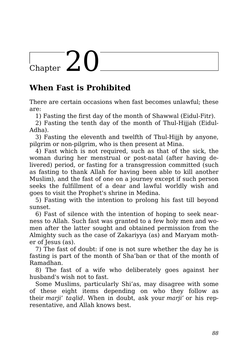# Chapter  $20$

## **When Fast is Prohibited**

There are certain occasions when fast becomes unlawful; these are:

1) Fasting the first day of the month of Shawwal (Eidul-Fitr).

2) Fasting the tenth day of the month of Thul-Hijjah (Eidul-Adha).

3) Fasting the eleventh and twelfth of Thul-Hijjh by anyone, pilgrim or non-pilgrim, who is then present at Mina.

4) Fast which is not required, such as that of the sick, the woman during her menstrual or post-natal (after having delivered) period, or fasting for a transgression committed (such as fasting to thank Allah for having been able to kill another Muslim), and the fast of one on a journey except if such person seeks the fulfillment of a dear and lawful worldly wish and goes to visit the Prophet's shrine in Medina.

5) Fasting with the intention to prolong his fast till beyond sunset.

6) Fast of silence with the intention of hoping to seek nearness to Allah. Such fast was granted to a few holy men and women after the latter sought and obtained permission from the Almighty such as the case of Zakariyya (as) and Maryam mother of Jesus (as).

7) The fast of doubt: if one is not sure whether the day he is fasting is part of the month of Sha'ban or that of the month of Ramadhan.

8) The fast of a wife who deliberately goes against her husband's wish not to fast.

Some Muslims, particularly Shi'as, may disagree with some of these eight items depending on who they follow as their *marji' taqlid*. When in doubt, ask your *marji'* or his representative, and Allah knows best.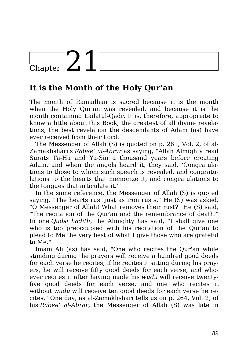# $\frac{1}{2}$  Chapter 21

## **It is the Month of the Holy Qur'an**

The month of Ramadhan is sacred because it is the month when the Holy Qur'an was revealed, and because it is the month containing Lailatul-Qadr. It is, therefore, appropriate to know a little about this Book, the greatest of all divine revelations, the best revelation the descendants of Adam (as) have ever received from their Lord.

The Messenger of Allah (S) is quoted on p. 261, Vol. 2, of al-Zamakhshari's *Rabee' al-Abrar* as saying, "Allah Almighty read Surats Ta-Ha and Ya-Sin a thousand years before creating Adam, and when the angels heard it, they said, 'Congratulations to those to whom such speech is revealed, and congratulations to the hearts that memorize it, and congratulations to the tongues that articulate it.'"

In the same reference, the Messenger of Allah (S) is quoted saying, "The hearts rust just as iron rusts." He (S) was asked, "O Messenger of Allah! What removes their rust?" He (S) said, "The recitation of the Qur'an and the remembrance of death." In one *Qudsi hadith*, the Almighty has said, "I shall give one who is too preoccupied with his recitation of the Qur'an to plead to Me the very best of what I give those who are grateful to Me."

Imam Ali (as) has said, "One who recites the Qur'an while standing during the prayers will receive a hundred good deeds for each verse he recites; if he recites it sitting during his prayers, he will receive fifty good deeds for each verse, and whoever recites it after having made his *wudu* will receive twentyfive good deeds for each verse, and one who recites it without *wudu* will receive ten good deeds for each verse he recites." One day, as al-Zamakhshari tells us on p. 264, Vol. 2, of his *Rabee' al-Abrar*, the Messenger of Allah (S) was late in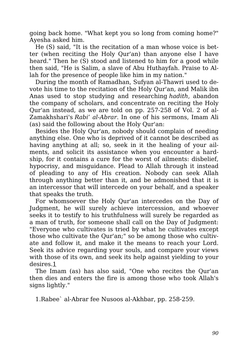going back home. "What kept you so long from coming home?" Ayesha asked him.

He (S) said, "It is the recitation of a man whose voice is better (when reciting the Holy Qur'an) than anyone else I have heard." Then he (S) stood and listened to him for a good while then said, "He is Salim, a slave of Abu Huthayfah. Praise to Allah for the presence of people like him in my nation."

During the month of Ramadhan, Sufyan al-Thawri used to devote his time to the recitation of the Holy Qur'an, and Malik ibn Anas used to stop studying and researching *hadith*, abandon the company of scholars, and concentrate on reciting the Holy Qur'an instead, as we are told on pp. 257-258 of Vol. 2 of al-Zamakhshari's *Rabi' al-Abrar*. In one of his sermons, Imam Ali (as) said the following about the Holy Qur'an:

Besides the Holy Qur'an, nobody should complain of needing anything else. One who is deprived of it cannot be described as having anything at all; so, seek in it the healing of your ailments, and solicit its assistance when you encounter a hardship, for it contains a cure for the worst of ailments: disbelief, hypocrisy, and misguidance. Plead to Allah through it instead of pleading to any of His creation. Nobody can seek Allah through anything better than it, and be admonished that it is an intercessor that will intercede on your behalf, and a speaker that speaks the truth.

For whomsoever the Holy Qur'an intercedes on the Day of Judgment, he will surely achieve intercession, and whoever seeks it to testify to his truthfulness will surely be regarded as a man of truth, for someone shall call on the Day of Judgment: "Everyone who cultivates is tried by what he cultivates except those who cultivate the Qur'an;" so be among those who cultivate and follow it, and make it the means to reach your Lord. Seek its advice regarding your souls, and compare your views with those of its own, and seek its help against yielding to your desires.1

The Imam (as) has also said, "One who recites the Qur'an then dies and enters the fire is among those who took Allah's signs lightly."

1.Rabee` al-Abrar fee Nusoos al-Akhbar, pp. 258-259.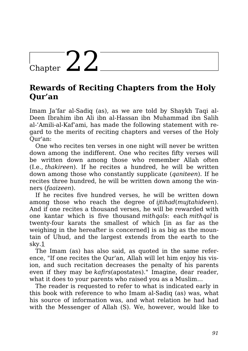# $\frac{1}{\text{Chapter 22}}$

## **Rewards of Reciting Chapters from the Holy Qur'an**

Imam Ja'far al-Sadiq (as), as we are told by Shaykh Taqi al-Deen Ibrahim ibn Ali ibn al-Hassan ibn Muhammad ibn Salih al-'Amili-al-Kaf'ami, has made the following statement with regard to the merits of reciting chapters and verses of the Holy Qur'an:

One who recites ten verses in one night will never be written down among the indifferent. One who recites fifty verses will be written down among those who remember Allah often (I.e., *thakireen*). If he recites a hundred, he will be written down among those who constantly supplicate (*qaniteen*). If he recites three hundred, he will be written down among the winners (*faaizeen*).

If he recites five hundred verses, he will be written down among those who reach the degree of *ijtihad*(*mujtahideen*). And if one recites a thousand verses, he will be rewarded with one kantar which is five thousand *mithqals*: each *mithqal* is twenty-four karats the smallest of which [in as far as the weighing in the hereafter is concerned is as big as the mountain of Uhud, and the largest extends from the earth to the sky.1

The Imam (as) has also said, as quoted in the same reference, "If one recites the Qur'an, Allah will let him enjoy his vision, and such recitation decreases the penalty of his parents even if they may be *kafirs*(apostates)." Imagine, dear reader, what it does to your parents who raised you as a Muslim…

The reader is requested to refer to what is indicated early in this book with reference to who Imam al-Sadiq (as) was, what his source of information was, and what relation he had had with the Messenger of Allah (S). We, however, would like to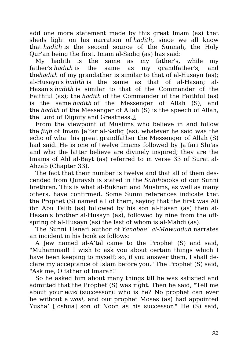add one more statement made by this great Imam (as) that sheds light on his narration of *hadith*, since we all know that *hadith* is the second source of the Sunnah, the Holy Qur'an being the first. Imam al-Sadiq (as) has said:

My hadith is the same as my father's, while my father's *hadith* is the same as my grandfather's, and the*hadith* of my grandather is similar to that of al-Husayn (as); al-Husayn's *hadith* is the same as that of al-Hasan; al-Hasan's *hadith* is similar to that of the Commander of the Faithful (as); the *hadith* of the Commander of the Faithful (as) is the same *hadith* of the Messenger of Allah (S), and the *hadith* of the Messenger of Allah (S) is the speech of Allah, the Lord of Dignity and Greatness.2

From the viewpoint of Muslims who believe in and follow the *fiqh* of Imam Ja'far al-Sadiq (as), whatever he said was the echo of what his great grandfather the Messenger of Allah (S) had said. He is one of twelve Imams followed by Ja'fari Shi'as and who the latter believe are divinely inspired; they are the Imams of Ahl al-Bayt (as) referred to in verse 33 of Surat al-Ahzab (Chapter 33).

The fact that their number is twelve and that all of them descended from Quraysh is stated in the *Sahih*books of our Sunni brethren. This is what al-Bukhari and Muslims, as well as many others, have confirmed. Some Sunni references indicate that the Prophet (S) named all of them, saying that the first was Ali ibn Abu Talib (as) followed by his son al-Hasan (as) then al-Hasan's brother al-Husayn (as), followed by nine from the offspring of al-Husayn (as) the last of whom is al-Mahdi (as).

The Sunni Hanafi author of *Yanabee' al-Mawaddah* narrates an incident in his book as follows:

A Jew named al-A'tal came to the Prophet (S) and said, "Muhammad! I wish to ask you about certain things which I have been keeping to myself; so, if you answer them, I shall declare my acceptance of Islam before you." The Prophet (S) said, "Ask me, O father of Imarah!"

So he asked him about many things till he was satisfied and admitted that the Prophet (S) was right. Then he said, "Tell me about your *wasi* (successor): who is he? No prophet can ever be without a *wasi*, and our prophet Moses (as) had appointed Yusha' [Joshua] son of Noon as his successor." He (S) said,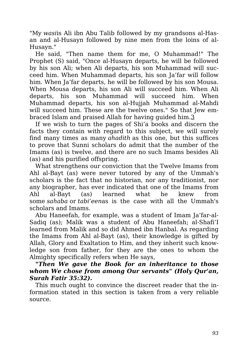"My *wasi*is Ali ibn Abu Talib followed by my grandsons al-Hasan and al-Husayn followed by nine men from the loins of al-Husayn."

He said, "Then name them for me, O Muhammad!" The Prophet (S) said, "Once al-Husayn departs, he will be followed by his son Ali; when Ali departs, his son Muhammad will succeed him. When Muhammad departs, his son Ja'far will follow him. When Ja'far departs, he will be followed by his son Mousa. When Mousa departs, his son Ali will succeed him. When Ali departs, his son Muhammad will succeed him. When Muhammad departs, his son al-Hujjah Muhammad al-Mahdi will succeed him. These are the twelve ones." So that Jew embraced Islam and praised Allah for having guided him.3

If we wish to turn the pages of Shi'a books and discern the facts they contain with regard to this subject, we will surely find many times as many *ahadith* as this one, but this suffices to prove that Sunni scholars do admit that the number of the Imams (as) is twelve, and there are no such Imams besides Ali (as) and his purified offspring.

What strengthens our conviction that the Twelve Imams from Ahl al-Bayt (as) were never tutored by any of the Ummah's scholars is the fact that no historian, nor any traditionist, nor any biographer, has ever indicated that one of the Imams from Ahl al-Bayt (as) learned what he knew from some *sahaba* or *tabi'een*as is the case with all the Ummah's scholars and Imams.

Abu Haneefah, for example, was a student of Imam Ja'far-al-Sadiq (as); Malik was a student of Abu Haneefah; al-Shafi'I learned from Malik and so did Ahmed ibn Hanbal. As regarding the Imams from Ahl al-Bayt (as), their knowledge is gifted by Allah, Glory and Exaltation to Him, and they inherit such knowledge son from father, for they are the ones to whom the Almighty specifically refers when He says,

*"Then We gave the Book for an inheritance to those whom We chose from among Our servants" (Holy Qur'an, Surah Fatir 35:32).*

This much ought to convince the discreet reader that the information stated in this section is taken from a very reliable source.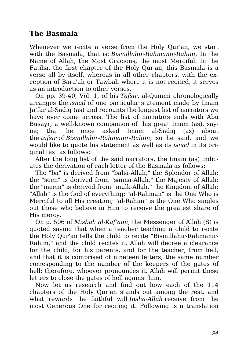#### **The Basmala**

Whenever we recite a verse from the Holy Qur'an, we start with the Basmala, that is: *Bismillahir-Rahmanir-Rahim*, In the Name of Allah, the Most Gracious, the most Merciful. In the Fatiha, the first chapter of the Holy Qur'an, this Basmala is a verse all by itself, whereas in all other chapters, with the exception of Bara'ah or Tawbah where it is not recited, it serves as an introduction to other verses.

On pp. 39-40, Vol. 1, of his *Tafsir*, al-Qummi chronologically arranges the *isnad* of one particular statement made by Imam Ja'far al-Sadiq (as) and recounts the longest list of narrators we have ever come across. The list of narrators ends with Abu Busayr, a well-known companion of this great Imam (as), saying that he once asked Imam al-Sadiq (as) about the *tafsir* of *Bismillahir-Rahmanir-Rahim*, so he said, and we would like to quote his statement as well as its *isnad* in its original text as follows:

After the long list of the said narrators, the Imam (as) indicates the derivation of each letter of the Basmala as follows:

The "ba" is derived from "baha-Allah," the Splendor of Allah; the "seen" is derived from "sanna-Allah," the Majesty of Allah; the "meem" is derived from "mulk-Allah," the Kingdom of Allah; "Allah" is the God of everything; "al-Rahman" is the One Who is Merciful to all His creation; "al-Rahim" is the One Who singles out those who believe in Him to receive the greatest share of His mercy.

On p. 506 of *Misbah al-Kaf'ami*, the Messenger of Allah (S) is quoted saying that when a teacher teaching a child to recite the Holy Qur'an tells the child to recite "Bismillahir-Rahmanir-Rahim," and the child recites it, Allah will decree a clearance for the child, for his parents, and for the teacher, from hell, and that it is comprised of nineteen letters, the same number corresponding to the number of the keepers of the gates of hell; therefore, whoever pronounces it, Allah will permit these letters to close the gates of hell against him.

Now let us research and find out how each of the 114 chapters of the Holy Qur'an stands out among the rest, and what rewards the faithful will *Insha-Allah* receive from the most Generous One for reciting it. Following is a translation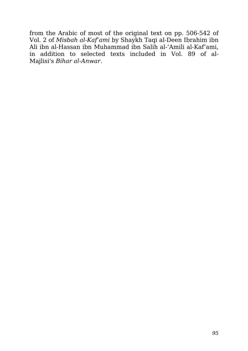from the Arabic of most of the original text on pp. 506-542 of Vol. 2 of *Misbah al-Kaf'ami* by Shaykh Taqi al-Deen Ibrahim ibn Ali ibn al-Hassan ibn Muhammad ibn Salih al-'Amili al-Kaf'ami, in addition to selected texts included in Vol. 89 of al-Majlisi's *Bihar al-Anwar*.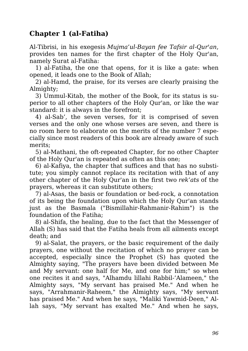#### **Chapter 1 (al-Fatiha)**

Al-Tibrisi, in his exegesis *Mujma'ul-Bayan fee Tafsir al-Qur'an*, provides ten names for the first chapter of the Holy Qur'an, namely Surat al-Fatiha:

1) al-Fatiha, the one that opens, for it is like a gate: when opened, it leads one to the Book of Allah;

2) al-Hamd, the praise, for its verses are clearly praising the Almighty:

3) Ummul-Kitab, the mother of the Book, for its status is superior to all other chapters of the Holy Qur'an, or like the war standard: it is always in the forefront;

4) al-Sab', the seven verses, for it is comprised of seven verses and the only one whose verses are seven, and there is no room here to elaborate on the merits of the number 7 especially since most readers of this book are already aware of such merits;

5) al-Mathani, the oft-repeated Chapter, for no other Chapter of the Holy Qur'an is repeated as often as this one;

6) al-Kafiya, the chapter that suffices and that has no substitute; you simply cannot replace its recitation with that of any other chapter of the Holy Qur'an in the first two *rek'ats* of the prayers, whereas it can substitute others;

7) al-Asas, the basis or foundation or bed-rock, a connotation of its being the foundation upon which the Holy Qur'an stands just as the Basmala ("Bismillahir-Rahmanir-Rahim") is the foundation of the Fatiha;

8) al-Shifa, the healing, due to the fact that the Messenger of Allah (S) has said that the Fatiha heals from all ailments except death; and

9) al-Salat, the prayers, or the basic requirement of the daily prayers, one without the recitation of which no prayer can be accepted, especially since the Prophet (S) has quoted the Almighty saying, "The prayers have been divided between Me and My servant: one half for Me, and one for him;" so when one recites it and says, "Alhamdu lillahi Rabbil-'Alameen," the Almighty says, "My servant has praised Me." And when he says, "Arrahmanir-Raheem," the Almighty says, "My servant has praised Me." And when he says, "Maliki Yawmid-Deen," Allah says, "My servant has exalted Me." And when he says,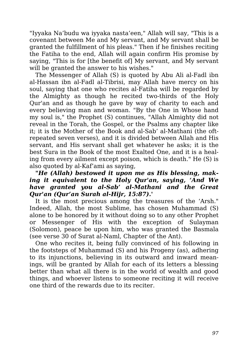"Iyyaka Na'budu wa iyyaka nasta'een," Allah will say, "This is a covenant between Me and My servant, and My servant shall be granted the fulfillment of his pleas." Then if he finishes reciting the Fatiha to the end, Allah will again confirm His promise by saying, "This is for [the benefit of] My servant, and My servant will be granted the answer to his wishes."

The Messenger of Allah (S) is quoted by Abu Ali al-Fadl ibn al-Hassan ibn al-Fadl al-Tibrisi, may Allah have mercy on his soul, saying that one who recites al-Fatiha will be regarded by the Almighty as though he recited two-thirds of the Holy Qur'an and as though he gave by way of charity to each and every believing man and woman. "By the One in Whose hand my soul is," the Prophet (S) continues, "Allah Almighty did not reveal in the Torah, the Gospel, or the Psalms any chapter like it; it is the Mother of the Book and al-Sab' al-Mathani (the oftrepeated seven verses), and it is divided between Allah and His servant, and His servant shall get whatever he asks; it is the best Sura in the Book of the most Exalted One, and it is a healing from every ailment except poison, which is death." He (S) is also quoted by al-Kaf'ami as saying,

#### *"He (Allah) bestowed it upon me as His blessing, making it equivalent to the Holy Qur'an, saying, 'And We have granted you al-Sab' al-Mathani and the Great Qur'an (Qur'an Surah al-Hijr, 15:87).'*

It is the most precious among the treasures of the 'Arsh." Indeed, Allah, the most Sublime, has chosen Muhammad (S) alone to be honored by it without doing so to any other Prophet or Messenger of His with the exception of Sulayman (Solomon), peace be upon him, who was granted the Basmala (see verse 30 of Surat al-Naml, Chapter of the Ant).

One who recites it, being fully convinced of his following in the footsteps of Muhammad (S) and his Progeny (as), adhering to its injunctions, believing in its outward and inward meanings, will be granted by Allah for each of its letters a blessing better than what all there is in the world of wealth and good things, and whoever listens to someone reciting it will receive one third of the rewards due to its reciter.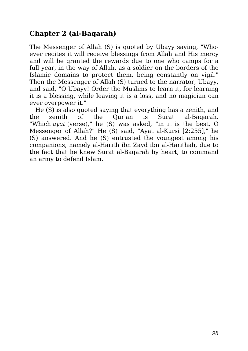## **Chapter 2 (al-Baqarah)**

The Messenger of Allah (S) is quoted by Ubayy saying, "Whoever recites it will receive blessings from Allah and His mercy and will be granted the rewards due to one who camps for a full year, in the way of Allah, as a soldier on the borders of the Islamic domains to protect them, being constantly on vigil." Then the Messenger of Allah (S) turned to the narrator, Ubayy, and said, "O Ubayy! Order the Muslims to learn it, for learning it is a blessing, while leaving it is a loss, and no magician can ever overpower it."

He (S) is also quoted saying that everything has a zenith, and the zenith of the Qur'an is Surat al-Baqarah. "Which *ayat* (verse)," he (S) was asked, "in it is the best, O Messenger of Allah?" He (S) said, "Ayat al-Kursi [2:255]," he (S) answered. And he (S) entrusted the youngest among his companions, namely al-Harith ibn Zayd ibn al-Harithah, due to the fact that he knew Surat al-Baqarah by heart, to command an army to defend Islam.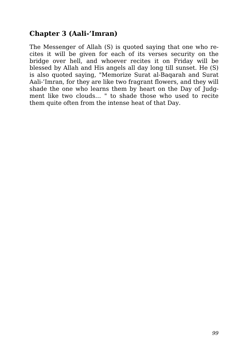#### **Chapter 3 (Aali-'Imran)**

The Messenger of Allah (S) is quoted saying that one who recites it will be given for each of its verses security on the bridge over hell, and whoever recites it on Friday will be blessed by Allah and His angels all day long till sunset. He (S) is also quoted saying, "Memorize Surat al-Baqarah and Surat Aali-'Imran, for they are like two fragrant flowers, and they will shade the one who learns them by heart on the Day of Judgment like two clouds… " to shade those who used to recite them quite often from the intense heat of that Day.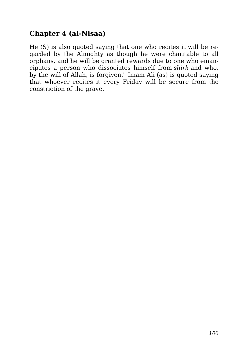#### **Chapter 4 (al-Nisaa)**

He (S) is also quoted saying that one who recites it will be regarded by the Almighty as though he were charitable to all orphans, and he will be granted rewards due to one who emancipates a person who dissociates himself from *shirk* and who, by the will of Allah, is forgiven." Imam Ali (as) is quoted saying that whoever recites it every Friday will be secure from the constriction of the grave.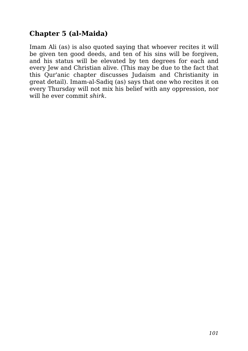## **Chapter 5 (al-Maida)**

Imam Ali (as) is also quoted saying that whoever recites it will be given ten good deeds, and ten of his sins will be forgiven, and his status will be elevated by ten degrees for each and every Jew and Christian alive. (This may be due to the fact that this Qur'anic chapter discusses Judaism and Christianity in great detail). Imam-al-Sadiq (as) says that one who recites it on every Thursday will not mix his belief with any oppression, nor will he ever commit *shirk*.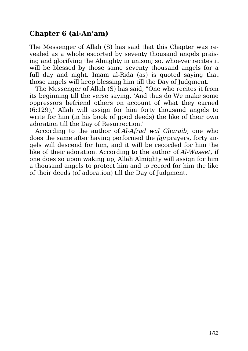#### **Chapter 6 (al-An'am)**

The Messenger of Allah (S) has said that this Chapter was revealed as a whole escorted by seventy thousand angels praising and glorifying the Almighty in unison; so, whoever recites it will be blessed by those same seventy thousand angels for a full day and night. Imam al-Rida (as) is quoted saying that those angels will keep blessing him till the Day of Judgment.

The Messenger of Allah (S) has said, "One who recites it from its beginning till the verse saying, 'And thus do We make some oppressors befriend others on account of what they earned (6:129),' Allah will assign for him forty thousand angels to write for him (in his book of good deeds) the like of their own adoration till the Day of Resurrection."

According to the author of *Al-Afrad wal Gharaib*, one who does the same after having performed the *fajr*prayers, forty angels will descend for him, and it will be recorded for him the like of their adoration. According to the author of *Al-Waseet*, if one does so upon waking up, Allah Almighty will assign for him a thousand angels to protect him and to record for him the like of their deeds (of adoration) till the Day of Judgment.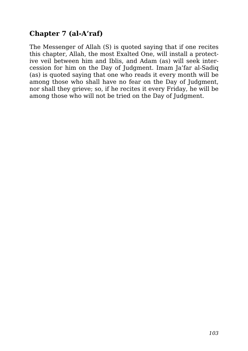## **Chapter 7 (al-A'raf)**

The Messenger of Allah (S) is quoted saying that if one recites this chapter, Allah, the most Exalted One, will install a protective veil between him and Iblis, and Adam (as) will seek intercession for him on the Day of Judgment. Imam Ja'far al-Sadiq (as) is quoted saying that one who reads it every month will be among those who shall have no fear on the Day of Judgment, nor shall they grieve; so, if he recites it every Friday, he will be among those who will not be tried on the Day of Judgment.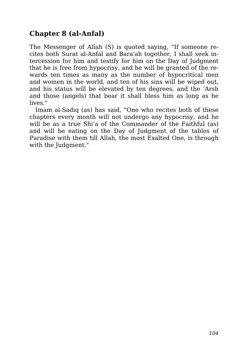## **Chapter 8 (al-Anfal)**

The Messenger of Allah (S) is quoted saying, "If someone recites both Surat al-Anfal and Bara'ah together, I shall seek intercession for him and testify for him on the Day of Judgment that he is free from hypocrisy, and he will be granted of the rewards ten times as many as the number of hypocritical men and women in the world, and ten of his sins will be wiped out, and his status will be elevated by ten degrees, and the 'Arsh and those (angels) that bear it shall bless him as long as he lives."

Imam al-Sadiq (as) has said, "One who recites both of these chapters every month will not undergo any hypocrisy, and he will be as a true Shi'a of the Commander of the Faithful (as) and will be eating on the Day of Judgment of the tables of Paradise with them till Allah, the most Exalted One, is through with the Judgment."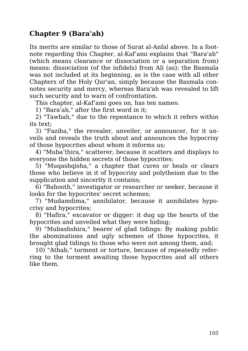#### **Chapter 9 (Bara'ah)**

Its merits are similar to those of Surat al-Anfal above. In a footnote regarding this Chapter, al-Kaf'ami explains that "Bara'ah" (which means clearance or dissociation or a separation from) means: dissociation (of the infidels) from Ali (as); the Basmala was not included at its beginning, as is the case with all other Chapters of the Holy Qur'an, simply because the Basmala connotes security and mercy, whereas Bara'ah was revealed to lift such security and to warn of confrontation.

This chapter, al-Kaf'ami goes on, has ten names:

1) "Bara'ah," after the first word in it;

2) "Tawbah," due to the repentance to which it refers within its text;

3) "Faziha," the revealer, unveiler, or announcer, for it unveils and reveals the truth about and announces the hypocrisy of those hypocrites about whom it informs us;

4) "Muba'thira," scatterer, because it scatters and displays to everyone the hidden secrets of those hypocrites;

5) "Muqashqisha," a chapter that cures or heals or clears those who believe in it of hypocrisy and polytheism due to the supplication and sincerity it contains;

6) "Bahooth," investigator or researcher or seeker, because it looks for the hypocrites' secret schemes;

7) "Mudamdima," annihilator, because it annihilates hypocrisy and hypocrites;

8) "Hafira," excavator or digger: it dug up the hearts of the hypocrites and unveiled what they were hiding;

9) "Mubashshira," bearer of glad tidings: By making public the abominations and ugly schemes of those hypocrites, it brought glad tidings to those who were not among them, and;

10) "Athab," torment or torture, because of repeatedly referring to the torment awaiting those hypocrites and all others like them.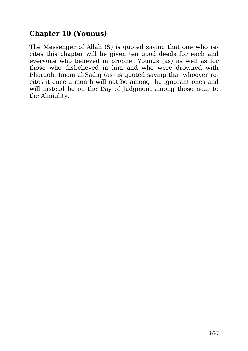### **Chapter 10 (Younus)**

The Messenger of Allah (S) is quoted saying that one who recites this chapter will be given ten good deeds for each and everyone who believed in prophet Younus (as) as well as for those who disbelieved in him and who were drowned with Pharaoh. Imam al-Sadiq (as) is quoted saying that whoever recites it once a month will not be among the ignorant ones and will instead be on the Day of Judgment among those near to the Almighty.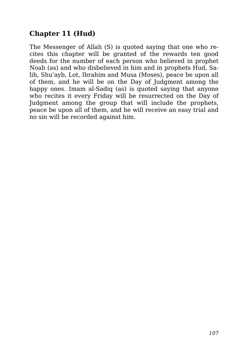## **Chapter 11 (Hud)**

The Messenger of Allah (S) is quoted saying that one who recites this chapter will be granted of the rewards ten good deeds for the number of each person who believed in prophet Noah (as) and who disbelieved in him and in prophets Hud, Salih, Shu'ayb, Lot, Ibrahim and Musa (Moses), peace be upon all of them, and he will be on the Day of Judgment among the happy ones. Imam al-Sadiq (as) is quoted saying that anyone who recites it every Friday will be resurrected on the Day of Judgment among the group that will include the prophets, peace be upon all of them, and he will receive an easy trial and no sin will be recorded against him.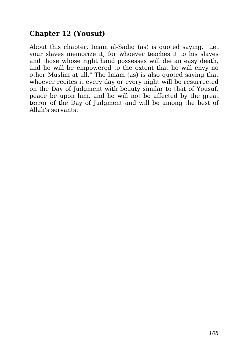## **Chapter 12 (Yousuf)**

About this chapter, Imam al-Sadiq (as) is quoted saying, "Let your slaves memorize it, for whoever teaches it to his slaves and those whose right hand possesses will die an easy death, and he will be empowered to the extent that he will envy no other Muslim at all." The Imam (as) is also quoted saying that whoever recites it every day or every night will be resurrected on the Day of Judgment with beauty similar to that of Yousuf, peace be upon him, and he will not be affected by the great terror of the Day of Judgment and will be among the best of Allah's servants.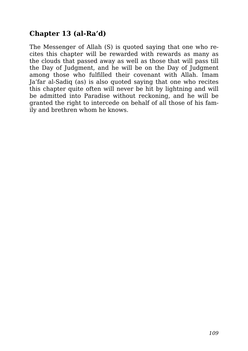# **Chapter 13 (al-Ra'd)**

The Messenger of Allah (S) is quoted saying that one who recites this chapter will be rewarded with rewards as many as the clouds that passed away as well as those that will pass till the Day of Judgment, and he will be on the Day of Judgment among those who fulfilled their covenant with Allah. Imam Ja'far al-Sadiq (as) is also quoted saying that one who recites this chapter quite often will never be hit by lightning and will be admitted into Paradise without reckoning, and he will be granted the right to intercede on behalf of all those of his family and brethren whom he knows.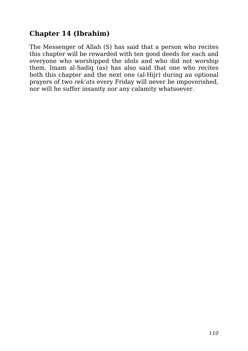## **Chapter 14 (Ibrahim)**

The Messenger of Allah (S) has said that a person who recites this chapter will be rewarded with ten good deeds for each and everyone who worshipped the idols and who did not worship them. Imam al-Sadiq (as) has also said that one who recites both this chapter and the next one (al-Hijr) during an optional prayers of two *rek'ats* every Friday will never be impoverished, nor will he suffer insanity nor any calamity whatsoever.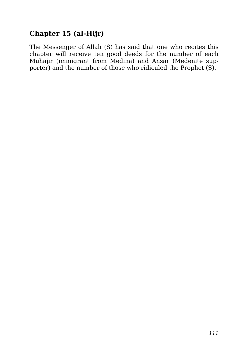# **Chapter 15 (al-Hijr)**

The Messenger of Allah (S) has said that one who recites this chapter will receive ten good deeds for the number of each Muhajir (immigrant from Medina) and Ansar (Medenite supporter) and the number of those who ridiculed the Prophet (S).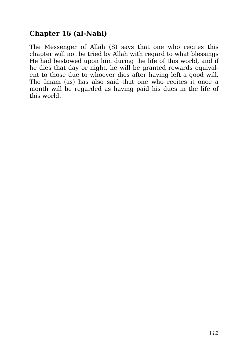## **Chapter 16 (al-Nahl)**

The Messenger of Allah (S) says that one who recites this chapter will not be tried by Allah with regard to what blessings He had bestowed upon him during the life of this world, and if he dies that day or night, he will be granted rewards equivalent to those due to whoever dies after having left a good will. The Imam (as) has also said that one who recites it once a month will be regarded as having paid his dues in the life of this world.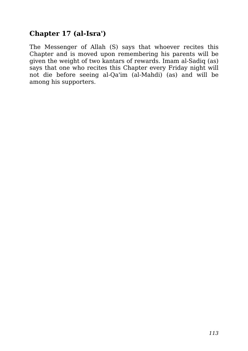#### **Chapter 17 (al-Isra')**

The Messenger of Allah (S) says that whoever recites this Chapter and is moved upon remembering his parents will be given the weight of two kantars of rewards. Imam al-Sadiq (as) says that one who recites this Chapter every Friday night will not die before seeing al-Qa'im (al-Mahdi) (as) and will be among his supporters.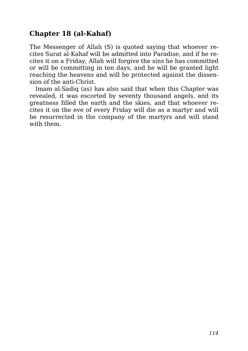## **Chapter 18 (al-Kahaf)**

The Messenger of Allah (S) is quoted saying that whoever recites Surat al-Kahaf will be admitted into Paradise, and if he recites it on a Friday, Allah will forgive the sins he has committed or will be committing in ten days, and he will be granted light reaching the heavens and will be protected against the dissension of the anti-Christ.

Imam al-Sadiq (as) has also said that when this Chapter was revealed, it was escorted by seventy thousand angels, and its greatness filled the earth and the skies, and that whoever recites it on the eve of every Friday will die as a martyr and will be resurrected in the company of the martyrs and will stand with them.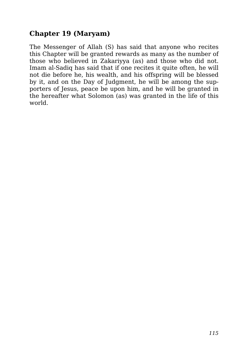## **Chapter 19 (Maryam)**

The Messenger of Allah (S) has said that anyone who recites this Chapter will be granted rewards as many as the number of those who believed in Zakariyya (as) and those who did not. Imam al-Sadiq has said that if one recites it quite often, he will not die before he, his wealth, and his offspring will be blessed by it, and on the Day of Judgment, he will be among the supporters of Jesus, peace be upon him, and he will be granted in the hereafter what Solomon (as) was granted in the life of this world.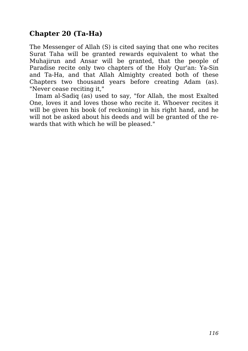## **Chapter 20 (Ta-Ha)**

The Messenger of Allah (S) is cited saying that one who recites Surat Taha will be granted rewards equivalent to what the Muhajirun and Ansar will be granted, that the people of Paradise recite only two chapters of the Holy Qur'an: Ya-Sin and Ta-Ha, and that Allah Almighty created both of these Chapters two thousand years before creating Adam (as). "Never cease reciting it,"

Imam al-Sadiq (as) used to say, "for Allah, the most Exalted One, loves it and loves those who recite it. Whoever recites it will be given his book (of reckoning) in his right hand, and he will not be asked about his deeds and will be granted of the rewards that with which he will be pleased."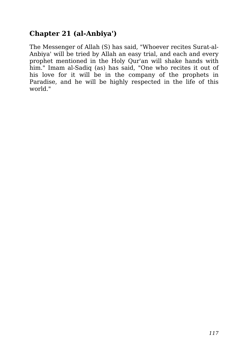## **Chapter 21 (al-Anbiya')**

The Messenger of Allah (S) has said, "Whoever recites Surat-al-Anbiya' will be tried by Allah an easy trial, and each and every prophet mentioned in the Holy Qur'an will shake hands with him." Imam al-Sadiq (as) has said, "One who recites it out of his love for it will be in the company of the prophets in Paradise, and he will be highly respected in the life of this world."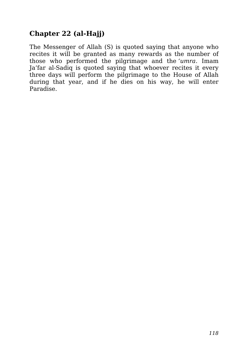## **Chapter 22 (al-Hajj)**

The Messenger of Allah (S) is quoted saying that anyone who recites it will be granted as many rewards as the number of those who performed the pilgrimage and the *'umra*. Imam Ja'far al-Sadiq is quoted saying that whoever recites it every three days will perform the pilgrimage to the House of Allah during that year, and if he dies on his way, he will enter Paradise.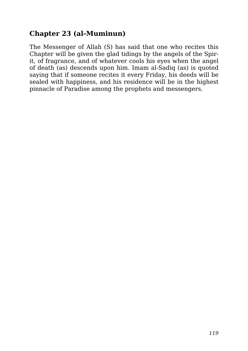#### **Chapter 23 (al-Muminun)**

The Messenger of Allah (S) has said that one who recites this Chapter will be given the glad tidings by the angels of the Spirit, of fragrance, and of whatever cools his eyes when the angel of death (as) descends upon him. Imam al-Sadiq (as) is quoted saying that if someone recites it every Friday, his deeds will be sealed with happiness, and his residence will be in the highest pinnacle of Paradise among the prophets and messengers.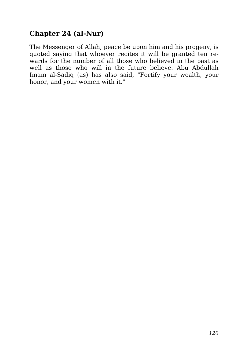#### **Chapter 24 (al-Nur)**

The Messenger of Allah, peace be upon him and his progeny, is quoted saying that whoever recites it will be granted ten rewards for the number of all those who believed in the past as well as those who will in the future believe. Abu Abdullah Imam al-Sadiq (as) has also said, "Fortify your wealth, your honor, and your women with it."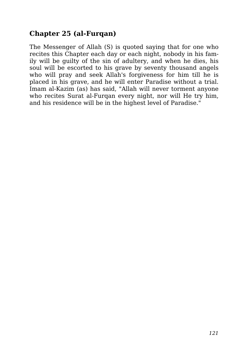## **Chapter 25 (al-Furqan)**

The Messenger of Allah (S) is quoted saying that for one who recites this Chapter each day or each night, nobody in his family will be guilty of the sin of adultery, and when he dies, his soul will be escorted to his grave by seventy thousand angels who will pray and seek Allah's forgiveness for him till he is placed in his grave, and he will enter Paradise without a trial. Imam al-Kazim (as) has said, "Allah will never torment anyone who recites Surat al-Furqan every night, nor will He try him, and his residence will be in the highest level of Paradise."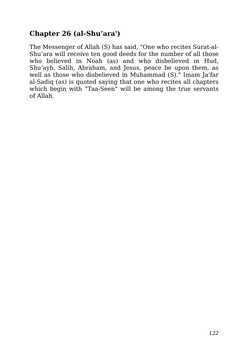#### **Chapter 26 (al-Shu'ara')**

The Messenger of Allah (S) has said, "One who recites Surat-al-Shu'ara will receive ten good deeds for the number of all those who believed in Noah (as) and who disbelieved in Hud, Shu'ayb, Salih, Abraham, and Jesus, peace be upon them, as well as those who disbelieved in Muhammad (S)." Imam Ja'far al-Sadiq (as) is quoted saying that one who recites all chapters which begin with "Taa-Seen" will be among the true servants of Allah.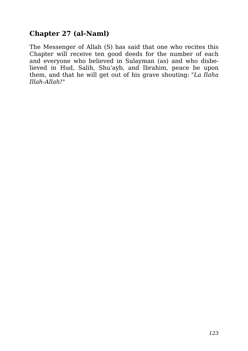#### **Chapter 27 (al-Naml)**

The Messenger of Allah (S) has said that one who recites this Chapter will receive ten good deeds for the number of each and everyone who believed in Sulayman (as) and who disbelieved in Hud, Salih, Shu'ayb, and Ibrahim, peace be upon them, and that he will get out of his grave shouting: *"La Ilaha Illah-Allah!*"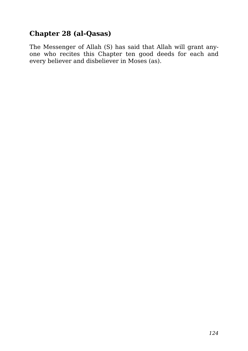## **Chapter 28 (al-Qasas)**

The Messenger of Allah (S) has said that Allah will grant anyone who recites this Chapter ten good deeds for each and every believer and disbeliever in Moses (as).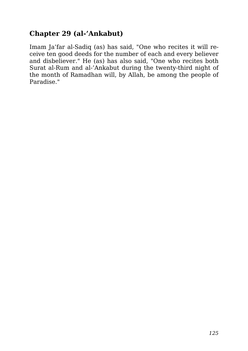#### **Chapter 29 (al-'Ankabut)**

Imam Ja'far al-Sadiq (as) has said, "One who recites it will receive ten good deeds for the number of each and every believer and disbeliever." He (as) has also said, "One who recites both Surat al-Rum and al-'Ankabut during the twenty-third night of the month of Ramadhan will, by Allah, be among the people of Paradise."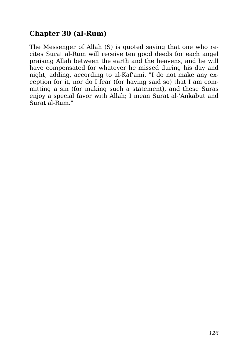## **Chapter 30 (al-Rum)**

The Messenger of Allah (S) is quoted saying that one who recites Surat al-Rum will receive ten good deeds for each angel praising Allah between the earth and the heavens, and he will have compensated for whatever he missed during his day and night, adding, according to al-Kaf'ami, "I do not make any exception for it, nor do I fear (for having said so) that I am committing a sin (for making such a statement), and these Suras enjoy a special favor with Allah; I mean Surat al-'Ankabut and Surat al-Rum."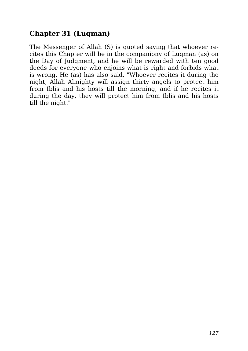## **Chapter 31 (Luqman)**

The Messenger of Allah (S) is quoted saying that whoever recites this Chapter will be in the companiony of Luqman (as) on the Day of Judgment, and he will be rewarded with ten good deeds for everyone who enjoins what is right and forbids what is wrong. He (as) has also said, "Whoever recites it during the night, Allah Almighty will assign thirty angels to protect him from Iblis and his hosts till the morning, and if he recites it during the day, they will protect him from Iblis and his hosts till the night."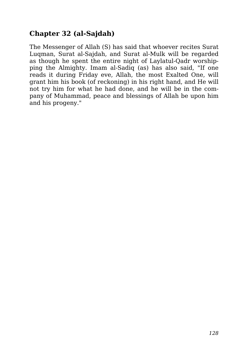# **Chapter 32 (al-Sajdah)**

The Messenger of Allah (S) has said that whoever recites Surat Luqman, Surat al-Sajdah, and Surat al-Mulk will be regarded as though he spent the entire night of Laylatul-Qadr worshipping the Almighty. Imam al-Sadiq (as) has also said, "If one reads it during Friday eve, Allah, the most Exalted One, will grant him his book (of reckoning) in his right hand, and He will not try him for what he had done, and he will be in the company of Muhammad, peace and blessings of Allah be upon him and his progeny."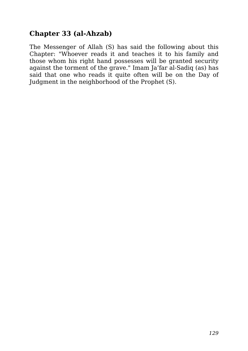## **Chapter 33 (al-Ahzab)**

The Messenger of Allah (S) has said the following about this Chapter: "Whoever reads it and teaches it to his family and those whom his right hand possesses will be granted security against the torment of the grave." Imam Ja'far al-Sadiq (as) has said that one who reads it quite often will be on the Day of Judgment in the neighborhood of the Prophet (S).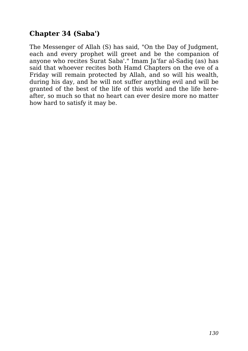## **Chapter 34 (Saba')**

The Messenger of Allah (S) has said, "On the Day of Judgment, each and every prophet will greet and be the companion of anyone who recites Surat Saba'." Imam Ja'far al-Sadiq (as) has said that whoever recites both Hamd Chapters on the eve of a Friday will remain protected by Allah, and so will his wealth, during his day, and he will not suffer anything evil and will be granted of the best of the life of this world and the life hereafter, so much so that no heart can ever desire more no matter how hard to satisfy it may be.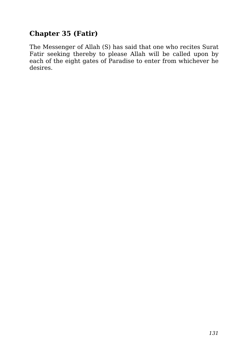# **Chapter 35 (Fatir)**

The Messenger of Allah (S) has said that one who recites Surat Fatir seeking thereby to please Allah will be called upon by each of the eight gates of Paradise to enter from whichever he desires.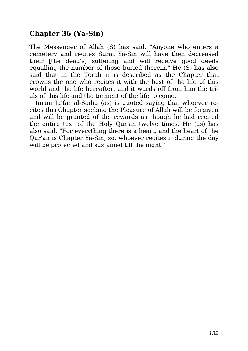## **Chapter 36 (Ya-Sin)**

The Messenger of Allah (S) has said, "Anyone who enters a cemetery and recites Surat Ya-Sin will have then decreased their [the dead's] suffering and will receive good deeds equalling the number of those buried therein." He (S) has also said that in the Torah it is described as the Chapter that crowns the one who recites it with the best of the life of this world and the life hereafter, and it wards off from him the trials of this life and the torment of the life to come.

Imam Ja'far al-Sadiq (as) is quoted saying that whoever recites this Chapter seeking the Pleasure of Allah will be forgiven and will be granted of the rewards as though he had recited the entire text of the Holy Qur'an twelve times. He (as) has also said, "For everything there is a heart, and the heart of the Qur'an is Chapter Ya-Sin; so, whoever recites it during the day will be protected and sustained till the night."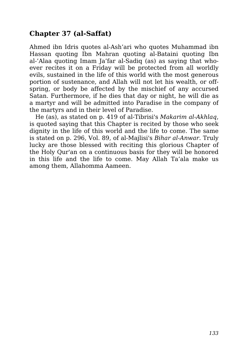# **Chapter 37 (al-Saffat)**

Ahmed ibn Idris quotes al-Ash'ari who quotes Muhammad ibn Hassan quoting Ibn Mahran quoting al-Bataini quoting Ibn al-'Alaa quoting Imam Ja'far al-Sadiq (as) as saying that whoever recites it on a Friday will be protected from all worldly evils, sustained in the life of this world with the most generous portion of sustenance, and Allah will not let his wealth, or offspring, or body be affected by the mischief of any accursed Satan. Furthermore, if he dies that day or night, he will die as a martyr and will be admitted into Paradise in the company of the martyrs and in their level of Paradise.

He (as), as stated on p. 419 of al-Tibrisi's *Makarim al-Akhlaq*, is quoted saying that this Chapter is recited by those who seek dignity in the life of this world and the life to come. The same is stated on p. 296, Vol. 89, of al-Majlisi's *Bihar al-Anwar*. Truly lucky are those blessed with reciting this glorious Chapter of the Holy Qur'an on a continuous basis for they will be honored in this life and the life to come. May Allah Ta'ala make us among them, Allahomma Aameen.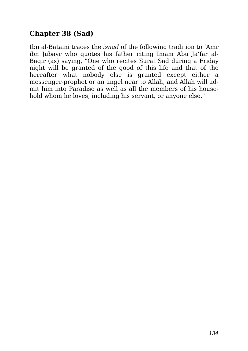# **Chapter 38 (Sad)**

Ibn al-Bataini traces the *isnad* of the following tradition to 'Amr ibn Jubayr who quotes his father citing Imam Abu Ja'far al-Baqir (as) saying, "One who recites Surat Sad during a Friday night will be granted of the good of this life and that of the hereafter what nobody else is granted except either a messenger-prophet or an angel near to Allah, and Allah will admit him into Paradise as well as all the members of his household whom he loves, including his servant, or anyone else."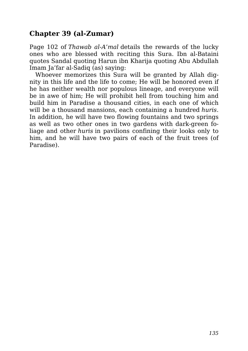#### **Chapter 39 (al-Zumar)**

Page 102 of *Thawab al-A'mal* details the rewards of the lucky ones who are blessed with reciting this Sura. Ibn al-Bataini quotes Sandal quoting Harun ibn Kharija quoting Abu Abdullah Imam Ja'far al-Sadiq (as) saying:

Whoever memorizes this Sura will be granted by Allah dignity in this life and the life to come; He will be honored even if he has neither wealth nor populous lineage, and everyone will be in awe of him; He will prohibit hell from touching him and build him in Paradise a thousand cities, in each one of which will be a thousand mansions, each containing a hundred *huris*. In addition, he will have two flowing fountains and two springs as well as two other ones in two gardens with dark-green foliage and other *huris* in pavilions confining their looks only to him, and he will have two pairs of each of the fruit trees (of Paradise).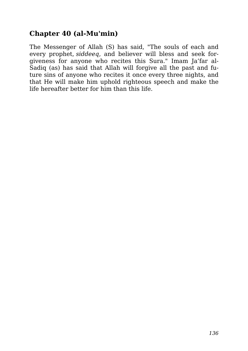#### **Chapter 40 (al-Mu'min)**

The Messenger of Allah (S) has said, "The souls of each and every prophet, *siddeeq*, and believer will bless and seek forgiveness for anyone who recites this Sura." Imam Ja'far al-Sadiq (as) has said that Allah will forgive all the past and future sins of anyone who recites it once every three nights, and that He will make him uphold righteous speech and make the life hereafter better for him than this life.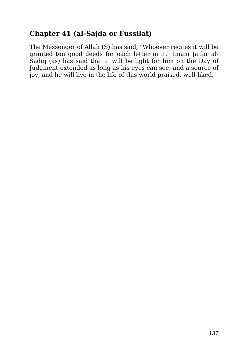#### **Chapter 41 (al-Sajda or Fussilat)**

The Messenger of Allah (S) has said, "Whoever recites it will be granted ten good deeds for each letter in it." Imam Ja'far al-Sadiq (as) has said that it will be light for him on the Day of Judgment extended as long as his eyes can see, and a source of joy, and he will live in the life of this world praised, well-liked.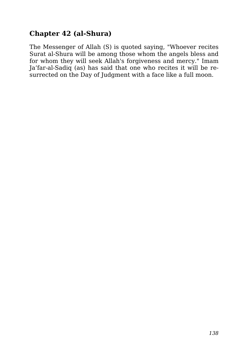## **Chapter 42 (al-Shura)**

The Messenger of Allah (S) is quoted saying, "Whoever recites Surat al-Shura will be among those whom the angels bless and for whom they will seek Allah's forgiveness and mercy." Imam Ja'far-al-Sadiq (as) has said that one who recites it will be resurrected on the Day of Judgment with a face like a full moon.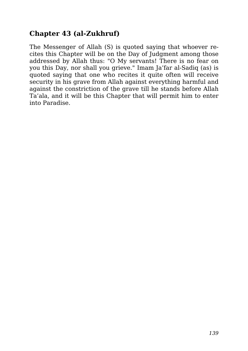## **Chapter 43 (al-Zukhruf)**

The Messenger of Allah (S) is quoted saying that whoever recites this Chapter will be on the Day of Judgment among those addressed by Allah thus: "O My servants! There is no fear on you this Day, nor shall you grieve." Imam Ja'far al-Sadiq (as) is quoted saying that one who recites it quite often will receive security in his grave from Allah against everything harmful and against the constriction of the grave till he stands before Allah Ta'ala, and it will be this Chapter that will permit him to enter into Paradise.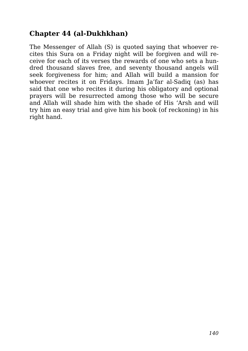#### **Chapter 44 (al-Dukhkhan)**

The Messenger of Allah (S) is quoted saying that whoever recites this Sura on a Friday night will be forgiven and will receive for each of its verses the rewards of one who sets a hundred thousand slaves free, and seventy thousand angels will seek forgiveness for him; and Allah will build a mansion for whoever recites it on Fridays. Imam Ja'far al-Sadiq (as) has said that one who recites it during his obligatory and optional prayers will be resurrected among those who will be secure and Allah will shade him with the shade of His 'Arsh and will try him an easy trial and give him his book (of reckoning) in his right hand.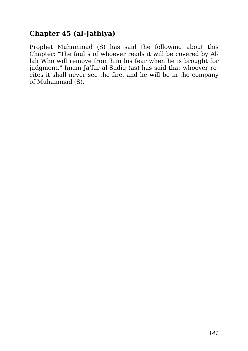# **Chapter 45 (al-Jathiya)**

Prophet Muhammad (S) has said the following about this Chapter: "The faults of whoever reads it will be covered by Allah Who will remove from him his fear when he is brought for judgment." Imam Ja'far al-Sadiq (as) has said that whoever recites it shall never see the fire, and he will be in the company of Muhammad (S).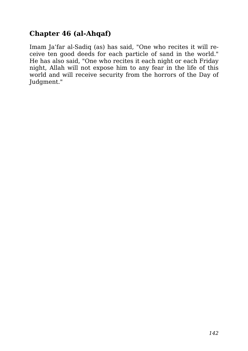# **Chapter 46 (al-Ahqaf)**

Imam Ja'far al-Sadiq (as) has said, "One who recites it will receive ten good deeds for each particle of sand in the world." He has also said, "One who recites it each night or each Friday night, Allah will not expose him to any fear in the life of this world and will receive security from the horrors of the Day of Judgment."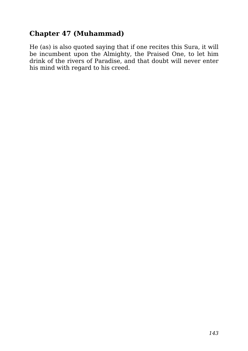# **Chapter 47 (Muhammad)**

He (as) is also quoted saying that if one recites this Sura, it will be incumbent upon the Almighty, the Praised One, to let him drink of the rivers of Paradise, and that doubt will never enter his mind with regard to his creed.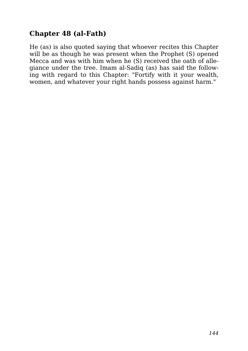# **Chapter 48 (al-Fath)**

He (as) is also quoted saying that whoever recites this Chapter will be as though he was present when the Prophet (S) opened Mecca and was with him when he (S) received the oath of allegiance under the tree. Imam al-Sadiq (as) has said the following with regard to this Chapter: "Fortify with it your wealth, women, and whatever your right hands possess against harm."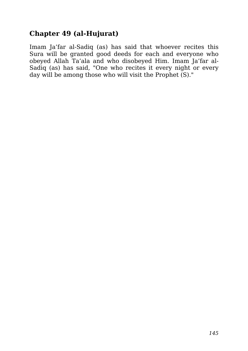## **Chapter 49 (al-Hujurat)**

Imam Ja'far al-Sadiq (as) has said that whoever recites this Sura will be granted good deeds for each and everyone who obeyed Allah Ta'ala and who disobeyed Him. Imam Ja'far al-Sadiq (as) has said, "One who recites it every night or every day will be among those who will visit the Prophet (S)."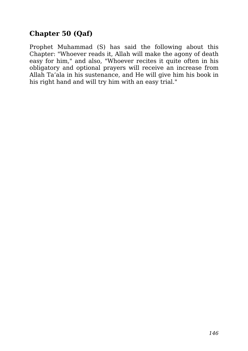## **Chapter 50 (Qaf)**

Prophet Muhammad (S) has said the following about this Chapter: "Whoever reads it, Allah will make the agony of death easy for him," and also, "Whoever recites it quite often in his obligatory and optional prayers will receive an increase from Allah Ta'ala in his sustenance, and He will give him his book in his right hand and will try him with an easy trial."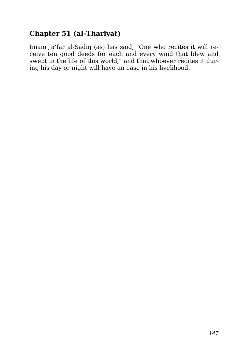## **Chapter 51 (al-Thariyat)**

Imam Ja'far al-Sadiq (as) has said, "One who recites it will receive ten good deeds for each and every wind that blew and swept in the life of this world," and that whoever recites it during his day or night will have an ease in his livelihood.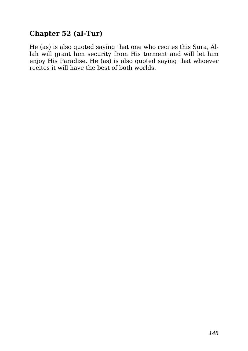## **Chapter 52 (al-Tur)**

He (as) is also quoted saying that one who recites this Sura, Allah will grant him security from His torment and will let him enjoy His Paradise. He (as) is also quoted saying that whoever recites it will have the best of both worlds.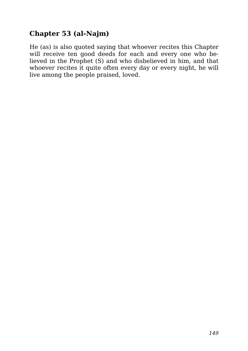## **Chapter 53 (al-Najm)**

He (as) is also quoted saying that whoever recites this Chapter will receive ten good deeds for each and every one who believed in the Prophet (S) and who disbelieved in him, and that whoever recites it quite often every day or every night, he will live among the people praised, loved.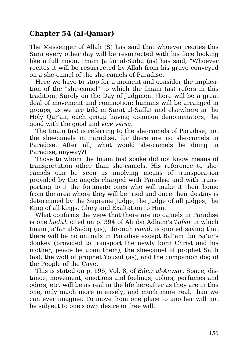### **Chapter 54 (al-Qamar)**

The Messenger of Allah (S) has said that whoever recites this Sura every other day will be resurrected with his face looking like a full moon. Imam Ja'far al-Sadiq (as) has said, "Whoever recites it will be resurrected by Allah from his grave conveyed on a she-camel of the she-camels of Paradise."

Here we have to stop for a moment and consider the implication of the "she-camel" to which the Imam (as) refers in this tradition. Surely on the Day of Judgment there will be a great deal of movement and commotion: humans will be arranged in groups, as we are told in Surat al-Saffat and elsewhere in the Holy Qur'an, each group having common denomenators, the good with the good and *vice versa*.

The Imam (as) is referring to the she-camels of Paradise, not the she-camels in Paradise, for there are no she-camels in Paradise. After all, what would she-camels be doing in Paradise, anyway?!

Those to whom the Imam (as) spoke did not know means of transportation other than she-camels. His reference to shecamels can be seen as implying means of transporation provided by the angels charged with Paradise and with transporting to it the fortunate ones who will make it their home from the area where they will be tried and once their destiny is determined by the Supreme Judge, the Judge of all judges, the King of all kings, Glory and Exaltation to Him.

What confirms the view that there are no camels in Paradise is one *hadith* cited on p. 394 of Ali ibn Adham's *Tafsir* in which Imam Ja'far al-Sadiq (as), through *isnad*, is quoted saying that there will be no animals in Paradise except Bal'am ibn Ba'ur's donkey (provided to transport the newly born Christ and his mother, peace be upon them), the she-camel of prophet Salih (as), the wolf of prophet Yousuf (as), and the companion dog of the People of the Cave.

This is stated on p. 195, Vol. 8, of *Bihar al-Anwar*. Space, distance, movement, emotions and feelings, colors, perfumes and odors, etc. will be as real in the life hereafter as they are in this one, only much more intensely, and much more real, than we can ever imagine. To move from one place to another will not be subject to one's own desire or free will.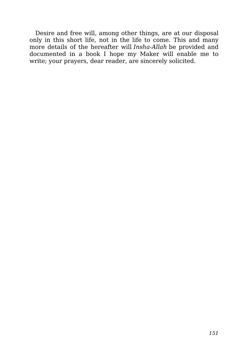Desire and free will, among other things, are at our disposal only in this short life, not in the life to come. This and many more details of the hereafter will *Insha-Allah* be provided and documented in a book I hope my Maker will enable me to write; your prayers, dear reader, are sincerely solicited.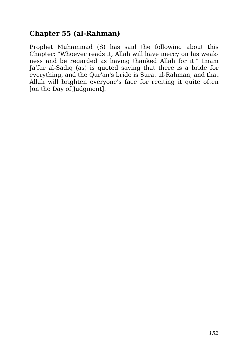### **Chapter 55 (al-Rahman)**

Prophet Muhammad (S) has said the following about this Chapter: "Whoever reads it, Allah will have mercy on his weakness and be regarded as having thanked Allah for it." Imam Ja'far al-Sadiq (as) is quoted saying that there is a bride for everything, and the Qur'an's bride is Surat al-Rahman, and that Allah will brighten everyone's face for reciting it quite often [on the Day of Judgment].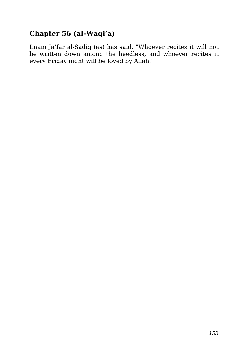# **Chapter 56 (al-Waqi'a)**

Imam Ja'far al-Sadiq (as) has said, "Whoever recites it will not be written down among the heedless, and whoever recites it every Friday night will be loved by Allah."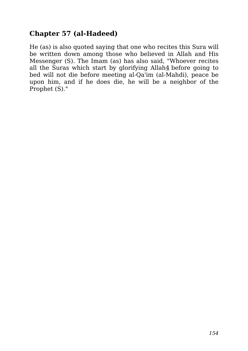### **Chapter 57 (al-Hadeed)**

He (as) is also quoted saying that one who recites this Sura will be written down among those who believed in Allah and His Messenger (S). The Imam (as) has also said, "Whoever recites all the Suras which start by glorifying Allah<sup>4</sup> before going to bed will not die before meeting al-Qa'im (al-Mahdi), peace be upon him, and if he does die, he will be a neighbor of the Prophet (S)."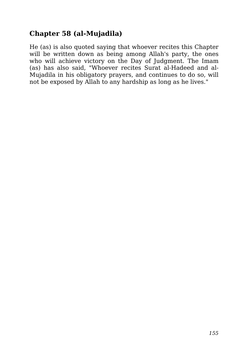## **Chapter 58 (al-Mujadila)**

He (as) is also quoted saying that whoever recites this Chapter will be written down as being among Allah's party, the ones who will achieve victory on the Day of Judgment. The Imam (as) has also said, "Whoever recites Surat al-Hadeed and al-Mujadila in his obligatory prayers, and continues to do so, will not be exposed by Allah to any hardship as long as he lives."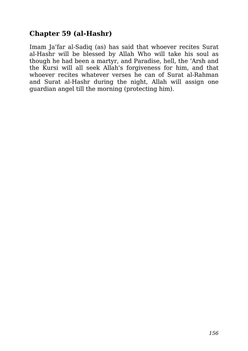### **Chapter 59 (al-Hashr)**

Imam Ja'far al-Sadiq (as) has said that whoever recites Surat al-Hashr will be blessed by Allah Who will take his soul as though he had been a martyr, and Paradise, hell, the 'Arsh and the Kursi will all seek Allah's forgiveness for him, and that whoever recites whatever verses he can of Surat al-Rahman and Surat al-Hashr during the night, Allah will assign one guardian angel till the morning (protecting him).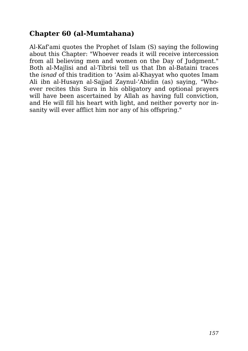### **Chapter 60 (al-Mumtahana)**

Al-Kaf'ami quotes the Prophet of Islam (S) saying the following about this Chapter: "Whoever reads it will receive intercession from all believing men and women on the Day of Judgment." Both al-Majlisi and al-Tibrisi tell us that Ibn al-Bataini traces the *isnad* of this tradition to 'Asim al-Khayyat who quotes Imam Ali ibn al-Husayn al-Sajjad Zaynul-'Abidin (as) saying, "Whoever recites this Sura in his obligatory and optional prayers will have been ascertained by Allah as having full conviction, and He will fill his heart with light, and neither poverty nor insanity will ever afflict him nor any of his offspring."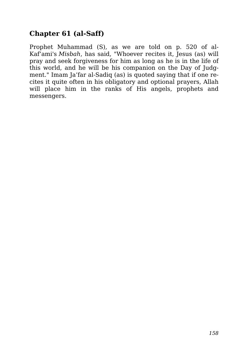## **Chapter 61 (al-Saff)**

Prophet Muhammad (S), as we are told on p. 520 of al-Kaf'ami's *Misbah*, has said, "Whoever recites it, Jesus (as) will pray and seek forgiveness for him as long as he is in the life of this world, and he will be his companion on the Day of Judgment." Imam Ja'far al-Sadiq (as) is quoted saying that if one recites it quite often in his obligatory and optional prayers, Allah will place him in the ranks of His angels, prophets and messengers.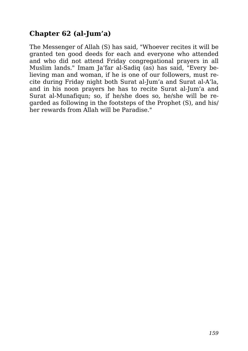## **Chapter 62 (al-Jum'a)**

The Messenger of Allah (S) has said, "Whoever recites it will be granted ten good deeds for each and everyone who attended and who did not attend Friday congregational prayers in all Muslim lands." Imam Ja'far al-Sadiq (as) has said, "Every believing man and woman, if he is one of our followers, must recite during Friday night both Surat al-Jum'a and Surat al-A'la, and in his noon prayers he has to recite Surat al-Jum'a and Surat al-Munafiqun; so, if he/she does so, he/she will be regarded as following in the footsteps of the Prophet (S), and his/ her rewards from Allah will be Paradise."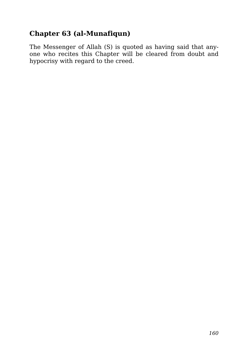## **Chapter 63 (al-Munafiqun)**

The Messenger of Allah (S) is quoted as having said that anyone who recites this Chapter will be cleared from doubt and hypocrisy with regard to the creed.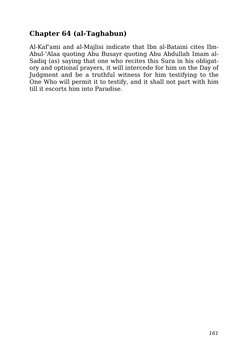## **Chapter 64 (al-Taghabun)**

Al-Kaf'ami and al-Majlisi indicate that Ibn al-Bataini cites Ibn-Abul-'Alaa quoting Abu Busayr quoting Abu Abdullah Imam al-Sadiq (as) saying that one who recites this Sura in his obligatory and optional prayers, it will intercede for him on the Day of Judgment and be a truthful witness for him testifying to the One Who will permit it to testify, and it shall not part with him till it escorts him into Paradise.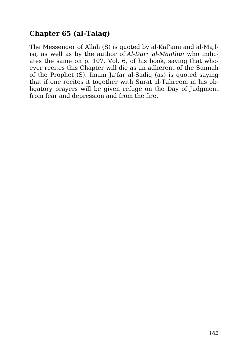## **Chapter 65 (al-Talaq)**

The Messenger of Allah (S) is quoted by al-Kaf'ami and al-Majlisi, as well as by the author of *Al-Durr al-Manthur* who indicates the same on p. 107, Vol. 6, of his book, saying that whoever recites this Chapter will die as an adherent of the Sunnah of the Prophet (S). Imam Ja'far al-Sadiq (as) is quoted saying that if one recites it together with Surat al-Tahreem in his obligatory prayers will be given refuge on the Day of Judgment from fear and depression and from the fire.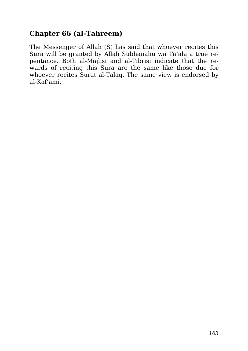### **Chapter 66 (al-Tahreem)**

The Messenger of Allah (S) has said that whoever recites this Sura will be granted by Allah Subhanahu wa Ta'ala a true repentance. Both al-Majlisi and al-Tibrisi indicate that the rewards of reciting this Sura are the same like those due for whoever recites Surat al-Talaq. The same view is endorsed by al-Kaf'ami.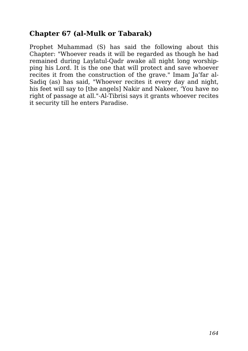#### **Chapter 67 (al-Mulk or Tabarak)**

Prophet Muhammad (S) has said the following about this Chapter: "Whoever reads it will be regarded as though he had remained during Laylatul-Qadr awake all night long worshipping his Lord. It is the one that will protect and save whoever recites it from the construction of the grave." Imam Ja'far al-Sadiq (as) has said, "Whoever recites it every day and night, his feet will say to [the angels] Nakir and Nakeer, 'You have no right of passage at all."-Al-Tibrisi says it grants whoever recites it security till he enters Paradise.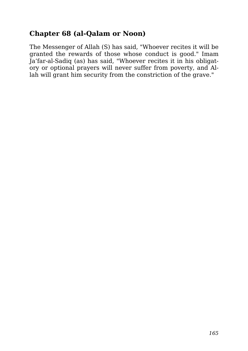### **Chapter 68 (al-Qalam or Noon)**

The Messenger of Allah (S) has said, "Whoever recites it will be granted the rewards of those whose conduct is good." Imam Ja'far-al-Sadiq (as) has said, "Whoever recites it in his obligatory or optional prayers will never suffer from poverty, and Allah will grant him security from the constriction of the grave."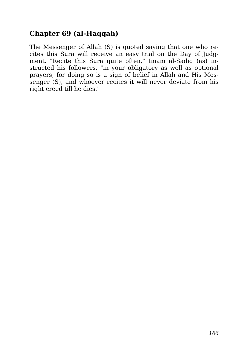## **Chapter 69 (al-Haqqah)**

The Messenger of Allah (S) is quoted saying that one who recites this Sura will receive an easy trial on the Day of Judgment. "Recite this Sura quite often," Imam al-Sadiq (as) instructed his followers, "in your obligatory as well as optional prayers, for doing so is a sign of belief in Allah and His Messenger (S), and whoever recites it will never deviate from his right creed till he dies."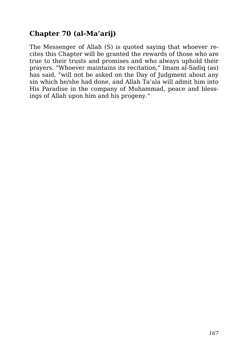## **Chapter 70 (al-Ma'arij)**

The Messenger of Allah (S) is quoted saying that whoever recites this Chapter will be granted the rewards of those who are true to their trusts and promises and who always uphold their prayers. "Whoever maintains its recitation," Imam al-Sadiq (as) has said, "will not be asked on the Day of Judgment about any sin which he/she had done, and Allah Ta'ala will admit him into His Paradise in the company of Muhammad, peace and blessings of Allah upon him and his progeny."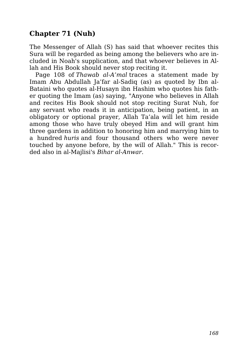### **Chapter 71 (Nuh)**

The Messenger of Allah (S) has said that whoever recites this Sura will be regarded as being among the believers who are included in Noah's supplication, and that whoever believes in Allah and His Book should never stop reciting it.

Page 108 of *Thawab al-A'mal* traces a statement made by Imam Abu Abdullah Ja'far al-Sadiq (as) as quoted by Ibn al-Bataini who quotes al-Husayn ibn Hashim who quotes his father quoting the Imam (as) saying, "Anyone who believes in Allah and recites His Book should not stop reciting Surat Nuh, for any servant who reads it in anticipation, being patient, in an obligatory or optional prayer, Allah Ta'ala will let him reside among those who have truly obeyed Him and will grant him three gardens in addition to honoring him and marrying him to a hundred *huris* and four thousand others who were never touched by anyone before, by the will of Allah." This is recorded also in al-Majlisi's *Bihar al-Anwar*.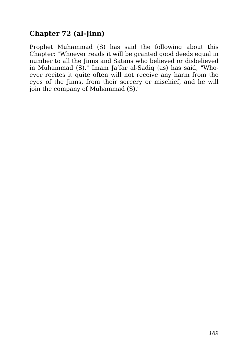### **Chapter 72 (al-Jinn)**

Prophet Muhammad (S) has said the following about this Chapter: "Whoever reads it will be granted good deeds equal in number to all the Jinns and Satans who believed or disbelieved in Muhammad (S)." Imam Ja'far al-Sadiq (as) has said, "Whoever recites it quite often will not receive any harm from the eyes of the Jinns, from their sorcery or mischief, and he will join the company of Muhammad (S)."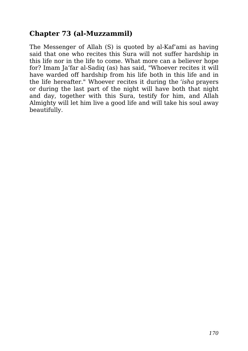#### **Chapter 73 (al-Muzzammil)**

The Messenger of Allah (S) is quoted by al-Kaf'ami as having said that one who recites this Sura will not suffer hardship in this life nor in the life to come. What more can a believer hope for? Imam Ja'far al-Sadiq (as) has said, "Whoever recites it will have warded off hardship from his life both in this life and in the life hereafter." Whoever recites it during the *'isha* prayers or during the last part of the night will have both that night and day, together with this Sura, testify for him, and Allah Almighty will let him live a good life and will take his soul away beautifully.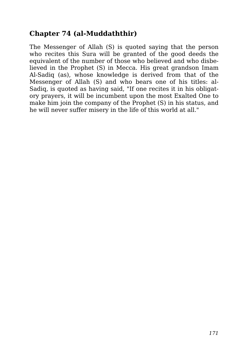## **Chapter 74 (al-Muddaththir)**

The Messenger of Allah (S) is quoted saying that the person who recites this Sura will be granted of the good deeds the equivalent of the number of those who believed and who disbelieved in the Prophet (S) in Mecca. His great grandson Imam Al-Sadiq (as), whose knowledge is derived from that of the Messenger of Allah (S) and who bears one of his titles: al-Sadiq, is quoted as having said, "If one recites it in his obligatory prayers, it will be incumbent upon the most Exalted One to make him join the company of the Prophet (S) in his status, and he will never suffer misery in the life of this world at all."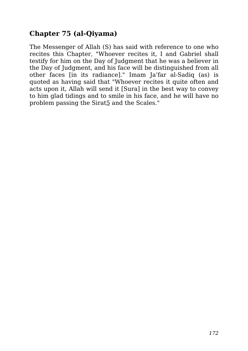## **Chapter 75 (al-Qiyama)**

The Messenger of Allah (S) has said with reference to one who recites this Chapter, "Whoever recites it, I and Gabriel shall testify for him on the Day of Judgment that he was a believer in the Day of Judgment, and his face will be distinguished from all other faces [in its radiance]." Imam Ja'far al-Sadiq (as) is quoted as having said that "Whoever recites it quite often and acts upon it, Allah will send it [Sura] in the best way to convey to him glad tidings and to smile in his face, and he will have no problem passing the Sirat5 and the Scales."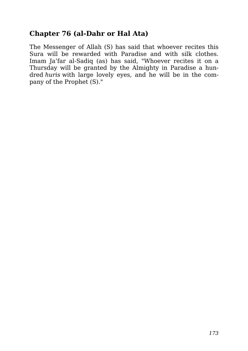#### **Chapter 76 (al-Dahr or Hal Ata)**

The Messenger of Allah (S) has said that whoever recites this Sura will be rewarded with Paradise and with silk clothes. Imam Ja'far al-Sadiq (as) has said, "Whoever recites it on a Thursday will be granted by the Almighty in Paradise a hundred *huris* with large lovely eyes, and he will be in the company of the Prophet (S)."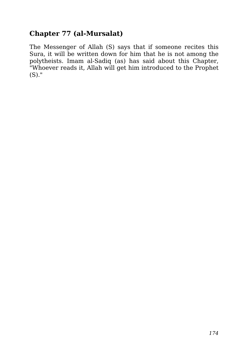## **Chapter 77 (al-Mursalat)**

The Messenger of Allah (S) says that if someone recites this Sura, it will be written down for him that he is not among the polytheists. Imam al-Sadiq (as) has said about this Chapter, "Whoever reads it, Allah will get him introduced to the Prophet (S)."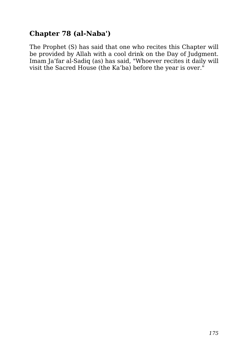## **Chapter 78 (al-Naba')**

The Prophet (S) has said that one who recites this Chapter will be provided by Allah with a cool drink on the Day of Judgment. Imam Ja'far al-Sadiq (as) has said, "Whoever recites it daily will visit the Sacred House (the Ka'ba) before the year is over."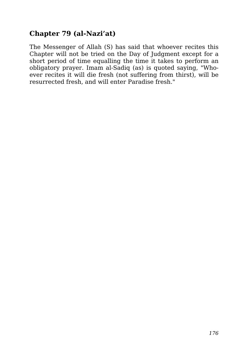## **Chapter 79 (al-Nazi'at)**

The Messenger of Allah (S) has said that whoever recites this Chapter will not be tried on the Day of Judgment except for a short period of time equalling the time it takes to perform an obligatory prayer. Imam al-Sadiq (as) is quoted saying, "Whoever recites it will die fresh (not suffering from thirst), will be resurrected fresh, and will enter Paradise fresh."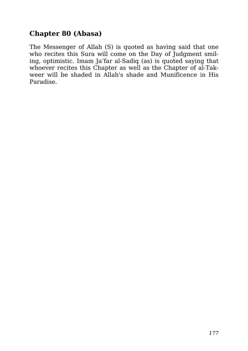## **Chapter 80 (Abasa)**

The Messenger of Allah (S) is quoted as having said that one who recites this Sura will come on the Day of Judgment smiling, optimistic. Imam Ja'far al-Sadiq (as) is quoted saying that whoever recites this Chapter as well as the Chapter of al-Takweer will be shaded in Allah's shade and Munificence in His Paradise.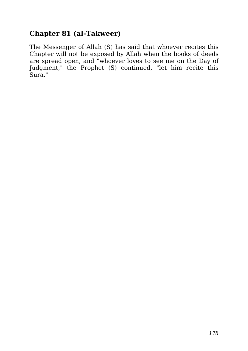## **Chapter 81 (al-Takweer)**

The Messenger of Allah (S) has said that whoever recites this Chapter will not be exposed by Allah when the books of deeds are spread open, and "whoever loves to see me on the Day of Judgment," the Prophet (S) continued, "let him recite this Sura."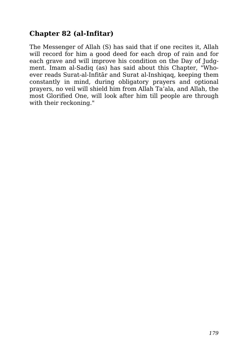## **Chapter 82 (al-Infitar)**

The Messenger of Allah (S) has said that if one recites it, Allah will record for him a good deed for each drop of rain and for each grave and will improve his condition on the Day of Judgment. Imam al-Sadiq (as) has said about this Chapter, "Whoever reads Surat-al-Infitār and Surat al-Inshiqaq, keeping them constantly in mind, during obligatory prayers and optional prayers, no veil will shield him from Allah Ta'ala, and Allah, the most Glorified One, will look after him till people are through with their reckoning."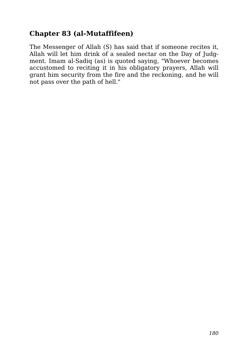## **Chapter 83 (al-Mutaffifeen)**

The Messenger of Allah (S) has said that if someone recites it, Allah will let him drink of a sealed nectar on the Day of Judgment. Imam al-Sadiq (as) is quoted saying, "Whoever becomes accustomed to reciting it in his obligatory prayers, Allah will grant him security from the fire and the reckoning, and he will not pass over the path of hell."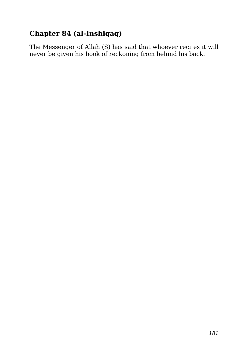### **Chapter 84 (al-Inshiqaq)**

The Messenger of Allah (S) has said that whoever recites it will never be given his book of reckoning from behind his back.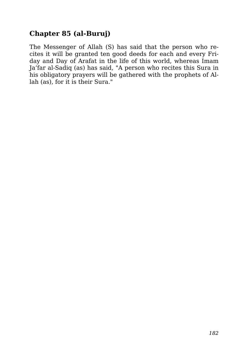#### **Chapter 85 (al-Buruj)**

The Messenger of Allah (S) has said that the person who recites it will be granted ten good deeds for each and every Friday and Day of Arafat in the life of this world, whereas Imam Ja'far al-Sadiq (as) has said, "A person who recites this Sura in his obligatory prayers will be gathered with the prophets of Allah (as), for it is their Sura."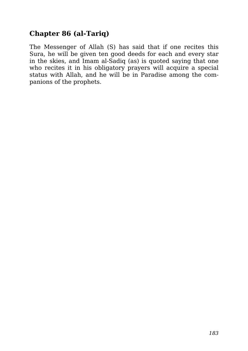#### **Chapter 86 (al-Tariq)**

The Messenger of Allah (S) has said that if one recites this Sura, he will be given ten good deeds for each and every star in the skies, and Imam al-Sadiq (as) is quoted saying that one who recites it in his obligatory prayers will acquire a special status with Allah, and he will be in Paradise among the companions of the prophets.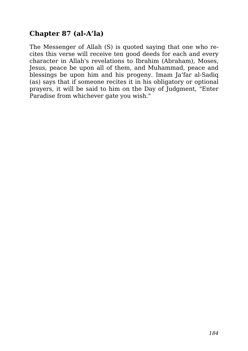#### **Chapter 87 (al-A'la)**

The Messenger of Allah (S) is quoted saying that one who recites this verse will receive ten good deeds for each and every character in Allah's revelations to Ibrahim (Abraham), Moses, Jesus, peace be upon all of them, and Muhammad, peace and blessings be upon him and his progeny. Imam Ja'far al-Sadiq (as) says that if someone recites it in his obligatory or optional prayers, it will be said to him on the Day of Judgment, "Enter Paradise from whichever gate you wish."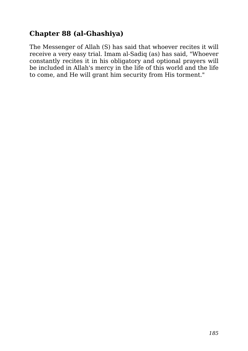#### **Chapter 88 (al-Ghashiya)**

The Messenger of Allah (S) has said that whoever recites it will receive a very easy trial. Imam al-Sadiq (as) has said, "Whoever constantly recites it in his obligatory and optional prayers will be included in Allah's mercy in the life of this world and the life to come, and He will grant him security from His torment."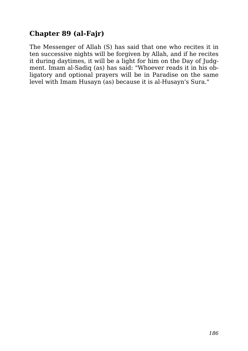#### **Chapter 89 (al-Fajr)**

The Messenger of Allah (S) has said that one who recites it in ten successive nights will be forgiven by Allah, and if he recites it during daytimes, it will be a light for him on the Day of Judgment. Imam al-Sadiq (as) has said: "Whoever reads it in his obligatory and optional prayers will be in Paradise on the same level with Imam Husayn (as) because it is al-Husayn's Sura."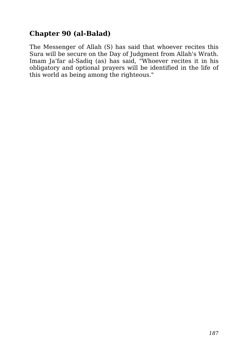#### **Chapter 90 (al-Balad)**

The Messenger of Allah (S) has said that whoever recites this Sura will be secure on the Day of Judgment from Allah's Wrath. Imam Ja'far al-Sadiq (as) has said, "Whoever recites it in his obligatory and optional prayers will be identified in the life of this world as being among the righteous."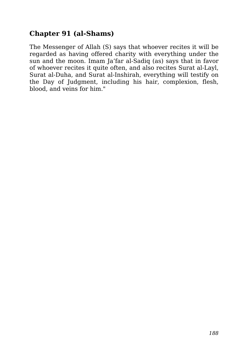#### **Chapter 91 (al-Shams)**

The Messenger of Allah (S) says that whoever recites it will be regarded as having offered charity with everything under the sun and the moon. Imam Ja'far al-Sadiq (as) says that in favor of whoever recites it quite often, and also recites Surat al-Layl, Surat al-Duha, and Surat al-Inshirah, everything will testify on the Day of Judgment, including his hair, complexion, flesh, blood, and veins for him."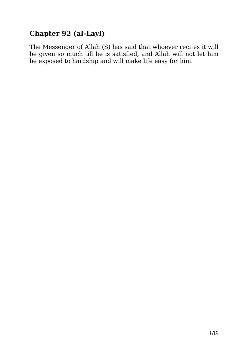### **Chapter 92 (al-Layl)**

The Messenger of Allah (S) has said that whoever recites it will be given so much till he is satisfied, and Allah will not let him be exposed to hardship and will make life easy for him.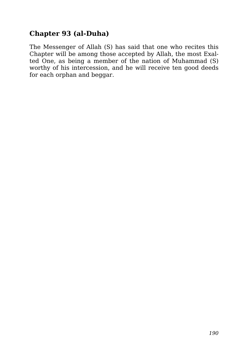### **Chapter 93 (al-Duha)**

The Messenger of Allah (S) has said that one who recites this Chapter will be among those accepted by Allah, the most Exalted One, as being a member of the nation of Muhammad (S) worthy of his intercession, and he will receive ten good deeds for each orphan and beggar.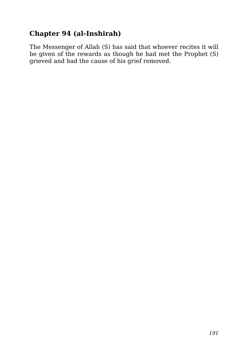#### **Chapter 94 (al-Inshirah)**

The Messenger of Allah (S) has said that whoever recites it will be given of the rewards as though he had met the Prophet (S) grieved and had the cause of his grief removed.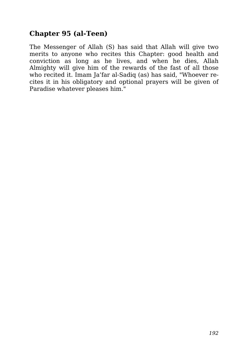#### **Chapter 95 (al-Teen)**

The Messenger of Allah (S) has said that Allah will give two merits to anyone who recites this Chapter: good health and conviction as long as he lives, and when he dies, Allah Almighty will give him of the rewards of the fast of all those who recited it. Imam Ja'far al-Sadiq (as) has said, "Whoever recites it in his obligatory and optional prayers will be given of Paradise whatever pleases him."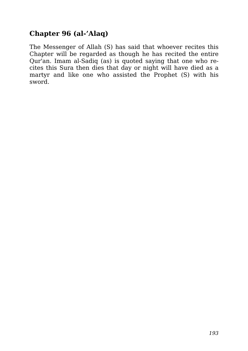#### **Chapter 96 (al-'Alaq)**

The Messenger of Allah (S) has said that whoever recites this Chapter will be regarded as though he has recited the entire Qur'an. Imam al-Sadiq (as) is quoted saying that one who recites this Sura then dies that day or night will have died as a martyr and like one who assisted the Prophet (S) with his sword.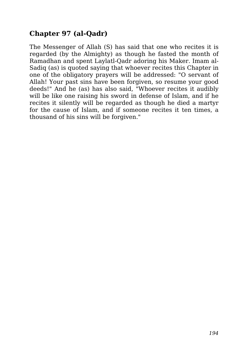#### **Chapter 97 (al-Qadr)**

The Messenger of Allah (S) has said that one who recites it is regarded (by the Almighty) as though he fasted the month of Ramadhan and spent Laylatl-Qadr adoring his Maker. Imam al-Sadiq (as) is quoted saying that whoever recites this Chapter in one of the obligatory prayers will be addressed: "O servant of Allah! Your past sins have been forgiven, so resume your good deeds!" And he (as) has also said, "Whoever recites it audibly will be like one raising his sword in defense of Islam, and if he recites it silently will be regarded as though he died a martyr for the cause of Islam, and if someone recites it ten times, a thousand of his sins will be forgiven."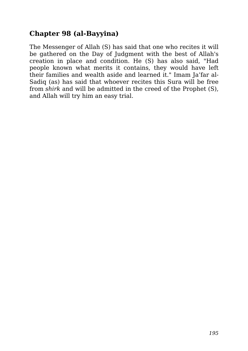#### **Chapter 98 (al-Bayyina)**

The Messenger of Allah (S) has said that one who recites it will be gathered on the Day of Judgment with the best of Allah's creation in place and condition. He (S) has also said, "Had people known what merits it contains, they would have left their families and wealth aside and learned it." Imam Ja'far al-Sadiq (as) has said that whoever recites this Sura will be free from *shirk* and will be admitted in the creed of the Prophet (S), and Allah will try him an easy trial.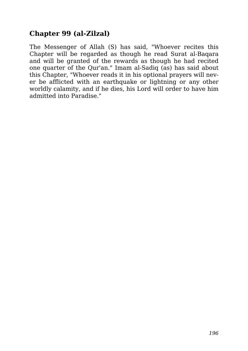#### **Chapter 99 (al-Zilzal)**

The Messenger of Allah (S) has said, "Whoever recites this Chapter will be regarded as though he read Surat al-Baqara and will be granted of the rewards as though he had recited one quarter of the Qur'an." Imam al-Sadiq (as) has said about this Chapter, "Whoever reads it in his optional prayers will never be afflicted with an earthquake or lightning or any other worldly calamity, and if he dies, his Lord will order to have him admitted into Paradise."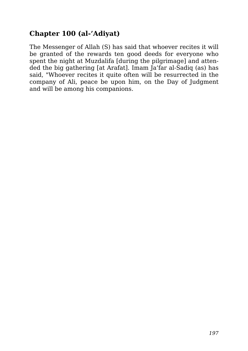#### **Chapter 100 (al-'Adiyat)**

The Messenger of Allah (S) has said that whoever recites it will be granted of the rewards ten good deeds for everyone who spent the night at Muzdalifa [during the pilgrimage] and attended the big gathering [at Arafat]. Imam Ja'far al-Sadiq (as) has said, "Whoever recites it quite often will be resurrected in the company of Ali, peace be upon him, on the Day of Judgment and will be among his companions.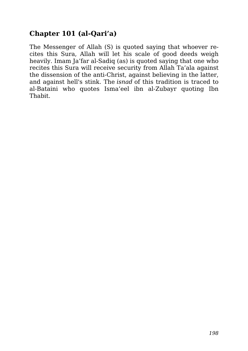### **Chapter 101 (al-Qari'a)**

The Messenger of Allah (S) is quoted saying that whoever recites this Sura, Allah will let his scale of good deeds weigh heavily. Imam Ja'far al-Sadiq (as) is quoted saying that one who recites this Sura will receive security from Allah Ta'ala against the dissension of the anti-Christ, against believing in the latter, and against hell's stink. The *isnad* of this tradition is traced to al-Bataini who quotes Isma'eel ibn al-Zubayr quoting Ibn Thabit.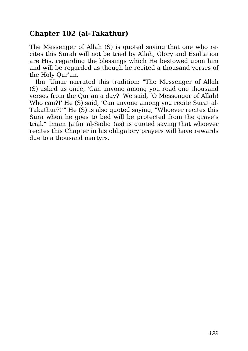#### **Chapter 102 (al-Takathur)**

The Messenger of Allah (S) is quoted saying that one who recites this Surah will not be tried by Allah, Glory and Exaltation are His, regarding the blessings which He bestowed upon him and will be regarded as though he recited a thousand verses of the Holy Qur'an.

Ibn 'Umar narrated this tradition: "The Messenger of Allah (S) asked us once, 'Can anyone among you read one thousand verses from the Qur'an a day?' We said, 'O Messenger of Allah! Who can?!' He (S) said, 'Can anyone among you recite Surat al-Takathur?!'" He (S) is also quoted saying, "Whoever recites this Sura when he goes to bed will be protected from the grave's trial." Imam Ja'far al-Sadiq (as) is quoted saying that whoever recites this Chapter in his obligatory prayers will have rewards due to a thousand martyrs.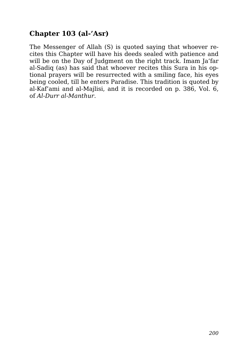#### **Chapter 103 (al-'Asr)**

The Messenger of Allah (S) is quoted saying that whoever recites this Chapter will have his deeds sealed with patience and will be on the Day of Judgment on the right track. Imam Ja'far al-Sadiq (as) has said that whoever recites this Sura in his optional prayers will be resurrected with a smiling face, his eyes being cooled, till he enters Paradise. This tradition is quoted by al-Kaf'ami and al-Majlisi, and it is recorded on p. 386, Vol. 6, of *Al-Durr al-Manthur*.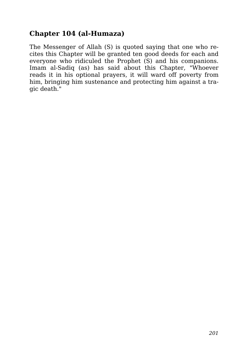#### **Chapter 104 (al-Humaza)**

The Messenger of Allah (S) is quoted saying that one who recites this Chapter will be granted ten good deeds for each and everyone who ridiculed the Prophet (S) and his companions. Imam al-Sadiq (as) has said about this Chapter, "Whoever reads it in his optional prayers, it will ward off poverty from him, bringing him sustenance and protecting him against a tragic death."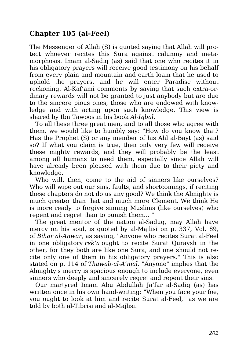#### **Chapter 105 (al-Feel)**

The Messenger of Allah (S) is quoted saying that Allah will protect whoever recites this Sura against calumny and metamorphosis. Imam al-Sadiq (as) said that one who recites it in his obligatory prayers will receive good testimony on his behalf from every plain and mountain and earth loam that he used to uphold the prayers, and he will enter Paradise without reckoning. Al-Kaf'ami comments by saying that such extra-ordinary rewards will not be granted to just anybody but are due to the sincere pious ones, those who are endowed with knowledge and with acting upon such knowledge. This view is shared by Ibn Tawoos in his book *Al-Iqbal*.

To all these three great men, and to all those who agree with them, we would like to humbly say: "How do you know that? Has the Prophet (S) or any member of his Ahl al-Bayt (as) said so? If what you claim is true, then only very few will receive these mighty rewards, and they will probably be the least among all humans to need them, especially since Allah will have already been pleased with them due to their piety and knowledge.

Who will, then, come to the aid of sinners like ourselves? Who will wipe out our sins, faults, and shortcomings, if reciting these chapters do not do us any good? We think the Almighty is much greater than that and much more Clement. We think He is more ready to forgive sinning Muslims (like ourselves) who repent and regret than to punish them… "

The great mentor of the nation al-Saduq, may Allah have mercy on his soul, is quoted by al-Majlisi on p. 337, Vol. 89, of *Bihar al-Anwar*, as saying, "Anyone who recites Surat al-Feel in one obligatory *rek'a* ought to recite Surat Quraysh in the other, for they both are like one Sura, and one should not recite only one of them in his obligatory prayers." This is also stated on p. 114 of *Thawab-al-A'mal*. "Anyone" implies that the Almighty's mercy is spacious enough to include everyone, even sinners who deeply and sincerely regret and repent their sins.

Our martyred Imam Abu Abdullah Ja'far al-Sadiq (as) has written once in his own hand-writing: "When you face your foe, you ought to look at him and recite Surat al-Feel," as we are told by both al-Tibrisi and al-Majlisi.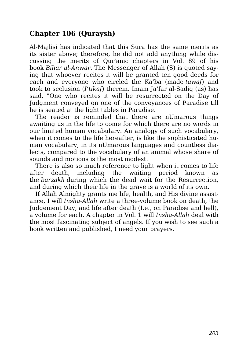#### **Chapter 106 (Quraysh)**

Al-Majlisi has indicated that this Sura has the same merits as its sister above; therefore, he did not add anything while discussing the merits of Qur'anic chapters in Vol. 89 of his book *Bihar al-Anwar*. The Messenger of Allah (S) is quoted saying that whoever recites it will be granted ten good deeds for each and everyone who circled the Ka'ba (made *tawaf*) and took to seclusion (*I'tikaf*) therein. Imam Ja'far al-Sadiq (as) has said, "One who recites it will be resurrected on the Day of Judgment conveyed on one of the conveyances of Paradise till he is seated at the light tables in Paradise.

The reader is reminded that there are nUmarous things awaiting us in the life to come for which there are no words in our limited human vocabulary. An analogy of such vocabulary, when it comes to the life hereafter, is like the sophisticated human vocabulary, in its nUmarous languages and countless dialects, compared to the vocabulary of an animal whose share of sounds and motions is the most modest.

There is also so much reference to light when it comes to life after death, including the waiting period known as the *barzakh* during which the dead wait for the Resurrection, and during which their life in the grave is a world of its own.

If Allah Almighty grants me life, health, and His divine assistance, I will *Insha-Allah* write a three-volume book on death, the Judgement Day, and life after death (I.e., on Paradise and hell), a volume for each. A chapter in Vol. 1 will *Insha-Allah* deal with the most fascinating subject of angels. If you wish to see such a book written and published, I need your prayers.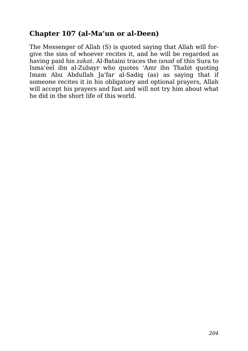#### **Chapter 107 (al-Ma'un or al-Deen)**

The Messenger of Allah (S) is quoted saying that Allah will forgive the sins of whoever recites it, and he will be regarded as having paid his *zakat*. Al-Bataini traces the *isnad* of this Sura to Isma'eel ibn al-Zubayr who quotes 'Amr ibn Thabit quoting Imam Abu Abdullah Ja'far al-Sadiq (as) as saying that if someone recites it in his obligatory and optional prayers, Allah will accept his prayers and fast and will not try him about what he did in the short life of this world.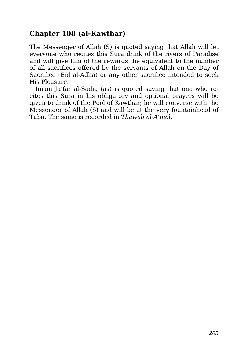#### **Chapter 108 (al-Kawthar)**

The Messenger of Allah (S) is quoted saying that Allah will let everyone who recites this Sura drink of the rivers of Paradise and will give him of the rewards the equivalent to the number of all sacrifices offered by the servants of Allah on the Day of Sacrifice (Eid al-Adha) or any other sacrifice intended to seek His Pleasure.

Imam Ja'far al-Sadiq (as) is quoted saying that one who recites this Sura in his obligatory and optional prayers will be given to drink of the Pool of Kawthar; he will converse with the Messenger of Allah (S) and will be at the very fountainhead of Tuba. The same is recorded in *Thawab al-A'mal*.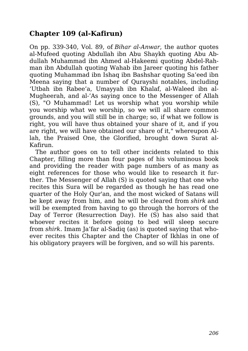#### **Chapter 109 (al-Kafirun)**

On pp. 339-340, Vol. 89, of *Bihar al-Anwar*, the author quotes al-Mufeed quoting Abdullah ibn Abu Shaykh quoting Abu Abdullah Muhammad ibn Ahmed al-Hakeemi quoting Abdel-Rahman ibn Abdullah quoting Wahab ibn Jareer quoting his father quoting Muhammad ibn Ishaq ibn Bashshar quoting Sa'eed ibn Meena saying that a number of Qurayshi notables, including 'Utbah ibn Rabee'a, Umayyah ibn Khalaf, al-Waleed ibn al-Mugheerah, and al-'As saying once to the Messenger of Allah (S), "O Muhammad! Let us worship what you worship while you worship what we worship, so we will all share common grounds, and you will still be in charge; so, if what we follow is right, you will have thus obtained your share of it, and if you are right, we will have obtained our share of it," whereupon Allah, the Praised One, the Glorified, brought down Surat al-Kafirun.

The author goes on to tell other incidents related to this Chapter, filling more than four pages of his voluminous book and providing the reader with page numbers of as many as eight references for those who would like to research it further. The Messenger of Allah (S) is quoted saying that one who recites this Sura will be regarded as though he has read one quarter of the Holy Qur'an, and the most wicked of Satans will be kept away from him, and he will be cleared from *shirk* and will be exempted from having to go through the horrors of the Day of Terror (Resurrection Day). He (S) has also said that whoever recites it before going to bed will sleep secure from *shirk*. Imam Ja'far al-Sadiq (as) is quoted saying that whoever recites this Chapter and the Chapter of Ikhlas in one of his obligatory prayers will be forgiven, and so will his parents.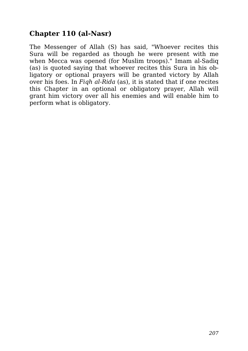#### **Chapter 110 (al-Nasr)**

The Messenger of Allah (S) has said, "Whoever recites this Sura will be regarded as though he were present with me when Mecca was opened (for Muslim troops)." Imam al-Sadiq (as) is quoted saying that whoever recites this Sura in his obligatory or optional prayers will be granted victory by Allah over his foes. In *Fiqh al-Rida* (as), it is stated that if one recites this Chapter in an optional or obligatory prayer, Allah will grant him victory over all his enemies and will enable him to perform what is obligatory.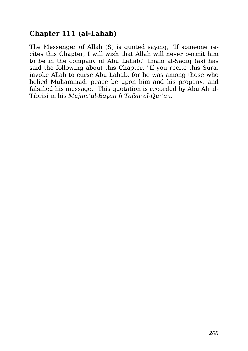#### **Chapter 111 (al-Lahab)**

The Messenger of Allah (S) is quoted saying, "If someone recites this Chapter, I will wish that Allah will never permit him to be in the company of Abu Lahab." Imam al-Sadiq (as) has said the following about this Chapter, "If you recite this Sura, invoke Allah to curse Abu Lahab, for he was among those who belied Muhammad, peace be upon him and his progeny, and falsified his message." This quotation is recorded by Abu Ali al-Tibrisi in his *Mujma'ul-Bayan fi Tafsir al-Qur'an*.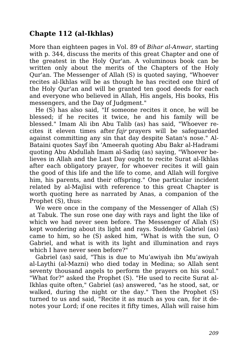#### **Chapte 112 (al-Ikhlas)**

More than eighteen pages in Vol. 89 of *Bihar al-Anwar*, starting with p. 344, discuss the merits of this great Chapter and one of the greatest in the Holy Qur'an. A voluminous book can be written only about the merits of the Chapters of the Holy Qur'an. The Messenger of Allah (S) is quoted saying, "Whoever recites al-Ikhlas will be as though he has recited one third of the Holy Qur'an and will be granted ten good deeds for each and everyone who believed in Allah, His angels, His books, His messengers, and the Day of Judgment."

He (S) has also said, "If someone recites it once, he will be blessed; if he recites it twice, he and his family will be blessed." Imam Ali ibn Abu Talib (as) has said, "Whoever recites it eleven times after *fajr* prayers will be safeguarded against committing any sin that day despite Satan's nose." Al-Bataini quotes Sayf ibn 'Ameerah quoting Abu Bakr al-Hadrami quoting Abu Abdullah Imam al-Sadiq (as) saying, "Whoever believes in Allah and the Last Day ought to recite Surat al-Ikhlas after each obligatory prayer, for whoever recites it will gain the good of this life and the life to come, and Allah will forgive him, his parents, and their offspring." One particular incident related by al-Majlisi with reference to this great Chapter is worth quoting here as narrated by Anas, a companion of the Prophet (S), thus:

We were once in the company of the Messenger of Allah (S) at Tabuk. The sun rose one day with rays and light the like of which we had never seen before. The Messenger of Allah (S) kept wondering about its light and rays. Suddenly Gabriel (as) came to him, so he (S) asked him, "What is with the sun, O Gabriel, and what is with its light and illumination and rays which I have never seen before?"

Gabriel (as) said, "This is due to Mu'awiyah ibn Mu'awiyah al-Laythi (al-Mazni) who died today in Medina; so Allah sent seventy thousand angels to perform the prayers on his soul." "What for?" asked the Prophet (S). "He used to recite Surat al-Ikhlas quite often," Gabriel (as) answered, "as he stood, sat, or walked, during the night or the day." Then the Prophet (S) turned to us and said, "Recite it as much as you can, for it denotes your Lord; if one recites it fifty times, Allah will raise him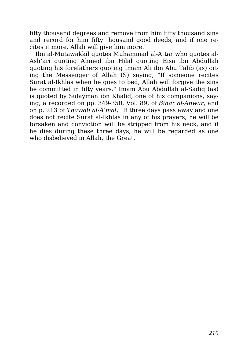fifty thousand degrees and remove from him fifty thousand sins and record for him fifty thousand good deeds, and if one recites it more, Allah will give him more."

Ibn al-Mutawakkil quotes Muhammad al-Attar who quotes al-Ash'ari quoting Ahmed ibn Hilal quoting Eisa ibn Abdullah quoting his forefathers quoting Imam Ali ibn Abu Talib (as) citing the Messenger of Allah (S) saying, "If someone recites Surat al-Ikhlas when he goes to bed, Allah will forgive the sins he committed in fifty years." Imam Abu Abdullah al-Sadiq (as) is quoted by Sulayman ibn Khalid, one of his companions, saying, a recorded on pp. 349-350, Vol. 89, of *Bihar al-Anwar*, and on p. 213 of *Thawab al-A'mal*, "If three days pass away and one does not recite Surat al-Ikhlas in any of his prayers, he will be forsaken and conviction will be stripped from his neck, and if he dies during these three days, he will be regarded as one who disbelieved in Allah, the Great."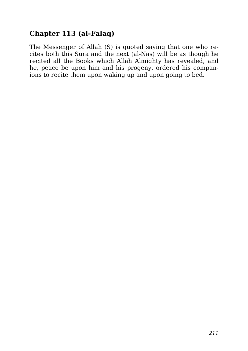#### **Chapter 113 (al-Falaq)**

The Messenger of Allah (S) is quoted saying that one who recites both this Sura and the next (al-Nas) will be as though he recited all the Books which Allah Almighty has revealed, and he, peace be upon him and his progeny, ordered his companions to recite them upon waking up and upon going to bed.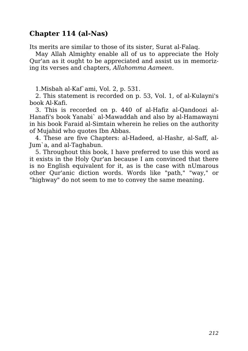#### **Chapter 114 (al-Nas)**

Its merits are similar to those of its sister, Surat al-Falaq.

May Allah Almighty enable all of us to appreciate the Holy Qur'an as it ought to be appreciated and assist us in memorizing its verses and chapters, *Allahomma Aameen*.

1.Misbah al-Kaf`ami, Vol. 2, p. 531.

2. This statement is recorded on p. 53, Vol. 1, of al-Kulayni's book Al-Kafi.

3. This is recorded on p. 440 of al-Hafiz al-Qandoozi al-Hanafi's book Yanabi` al-Mawaddah and also by al-Hamawayni in his book Faraid al-Simtain wherein he relies on the authority of Mujahid who quotes Ibn Abbas.

4. These are five Chapters: al-Hadeed, al-Hashr, al-Saff, al-Jum`a, and al-Taghabun.

5. Throughout this book, I have preferred to use this word as it exists in the Holy Qur'an because I am convinced that there is no English equivalent for it, as is the case with nUmarous other Qur'anic diction words. Words like "path," "way," or "highway" do not seem to me to convey the same meaning.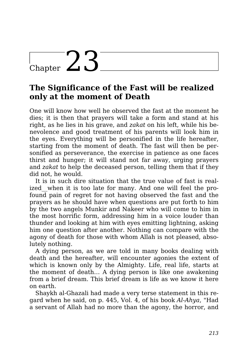# $_{\text{Chapter}}$  23

## **The Significance of the Fast will be realized only at the moment of Death**

One will know how well he observed the fast at the moment he dies; it is then that prayers will take a form and stand at his right, as he lies in his grave, and *zakat* on his left, while his benevolence and good treatment of his parents will look him in the eyes. Everything will be personified in the life hereafter, starting from the moment of death. The fast will then be personified as perseverance, the exercise in patience as one faces thirst and hunger; it will stand not far away, urging prayers and *zakat* to help the deceased person, telling them that if they did not, he would.

It is in such dire situation that the true value of fast is realized when it is too late for many. And one will feel the profound pain of regret for not having observed the fast and the prayers as he should have when questions are put forth to him by the two angels Munkir and Nakeer who will come to him in the most horrific form, addressing him in a voice louder than thunder and looking at him with eyes emitting lightning, asking him one question after another. Nothing can compare with the agony of death for those with whom Allah is not pleased, absolutely nothing.

A dying person, as we are told in many books dealing with death and the hereafter, will encounter agonies the extent of which is known only by the Almighty. Life, real life, starts at the moment of death… A dying person is like one awakening from a brief dream. This brief dream is life as we know it here on earth.

Shaykh al-Ghazali had made a very terse statement in this regard when he said, on p. 445, Vol. 4, of his book *Al-Ahya*, "Had a servant of Allah had no more than the agony, the horror, and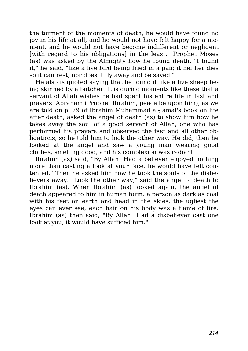the torment of the moments of death, he would have found no joy in his life at all, and he would not have felt happy for a moment, and he would not have become indifferent or negligent [with regard to his obligations] in the least." Prophet Moses (as) was asked by the Almighty how he found death. "I found it," he said, "like a live bird being fried in a pan; it neither dies so it can rest, nor does it fly away and be saved."

He also is quoted saying that he found it like a live sheep being skinned by a butcher. It is during moments like these that a servant of Allah wishes he had spent his entire life in fast and prayers. Abraham (Prophet Ibrahim, peace be upon him), as we are told on p. 79 of Ibrahim Muhammad al-Jamal's book on life after death, asked the angel of death (as) to show him how he takes away the soul of a good servant of Allah, one who has performed his prayers and observed the fast and all other obligations, so he told him to look the other way. He did, then he looked at the angel and saw a young man wearing good clothes, smelling good, and his complexion was radiant.

Ibrahim (as) said, "By Allah! Had a believer enjoyed nothing more than casting a look at your face, he would have felt contented." Then he asked him how he took the souls of the disbelievers away. "Look the other way," said the angel of death to Ibrahim (as). When Ibrahim (as) looked again, the angel of death appeared to him in human form: a person as dark as coal with his feet on earth and head in the skies, the ugliest the eyes can ever see; each hair on his body was a flame of fire. Ibrahim (as) then said, "By Allah! Had a disbeliever cast one look at you, it would have sufficed him."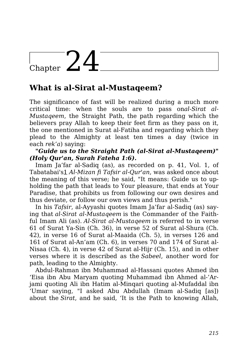# Chapter  $24$

## **What is al-Sirat al-Mustaqeem?**

The significance of fast will be realized during a much more critical time: when the souls are to pass on*al-Sirat al-Mustaqeem*, the Straight Path, the path regarding which the believers pray Allah to keep their feet firm as they pass on it, the one mentioned in Surat al-Fatiha and regarding which they plead to the Almighty at least ten times a day (twice in each *rek'a*) saying:

#### *"Guide us to the Straight Path (al-Sirat al-Mustaqeem)" (Holy Qur'an, Surah Fateha 1:6).*

Imam Ja'far al-Sadiq (as), as recorded on p. 41, Vol. 1, of Tabatabai's1 *Al-Mizan fi Tafsir al-Qur'an*, was asked once about the meaning of this verse; he said, "It means: Guide us to upholding the path that leads to Your pleasure, that ends at Your Paradise, that prohibits us from following our own desires and thus deviate, or follow our own views and thus perish."

In his *Tafsir*, al-Ayyashi quotes Imam Ja'far al-Sadiq (as) saying that *al-Sirat al-Mustaqeem* is the Commander of the Faithful Imam Ali (as). *Al-Sirat al-Mustaqeem* is referred to in verse 61 of Surat Ya-Sin (Ch. 36), in verse 52 of Surat al-Shura (Ch. 42), in verse 16 of Surat al-Maaida (Ch. 5), in verses 126 and 161 of Surat al-An'am (Ch. 6), in verses 70 and 174 of Surat al-Nisaa (Ch. 4), in verse 42 of Surat al-Hijr (Ch. 15), and in other verses where it is described as the *Sabeel*, another word for path, leading to the Almighty.

Abdul-Rahman ibn Muhammad al-Hassani quotes Ahmed ibn 'Eisa ibn Abu Maryam quoting Muhammad ibn Ahmed al-'Arjami quoting Ali ibn Hatim al-Minqari quoting al-Mufaddal ibn 'Umar saying, "I asked Abu Abdullah (Imam al-Sadiq [as]) about the *Sirat*, and he said, 'It is the Path to knowing Allah,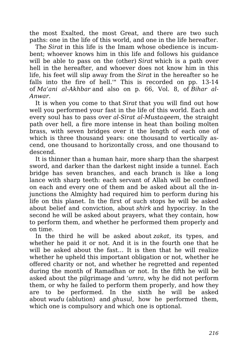the most Exalted, the most Great, and there are two such paths: one in the life of this world, and one in the life hereafter.

The *Sirat* in this life is the Imam whose obedience is incumbent; whoever knows him in this life and follows his guidance will be able to pass on the (other) *Sirat* which is a path over hell in the hereafter, and whoever does not know him in this life, his feet will slip away from the *Sirat* in the hereafter so he falls into the fire of hell." This is recorded on pp. 13-14 of *Ma'ani al-Akhbar* and also on p. 66, Vol. 8, of *Bihar al-Anwar*.

It is when you come to that *Sirat* that you will find out how well you performed your fast in the life of this world. Each and every soul has to pass over *al-Sirat al-Mustaqeem*, the straight path over hell, a fire more intense in heat than boiling molten brass, with seven bridges over it the length of each one of which is three thousand years: one thousand to vertically ascend, one thousand to horizontally cross, and one thousand to descend.

It is thinner than a human hair, more sharp than the sharpest sword, and darker than the darkest night inside a tunnel. Each bridge has seven branches, and each branch is like a long lance with sharp teeth: each servant of Allah will be confined on each and every one of them and be asked about all the injunctions the Almighty had required him to perform during his life on this planet. In the first of such stops he will be asked about belief and conviction, about *shirk* and hypocrisy. In the second he will be asked about prayers, what they contain, how to perform them, and whether he performed them properly and on time.

In the third he will be asked about *zakat*, its types, and whether he paid it or not. And it is in the fourth one that he will be asked about the fast… It is then that he will realize whether he upheld this important obligation or not, whether he offered charity or not, and whether he regretted and repented during the month of Ramadhan or not. In the fifth he will be asked about the pilgrimage and *'umra*, why he did not perform them, or why he failed to perform them properly, and how they are to be performed. In the sixth he will be asked about *wudu* (ablution) and *ghusul*, how he performed them, which one is compulsory and which one is optional.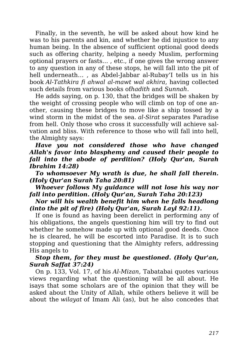Finally, in the seventh, he will be asked about how kind he was to his parents and kin, and whether he did injustice to any human being. In the absence of sufficient optional good deeds such as offering charity, helping a needy Muslim, performing optional prayers or fasts… , etc., if one gives the wrong answer to any question in any of these stops, he will fall into the pit of hell underneath… , as Abdel-Jabbar al-Rubay'I tells us in his book *Al-Tathkira fi ahwal al-mawt wal akhira*, having collected such details from various books of*hadith* and *Sunnah*.

He adds saying, on p. 130, that the bridges will be shaken by the weight of crossing people who will climb on top of one another, causing these bridges to move like a ship tossed by a wind storm in the midst of the sea. *al-Sirat* separates Paradise from hell. Only those who cross it successfully will achieve salvation and bliss. With reference to those who will fall into hell, the Almighty says:

*Have you not considered those who have changed Allah's favor into blasphemy and caused their people to fall into the abode of perdition? (Holy Qur'an, Surah Ibrahim 14:28)*

*To whomsoever My wrath is due, he shall fall therein. (Holy Qur'an Surah Taha 20:81)*

*Whoever follows My guidance will not lose his way nor fall into perdition. (Holy Qur'an, Surah Taha 20:123)*

#### *Nor will his wealth benefit him when he falls headlong (into the pit of fire) (Holy Qur'an, Surah Layl 92:11).*

If one is found as having been derelict in performing any of his obligations, the angels questioning him will try to find out whether he somehow made up with optional good deeds. Once he is cleared, he will be escorted into Paradise. It is to such stopping and questioning that the Almighty refers, addressing His angels to

#### *Stop them, for they must be questioned. (Holy Qur'an, Surah Saffat 37:24)*

On p. 133, Vol. 17, of his *Al-Mizan*, Tabatabai quotes various views regarding what the questioning will be all about. He isays that some scholars are of the opinion that they will be asked about the Unity of Allah, while others believe it will be about the *wilayat* of Imam Ali (as), but he also concedes that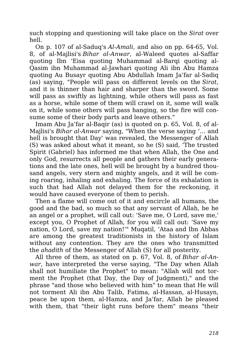such stopping and questioning will take place on the *Sirat* over hell.

On p. 107 of al-Saduq's *Al-Amali*, and also on pp. 64-65, Vol. 8, of al-Majlisi's *Bihar al-Anwar*, al-Waleed quotes al-Saffar quoting Ibn 'Eisa quoting Muhammad al-Barqi quoting al-Qasim ibn Muhammad al-Jawhari quoting Ali ibn Abu Hamza quoting Au Busayr quoting Abu Abdullah Imam Ja'far al-Sadiq (as) saying, "People will pass on different levels on the *Sirat*, and it is thinner than hair and sharper than the sword. Some will pass as swiftly as lightning, while others will pass as fast as a horse, while some of them will crawl on it, some will walk on it, while some others will pass hanging, so the fire will consume some of their body parts and leave others."

Imam Abu Ja'far al-Baqir (as) is quoted on p. 65, Vol. 8, of al-Majlisi's *Bihar al-Anwar* saying, "When the verse saying '… and hell is brought that Day' was revealed, the Messenger of Allah (S) was asked about what it meant, so he (S) said, 'The trusted Spirit (Gabriel) has informed me that when Allah, the One and only God, resurrects all people and gathers their early generations and the late ones, hell will be brought by a hundred thousand angels, very stern and mighty angels, and it will be coming roaring, inhaling and exhaling. The force of its exhalation is such that had Allah not delayed them for the reckoning, it would have caused everyone of them to perish.

Then a flame will come out of it and encircle all humans, the good and the bad, so much so that any servant of Allah, be he an angel or a prophet, will call out: 'Save me, O Lord, save me,' except you, O Prophet of Allah, for you will call out: 'Save my nation, O Lord, save my nation!'" Muqatil, 'Ataa and Ibn Abbas are among the greatest traditionists in the history of Islam without any contention. They are the ones who transmitted the *ahadith* of the Messenger of Allah (S) for all posterity.

All three of them, as stated on p. 67, Vol. 8, of *Bihar al-Anwar*, have interpreted the verse saying, "The Day when Allah shall not humiliate the Prophet" to mean: "Allah will not torment the Prophet (that Day, the Day of Judgment)," and the phrase "and those who believed with him" to mean that He will not torment Ali ibn Abu Talib, Fatima, al-Hassan, al-Husayn, peace be upon them, al-Hamza, and Ja'far, Allah be pleased with them, that "their light runs before them" means "their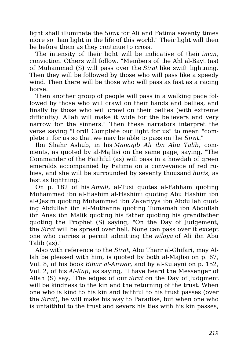light shall illuminate the *Sirat* for Ali and Fatima seventy times more so than light in the life of this world." Their light will then be before them as they continue to cross.

The intensity of their light will be indicative of their *iman*, conviction. Others will follow. "Members of the Ahl al-Bayt (as) of Muhammad (S) will pass over the *Sirat* like swift lightning. Then they will be followed by those who will pass like a speedy wind. Then there will be those who will pass as fast as a racing horse.

Then another group of people will pass in a walking pace followed by those who will crawl on their hands and bellies, and finally by those who will crawl on their bellies (with extreme difficulty). Allah will make it wide for the believers and very narrow for the sinners." Then these narrators interpret the verse saying "Lord! Complete our light for us" to mean "complete it for us so that we may be able to pass on the *Sirat*."

Ibn Shahr Ashub, in his *Manaqib Ali ibn Abu Talib*, comments, as quoted by al-Majlisi on the same page, saying, "The Commander of the Faithful (as) will pass in a howdah of green emeralds accompanied by Fatima on a conveyance of red rubies, and she will be surrounded by seventy thousand *huris*, as fast as lightning."

On p. 182 of his *Amali*, al-Tusi quotes al-Fahham quoting Muhammad ibn al-Hashim al-Hashimi quoting Abu Hashim ibn al-Qasim quoting Muhammad ibn Zakariyya ibn Abdullah quoting Abdullah ibn al-Muthanna quoting Tumamah ibn Abdullah ibn Anas ibn Malik quoting his father quoting his grandfather quoting the Prophet (S) saying, "On the Day of Judgement, the *Sirat* will be spread over hell. None can pass over it except one who carries a permit admitting the *wilaya* of Ali ibn Abu Talib (as)."

Also with reference to the *Sirat*, Abu Tharr al-Ghifari, may Allah be pleased with him, is quoted by both al-Majlisi on p. 67, Vol. 8, of his book *Bihar al-Anwar*, and by al-Kulayni on p. 152, Vol. 2, of his *Al-Kafi*, as saying, "I have heard the Messenger of Allah (S) say, 'The edges of our *Sirat* on the Day of Judgment will be kindness to the kin and the returning of the trust. When one who is kind to his kin and faithful to his trust passes (over the *Sirat*), he will make his way to Paradise, but when one who is unfaithful to the trust and severs his ties with his kin passes,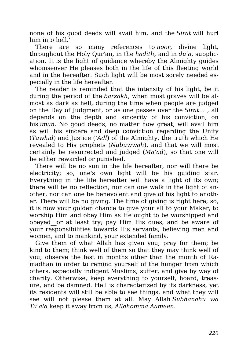none of his good deeds will avail him, and the *Sirat* will hurl him into hell.'"

There are so many references to *noor*, divine light, throughout the Holy Qur'an, in the *hadith*, and in *du'a*, supplication. It is the light of guidance whereby the Almighty guides whomseover He pleases both in the life of this fleeting world and in the hereafter. Such light will be most sorely needed especially in the life hereafter.

The reader is reminded that the intensity of his light, be it during the period of the *barzakh*, when most graves will be almost as dark as hell, during the time when people are judged on the Day of Judgment, or as one passes over the *Sirat*… , all depends on the depth and sincerity of his conviction, on his *iman*. No good deeds, no matter how great, will avail him as will his sincere and deep conviction regarding the Unity (*Tawhid*) and Justice (*'Adl*) of the Almighty, the truth which He revealed to His prophets (*Nubuwwah*), and that we will most certainly be resurrected and judged (*Ma'ad*), so that one will be either rewarded or punished.

There will be no sun in the life hereafter, nor will there be electricity; so, one's own light will be his guiding star. Everything in the life hereafter will have a light of its own; there will be no reflection, nor can one walk in the light of another, nor can one be benevolent and give of his light to another. There will be no giving. The time of giving is right here; so, it is now your golden chance to give your all to your Maker, to worship Him and obey Him as He ought to be worshipped and obeyed\_\_or at least try; pay Him His dues, and be aware of your responsibilities towards His servants, believing men and women, and to mankind, your extended family.

Give them of what Allah has given you; pray for them; be kind to them; think well of them so that they may think well of you; observe the fast in months other than the month of Ramadhan in order to remind yourself of the hunger from which others, especially indigent Muslims, suffer, and give by way of charity. Otherwise, keep everything to yourself, hoard, treasure, and be damned. Hell is characterized by its darkness, yet its residents will still be able to see things, and what they will see will not please them at all. May Allah *Subhanahu wa Ta'ala* keep it away from us, *Allahomma Aameen*.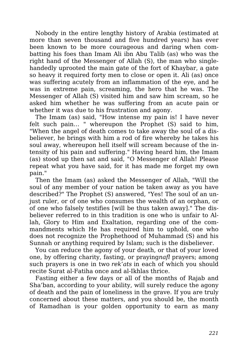Nobody in the entire lengthy history of Arabia (estimated at more than seven thousand and five hundred years) has ever been known to be more courageous and daring when combatting his foes than Imam Ali ibn Abu Talib (as) who was the right hand of the Messenger of Allah (S), the man who singlehandedly uprooted the main gate of the fort of Khaybar, a gate so heavy it required forty men to close or open it. Ali (as) once was suffering acutely from an inflammation of the eye, and he was in extreme pain, screaming, the hero that he was. The Messenger of Allah (S) visited him and saw him scream, so he asked him whether he was suffering from an acute pain or whether it was due to his frustration and agony.

The Imam (as) said, "How intense my pain is! I have never felt such pain… " whereupon the Prophet (S) said to him, "When the angel of death comes to take away the soul of a disbeliever, he brings with him a rod of fire whereby he takes his soul away, whereupon hell itself will scream because of the intensity of his pain and suffering." Having heard him, the Imam (as) stood up then sat and said, "O Messenger of Allah! Please repeat what you have said, for it has made me forget my own pain."

Then the Imam (as) asked the Messenger of Allah, "Will the soul of any member of your nation be taken away as you have described?" The Prophet (S) answered, "Yes! The soul of an unjust ruler, or of one who consumes the wealth of an orphan, or of one who falsely testifies [will be thus taken away]." The disbeliever referred to in this tradition is one who is unfair to Allah, Glory to Him and Exaltation, regarding one of the commandments which He has required him to uphold, one who does not recognize the Prophethood of Muhammad (S) and his Sunnah or anything required by Islam; such is the disbeliever.

You can reduce the agony of your death, or that of your loved one, by offering charity, fasting, or praying*nafl* prayers; among such prayers is one in two *rek'ats* in each of which you should recite Surat al-Fatiha once and al-Ikhlas thrice.

Fasting either a few days or all of the months of Rajab and Sha'ban, according to your ability, will surely reduce the agony of death and the pain of loneliness in the grave. If you are truly concerned about these matters, and you should be, the month of Ramadhan is your golden opportunity to earn as many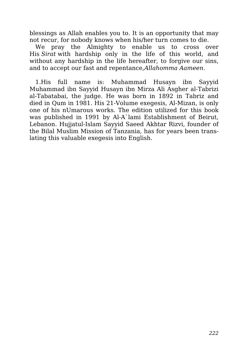blessings as Allah enables you to. It is an opportunity that may not recur, for nobody knows when his/her turn comes to die.

We pray the Almighty to enable us to cross over His *Sirat* with hardship only in the life of this world, and without any hardship in the life hereafter, to forgive our sins, and to accept our fast and repentance,*Allahomma Aameen*.

1.His full name is: Muhammad Husayn ibn Sayyid Muhammad ibn Sayyid Husayn ibn Mirza Ali Asgher al-Tabrizi al-Tabatabai, the judge. He was born in 1892 in Tabriz and died in Qum in 1981. His 21-Volume exegesis, Al-Mizan, is only one of his nUmarous works. The edition utilized for this book was published in 1991 by Al-A`lami Establishment of Beirut, Lebanon. Hujjatul-Islam Sayyid Saeed Akhtar Rizvi, founder of the Bilal Muslim Mission of Tanzania, has for years been translating this valuable exegesis into English.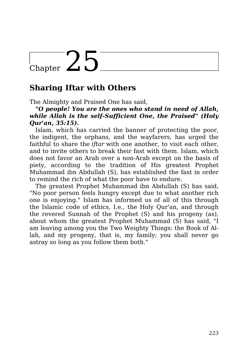## Chapter  $25$

### **Sharing Iftar with Others**

The Almighty and Praised One has said,

#### *"O people! You are the ones who stand in need of Allah, while Allah is the self-Sufficient One, the Praised" (Holy Qur'an, 35:15).*

Islam, which has carried the banner of protecting the poor, the indigent, the orphans, and the wayfarers, has urged the faithful to share the *iftar* with one another, to visit each other, and to invite others to break their fast with them. Islam, which does not favor an Arab over a non-Arab except on the basis of piety, according to the tradition of His greatest Prophet Muhammad ibn Abdullah (S), has established the fast in order to remind the rich of what the poor have to endure.

The greatest Prophet Muhammad ibn Abdullah (S) has said, "No poor person feels hungry except due to what another rich one is enjoying." Islam has informed us of all of this through the Islamic code of ethics, I.e., the Holy Qur'an, and through the revered Sunnah of the Prophet (S) and his progeny (as), about whom the greatest Prophet Muhammad (S) has said, "I am leaving among you the Two Weighty Things: the Book of Allah, and my progeny, that is, my family; you shall never go astray so long as you follow them both."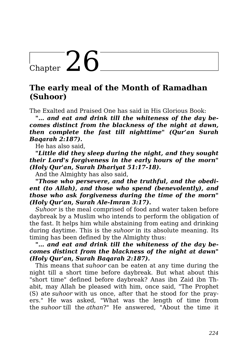## Chapter  $26$

### **The early meal of the Month of Ramadhan (Suhoor)**

The Exalted and Praised One has said in His Glorious Book:

*"… and eat and drink till the whiteness of the day becomes distinct from the blackness of the night at dawn, then complete the fast till nighttime" (Qur'an Surah Baqarah 2:187).*

He has also said,

*"Little did they sleep during the night, and they sought their Lord's forgiveness in the early hours of the morn" (Holy Qur'an, Surah Dhariyat 51:17-18).*

And the Almighty has also said,

*"Those who persevere, and the truthful, and the obedient (to Allah), and those who spend (benevolently), and those who ask forgiveness during the time of the morn" (Holy Qur'an, Surah Ale-Imran 3:17).*

*Suhoor* is the meal comprised of food and water taken before daybreak by a Muslim who intends to perform the obligation of the fast. It helps him while abstaining from eating and drinking during daytime. This is the *suhoor* in its absolute meaning. Its timing has been defined by the Almighty thus:

#### *"… and eat and drink till the whiteness of the day becomes distinct from the blackness of the night at dawn" (Holy Qur'an, Surah Baqarah 2:187).*

This means that *suhoor* can be eaten at any time during the night till a short time before daybreak. But what about this "short time" defined before daybreak? Anas ibn Zaid ibn Thabit, may Allah be pleased with him, once said, "The Prophet (S) ate *suhoor* with us once, after that he stood for the prayers." He was asked, "What was the length of time from the *suhoor* till the *athan*?" He answered, "About the time it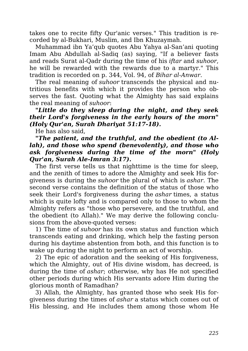takes one to recite fifty Qur'anic verses." This tradition is recorded by al-Bukhari, Muslim, and Ibn Khuzaymah.

Muhammad ibn Ya'qub quotes Abu Yahya al-San'ani quoting Imam Abu Abdullah al-Sadiq (as) saying, "If a believer fasts and reads Surat al-Qadr during the time of his *iftar* and *suhoor*, he will be rewarded with the rewards due to a martyr." This tradition is recorded on p. 344, Vol. 94, of *Bihar al-Anwar*.

The real meaning of *suhoor* transcends the physical and nutritious benefits with which it provides the person who observes the fast. Quoting what the Almighty has said explains the real meaning of *suhoor*:

#### *"Little do they sleep during the night, and they seek their Lord's forgiveness in the early hours of the morn" (Holy Qur'an, Surah Dhariyat 51:17-18).*

He has also said,

#### *"The patient, and the truthful, and the obedient (to Allah), and those who spend (benevolently), and those who ask forgiveness during the time of the morn" (Holy Qur'an, Surah Ale-Imran 3:17).*

The first verse tells us that nighttime is the time for sleep, and the zenith of times to adore the Almighty and seek His forgiveness is during the *suhoor* the plural of which is *ashar*. The second verse contains the definition of the status of those who seek their Lord's forgiveness during the *ashar* times, a status which is quite lofty and is compared only to those to whom the Almighty refers as "those who persevere, and the truthful, and the obedient (to Allah)." We may derive the following conclusions from the above-quoted verses:

1) The time of *suhoor* has its own status and function which transcends eating and drinking, which help the fasting person during his daytime abstention from both, and this function is to wake up during the night to perform an act of worship.

2) The epic of adoration and the seeking of His forgiveness, which the Almighty, out of His divine wisdom, has decreed, is during the time of *ashar*; otherwise, why has He not specified other periods during which His servants adore Him during the glorious month of Ramadhan?

3) Allah, the Almighty, has granted those who seek His forgiveness during the times of *ashar* a status which comes out of His blessing, and He includes them among those whom He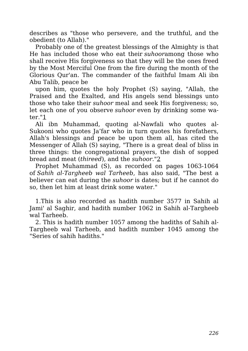describes as "those who persevere, and the truthful, and the obedient (to Allah)."

Probably one of the greatest blessings of the Almighty is that He has included those who eat their *suhoor*among those who shall receive His forgiveness so that they will be the ones freed by the Most Merciful One from the fire during the month of the Glorious Qur'an. The commander of the faithful Imam Ali ibn Abu Talib, peace be

upon him, quotes the holy Prophet (S) saying, "Allah, the Praised and the Exalted, and His angels send blessings unto those who take their *suhoor* meal and seek His forgiveness; so, let each one of you observe *suhoor* even by drinking some water."1

Ali ibn Muhammad, quoting al-Nawfali who quotes al-Sukooni who quotes Ja'far who in turn quotes his forefathers, Allah's blessings and peace be upon them all, has cited the Messenger of Allah (S) saying, "There is a great deal of bliss in three things: the congregational prayers, the dish of sopped bread and meat (*thireed*), and the *suhoor*."2

Prophet Muhammad (S), as recorded on pages 1063-1064 of *Sahih al-Targheeb wal Tarheeb*, has also said, "The best a believer can eat during the *suhoor* is dates; but if he cannot do so, then let him at least drink some water."

1.This is also recorded as hadith number 3577 in Sahih al Jami' al Saghir, and hadith number 1062 in Sahih al-Targheeb wal Tarheeb.

2. This is hadith number 1057 among the hadiths of Sahih al-Targheeb wal Tarheeb, and hadith number 1045 among the "Series of sahih hadiths."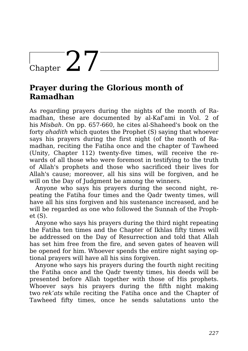## Chapter  $27$

### **Prayer during the Glorious month of Ramadhan**

As regarding prayers during the nights of the month of Ramadhan, these are documented by al-Kaf'ami in Vol. 2 of his *Misbah*. On pp. 657-660, he cites al-Shaheed's book on the forty *ahadith* which quotes the Prophet (S) saying that whoever says his prayers during the first night (of the month of Ramadhan, reciting the Fatiha once and the chapter of Tawheed (Unity, Chapter 112) twenty-five times, will receive the rewards of all those who were foremost in testifying to the truth of Allah's prophets and those who sacrificed their lives for Allah's cause; moreover, all his sins will be forgiven, and he will on the Day of Judgment be among the winners.

Anyone who says his prayers during the second night, repeating the Fatiha four times and the Qadr twenty times, will have all his sins forgiven and his sustenance increased, and he will be regarded as one who followed the Sunnah of the Prophet (S).

Anyone who says his prayers during the third night repeating the Fatiha ten times and the Chapter of Ikhlas fifty times will be addressed on the Day of Resurrection and told that Allah has set him free from the fire, and seven gates of heaven will be opened for him. Whoever spends the entire night saying optional prayers will have all his sins forgiven.

Anyone who says his prayers during the fourth night reciting the Fatiha once and the Qadr twenty times, his deeds will be presented before Allah together with those of His prophets. Whoever says his prayers during the fifth night making two *rek'ats* while reciting the Fatiha once and the Chapter of Tawheed fifty times, once he sends salutations unto the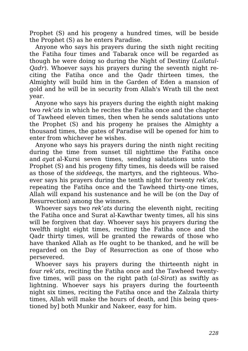Prophet (S) and his progeny a hundred times, will be beside the Prophet (S) as he enters Paradise.

Anyone who says his prayers during the sixth night reciting the Fatiha four times and Tabarak once will be regarded as though he were doing so during the Night of Destiny (*Lailatul-Qadr*). Whoever says his prayers during the seventh night reciting the Fatiha once and the Qadr thirteen times, the Almighty will build him in the Garden of Eden a mansion of gold and he will be in security from Allah's Wrath till the next year.

Anyone who says his prayers during the eighth night making two *rek'ats* in which he recites the Fatiha once and the chapter of Tawheed eleven times, then when he sends salutations unto the Prophet (S) and his progeny he praises the Almighty a thousand times, the gates of Paradise will be opened for him to enter from whichever he wishes.

Anyone who says his prayers during the ninth night reciting during the time from sunset till nighttime the Fatiha once and *ayat* al-Kursi seven times, sending salutations unto the Prophet (S) and his progeny fifty times, his deeds will be raised as those of the *siddeeqs*, the martyrs, and the righteous. Whoever says his prayers during the tenth night for twenty *rek'ats*, repeating the Fatiha once and the Tawheed thirty-one times, Allah will expand his sustenance and he will be (on the Day of Resurrection) among the winners.

Whoever says two *rek'ats* during the eleventh night, reciting the Fatiha once and Surat al-Kawthar twenty times, all his sins will be forgiven that day. Whoever says his prayers during the twelfth night eight times, reciting the Fatiha once and the Qadr thirty times, will be granted the rewards of those who have thanked Allah as He ought to be thanked, and he will be regarded on the Day of Resurrection as one of those who persevered.

Whoever says his prayers during the thirteenth night in four *rek'ats*, reciting the Fatiha once and the Tawheed twentyfive times, will pass on the right path (*al-Sirat*) as swiftly as lightning. Whoever says his prayers during the fourteenth night six times, reciting the Fatiha once and the Zalzala thirty times, Allah will make the hours of death, and [his being questioned by] both Munkir and Nakeer, easy for him.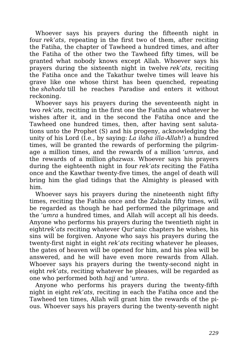Whoever says his prayers during the fifteenth night in four *rek'ats*, repeating in the first two of them, after reciting the Fatiha, the chapter of Tawheed a hundred times, and after the Fatiha of the other two the Tawheed fifty times, will be granted what nobody knows except Allah. Whoever says his prayers during the sixteenth night in twelve *rek'ats*, reciting the Fatiha once and the Takathur twelve times will leave his grave like one whose thirst has been quenched, repeating the *shahada* till he reaches Paradise and enters it without reckoning.

Whoever says his prayers during the seventeenth night in two *rek'ats*, reciting in the first one the Fatiha and whatever he wishes after it, and in the second the Fatiha once and the Tawheed one hundred times, then, after having sent salutations unto the Prophet (S) and his progeny, acknowledging the unity of his Lord (I.e., by saying: *La ilaha illa-Allah!*) a hundred times, will be granted the rewards of performing the pilgrimage a million times, and the rewards of a million *'umras*, and the rewards of a million *ghazwas*. Whoever says his prayers during the eighteenth night in four *rek'ats* reciting the Fatiha once and the Kawthar twenty-five times, the angel of death will bring him the glad tidings that the Almighty is pleased with him.

Whoever says his prayers during the nineteenth night fifty times, reciting the Fatiha once and the Zalzala fifty times, will be regarded as though he had performed the pilgrimage and the *'umra* a hundred times, and Allah will accept all his deeds. Anyone who performs his prayers during the twentieth night in eight*rek'ats* reciting whatever Qur'anic chapters he wishes, his sins will be forgiven. Anyone who says his prayers during the twenty-first night in eight *rek'ats* reciting whatever he pleases, the gates of heaven will be opened for him, and his plea will be answered, and he will have even more rewards from Allah. Whoever says his prayers during the twenty-second night in eight *rek'ats*, reciting whatever he pleases, will be regarded as one who performed both *hajj* and *'umra*.

Anyone who performs his prayers during the twenty-fifth night in eight *rek'ats*, reciting in each the Fatiha once and the Tawheed ten times, Allah will grant him the rewards of the pious. Whoever says his prayers during the twenty-seventh night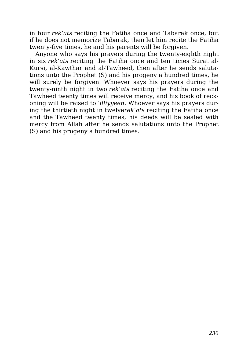in four *rek'ats* reciting the Fatiha once and Tabarak once, but if he does not memorize Tabarak, then let him recite the Fatiha twenty-five times, he and his parents will be forgiven.

Anyone who says his prayers during the twenty-eighth night in six *rek'ats* reciting the Fatiha once and ten times Surat al-Kursi, al-Kawthar and al-Tawheed, then after he sends salutations unto the Prophet (S) and his progeny a hundred times, he will surely be forgiven. Whoever says his prayers during the twenty-ninth night in two *rek'ats* reciting the Fatiha once and Tawheed twenty times will receive mercy, and his book of reckoning will be raised to *'illiyyeen*. Whoever says his prayers during the thirtieth night in twelve*rek'ats* reciting the Fatiha once and the Tawheed twenty times, his deeds will be sealed with mercy from Allah after he sends salutations unto the Prophet (S) and his progeny a hundred times.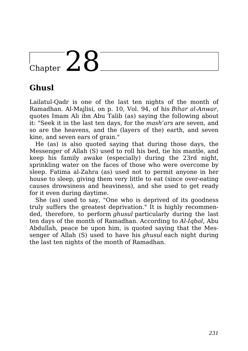## Chapter  $28$

## **Ghusl**

Lailatul-Qadr is one of the last ten nights of the month of Ramadhan. Al-Majlisi, on p. 10, Vol. 94, of his *Bihar al-Anwar*, quotes Imam Ali ibn Abu Talib (as) saying the following about it: "Seek it in the last ten days, for the *mash'ars* are seven, and so are the heavens, and the (layers of the) earth, and seven kine, and seven ears of grain."

He (as) is also quoted saying that during those days, the Messenger of Allah (S) used to roll his bed, tie his mantle, and keep his family awake (especially) during the 23rd night, sprinkling water on the faces of those who were overcome by sleep. Fatima al-Zahra (as) used not to permit anyone in her house to sleep, giving them very little to eat (since over-eating causes drowsiness and heaviness), and she used to get ready for it even during daytime.

She (as) used to say, "One who is deprived of its goodness truly suffers the greatest deprivation." It is highly recommended, therefore, to perform *ghusul* particularly during the last ten days of the month of Ramadhan. According to *Al-Iqbal*, Abu Abdullah, peace be upon him, is quoted saying that the Messenger of Allah (S) used to have his *ghusul* each night during the last ten nights of the month of Ramadhan.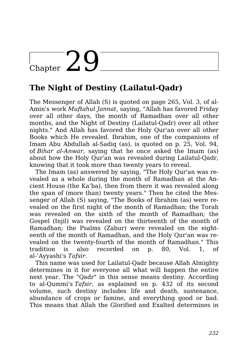## $\frac{1}{\text{Chapter 20}}$

## **The Night of Destiny (Lailatul-Qadr)**

The Messenger of Allah (S) is quoted on page 265, Vol. 3, of al-Amin's work *Muftahul Jannat*, saying, "Allah has favored Friday over all other days, the month of Ramadhan over all other months, and the Night of Destiny (Lailatul-Qadr) over all other nights." And Allah has favored the Holy Qur'an over all other Books which He revealed. Ibrahim, one of the companions of Imam Abu Abdullah al-Sadiq (as), is quoted on p. 25, Vol. 94, of *Bihar al-Anwar*, saying that he once asked the Imam (as) about how the Holy Qur'an was revealed during Lailatul-Qadr, knowing that it took more than twenty years to reveal.

The Imam (as) answered by saying, "The Holy Qur'an was revealed as a whole during the month of Ramadhan at the Ancient House (the Ka'ba), then from there it was revealed along the span of (more than) twenty years." Then he cited the Messenger of Allah (S) saying, "The Books of Ibrahim (as) were revealed on the first night of the month of Ramadhan; the Torah was revealed on the sixth of the month of Ramadhan; the Gospel (Injil) was revealed on the thirteenth of the month of Ramadhan; the Psalms (Zabur) were revealed on the eighteenth of the month of Ramadhan, and the Holy Qur'an was revealed on the twenty-fourth of the month of Ramadhan." This tradition is also recorded on p. 80, Vol. 1, of al-'Ayyashi's *Tafsir*.

This name was used for Lailatul-Qadr because Allah Almighty determines in it for everyone all what will happen the entire next year. The "Qadr" in this sense means destiny. According to al-Qummi's *Tafsir*, as explained on p. 432 of its second volume, such destiny includes life and death, sustenance, abundance of crops or famine, and everything good or bad. This means that Allah the Glorified and Exalted determines in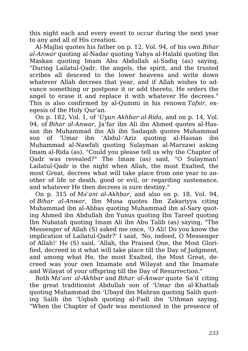this night each and every event to occur during the next year to any and all of His creation.

Al-Majlisi quotes his father on p. 12, Vol. 94, of his own *Bihar al-Anwar* quoting al-Nadar quoting Yahya al-Halabi quoting Ibn Maskan quoting Imam Abu Abdullah al-Sadiq (as) saying, "During Lailatul-Qadr, the angels, the spirit, and the trusted scribes all descend to the lower heavens and write down whatever Allah decrees that year, and if Allah wishes to advance something or postpone it or add thereto, He orders the angel to erase it and replace it with whatever He decrees." This is also confirmed by al-Qummi in his renown *Tafsir*, exegesis of the Holy Qur'an.

On p. 182, Vol. 1, of *'Uyun Akhbar al-Rida*, and on p. 14, Vol. 94, of *Bihar al-Anwar*, Ja'far ibn Ali ibn Ahmed quotes al-Hassan ibn Muhammad ibn Ali ibn Sadaqah quotes Muhammad son of 'Umar ibn 'Abdul-'Aziz quoting al-Hassan ibn Muhammad al-Nawfali quoting Sulayman al-Marzawi asking Imam al-Rida (as), "Could you please tell us why the Chapter of Qadr was revealed?" The Imam (as) said, "O Sulayman! Lailatul-Qadr is the night when Allah, the most Exalted, the most Great, decrees what will take place from one year to another of life or death, good or evil, or regarding sustenance, and whatever He then decrees is sure destiny."

On p. 315 of *Ma'ani al-Akhbar*, and also on p. 18, Vol. 94, of *Bihar al-Anwar*, Ibn Musa quotes Ibn Zakariyya citing Muhammad ibn al-Abbas quoting Muhammad ibn al-Sary quoting Ahmed ibn Abdullah ibn Yunus quoting Ibn Tareef quoting Ibn Nubatah quoting Imam Ali ibn Abu Talib (as) saying, "The Messenger of Allah (S) asked me once, 'O Ali! Do you know the implication of Lailatul-Qadr?' I said, 'No, indeed, O Messenger of Allah!' He (S) said, 'Allah, the Praised One, the Most Glorified, decreed in it what will take place till the Day of Judgment, and among what He, the most Exalted, the Most Great, decreed was your own Imamate and Wilayat and the Imamate and Wilayat of your offspring till the Day of Resurrection."

Both *Ma'ani al-Akhbar* and *Bihar al-Anwar* quote Sa'd citing the great traditionist Abdullah son of 'Umar ibn al-Khattab quoting Muhammad ibn 'Ubayd ibn Mahran quoting Salih quoting Salih ibn 'Uqbah quoting al-Fadl ibn 'Uthman saying, "When the Chapter of Qadr was mentioned in the presence of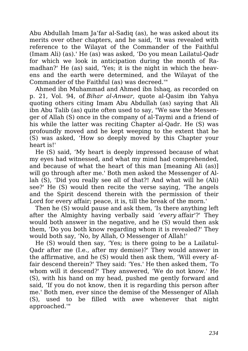Abu Abdullah Imam Ja'far al-Sadiq (as), he was asked about its merits over other chapters, and he said, 'It was revealed with reference to the Wilayat of the Commander of the Faithful (Imam Ali) (as).' He (as) was asked, 'Do you mean Lailatul-Qadr for which we look in anticipation during the month of Ramadhan?' He (as) said, 'Yes; it is the night in which the heavens and the earth were determined, and the Wilayat of the Commander of the Faithful (as) was decreed.'"

Ahmed ibn Muhammad and Ahmed ibn Ishaq, as recorded on p. 21, Vol. 94, of *Bihar al-Anwar*, quote al-Qasim ibn Yahya quoting others citing Imam Abu Abdullah (as) saying that Ali ibn Abu Talib (as) quite often used to say, "We saw the Messenger of Allah (S) once in the company of al-Taymi and a friend of his while the latter was reciting Chapter al-Qadr. He (S) was profoundly moved and he kept weeping to the extent that he (S) was asked, 'How so deeply moved by this Chapter your heart is!'

He (S) said, 'My heart is deeply impressed because of what my eyes had witnessed, and what my mind had comprehended, and because of what the heart of this man [meaning Ali (as)] will go through after me.' Both men asked the Messenger of Allah (S), 'Did you really see all of that?! And what will he (Ali) see?' He (S) would then recite the verse saying, 'The angels and the Spirit descend therein with the permission of their Lord for every affair; peace, it is, till the break of the morn.'

Then he (S) would pause and ask them, 'Is there anything left after the Almighty having verbally said '*every* affair'?' They would both answer in the negative, and he (S) would then ask them, 'Do you both know regarding whom it is revealed?' They would both say, 'No, by Allah, O Messenger of Allah!'

He (S) would then say, 'Yes; is there going to be a Lailatul-Qadr after me (I.e., after my demise)?' They would answer in the affirmative, and he (S) would then ask them, 'Will every affair descend therein?' They said: 'Yes.' He then asked them, 'To whom will it descend?' They answered, 'We do not know.' He (S), with his hand on my head, pushed me gently forward and said, 'If you do not know, then it is regarding this person after me.' Both men, ever since the demise of the Messenger of Allah (S), used to be filled with awe whenever that night approached.'"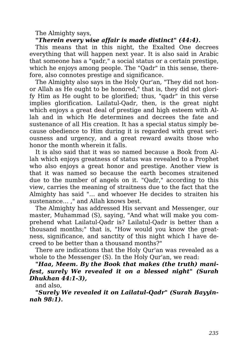The Almighty says,

*"Therein every wise affair is made distinct" (44:4).*

This means that in this night, the Exalted One decrees everything that will happen next year. It is also said in Arabic that someone has a "qadr," a social status or a certain prestige, which he enjoys among people. The "Qadr" in this sense, therefore, also connotes prestige and significance.

The Almighty also says in the Holy Qur'an, "They did not honor Allah as He ought to be honored," that is, they did not glorify Him as He ought to be glorified; thus, "qadr" in this verse implies glorification. Lailatul-Qadr, then, is the great night which enjoys a great deal of prestige and high esteem with Allah and in which He determines and decrees the fate and sustenance of all His creation. It has a special status simply because obedience to Him during it is regarded with great seriousness and urgency, and a great reward awaits those who honor the month wherein it falls.

It is also said that it was so named because a Book from Allah which enjoys greatness of status was revealed to a Prophet who also enjoys a great honor and prestige. Another view is that it was named so because the earth becomes straitened due to the number of angels on it. "Qadr," according to this view, carries the meaning of straitness due to the fact that the Almighty has said "… and whoever He decides to straiten his sustenance… ," and Allah knows best.

The Almighty has addressed His servant and Messenger, our master, Muhammad (S), saying, "And what will make you comprehend what Lailatul-Qadr is? Lailatul-Qadr is better than a thousand months;" that is, "How would you know the greatness, significance, and sanctity of this night which I have decreed to be better than a thousand months?"

There are indications that the Holy Qur'an was revealed as a whole to the Messenger (S). In the Holy Qur'an, we read:

*"Haa, Meem. By the Book that makes (the truth) manifest, surely We revealed it on a blessed night" (Surah Dhukhan 44:1-3),*

and also,

*"Surely We revealed it on Lailatul-Qadr" (Surah Bayyinnah 98:1).*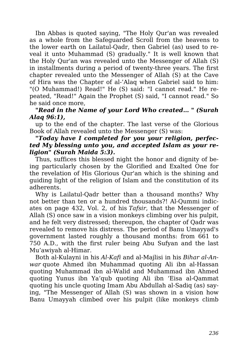Ibn Abbas is quoted saying, "The Holy Qur'an was revealed as a whole from the Safeguarded Scroll from the heavens to the lower earth on Lailatul-Qadr, then Gabriel (as) used to reveal it unto Muhammad (S) gradually." It is well known that the Holy Qur'an was revealed unto the Messenger of Allah (S) in installments during a period of twenty-three years. The first chapter revealed unto the Messenger of Allah (S) at the Cave of Hira was the Chapter of al-'Alaq when Gabriel said to him: "(O Muhammad!) Read!" He (S) said: "I cannot read." He repeated, "Read!" Again the Prophet (S) said, "I cannot read." So he said once more,

#### *"Read in the Name of your Lord Who created… " (Surah Alaq 96:1),*

up to the end of the chapter. The last verse of the Glorious Book of Allah revealed unto the Messenger (S) was:

#### *"Today have I completed for you your religion, perfected My blessing unto you, and accepted Islam as your religion" (Surah Maida 5:3).*

Thus, suffices this blessed night the honor and dignity of being particularly chosen by the Glorified and Exalted One for the revelation of His Glorious Qur'an which is the shining and guiding light of the religion of Islam and the constitution of its adherents.

Why is Lailatul-Qadr better than a thousand months? Why not better than ten or a hundred thousands?! Al-Qummi indicates on page 432, Vol. 2, of his *Tafsir*, that the Messenger of Allah (S) once saw in a vision monkeys climbing over his pulpit, and he felt very distressed; thereupon, the chapter of Qadr was revealed to remove his distress. The period of Banu Umayyad's government lasted roughly a thousand months: from 661 to 750 A.D., with the first ruler being Abu Sufyan and the last Mu'awiyah al-Himar.

Both al-Kulayni in his *Al-Kafi* and al-Majlisi in his *Bihar al-Anwar* quote Ahmed ibn Muhammad quoting Ali ibn al-Hassan quoting Muhammad ibn al-Walid and Muhammad ibn Ahmed quoting Yunus ibn Ya'qub quoting Ali ibn 'Eisa al-Qammat quoting his uncle quoting Imam Abu Abdullah al-Sadiq (as) saying, "The Messenger of Allah (S) was shown in a vision how Banu Umayyah climbed over his pulpit (like monkeys climb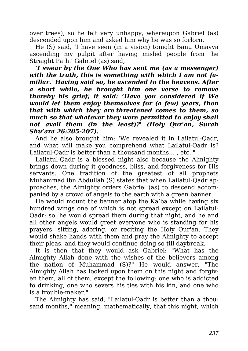over trees), so he felt very unhappy, whereupon Gabriel (as) descended upon him and asked him why he was so forlorn.

He (S) said, 'I have seen (in a vision) tonight Banu Umayya ascending my pulpit after having misled people from the Straight Path.' Gabriel (as) said,

*'I swear by the One Who has sent me (as a messenger) with the truth, this is something with which I am not familiar.' Having said so, he ascended to the heavens. After a short while, he brought him one verse to remove thereby his grief; it said: 'Have you considered if We would let them enjoy themselves for (a few) years, then that with which they are threatened comes to them, so much so that whatever they were permitted to enjoy shall not avail them (in the least)?' (Holy Qur'an, Surah Shu'ara 26:205-207).*

And he also brought him: 'We revealed it in Lailatul-Qadr, and what will make you comprehend what Lailatul-Qadr is? Lailatul-Qadr is better than a thousand months… , etc.'"

Lailatul-Qadr is a blessed night also because the Almighty brings down during it goodness, bliss, and forgiveness for His servants. One tradition of the greatest of all prophets Muhammad ibn Abdullah (S) states that when Lailatul-Qadr approaches, the Almighty orders Gabriel (as) to descend accompanied by a crowd of angels to the earth with a green banner.

He would mount the banner atop the Ka'ba while having six hundred wings one of which is not spread except on Lailatul-Qadr; so, he would spread them during that night, and he and all other angels would greet everyone who is standing for his prayers, sitting, adoring, or reciting the Holy Qur'an. They would shake hands with them and pray the Almighty to accept their pleas, and they would continue doing so till daybreak.

It is then that they would ask Gabriel: "What has the Almighty Allah done with the wishes of the believers among the nation of Muhammad (S)?" He would answer, "The Almighty Allah has looked upon them on this night and forgiven them, all of them, except the following: one who is addicted to drinking, one who severs his ties with his kin, and one who is a trouble-maker."

The Almighty has said, "Lailatul-Qadr is better than a thousand months," meaning, mathematically, that this night, which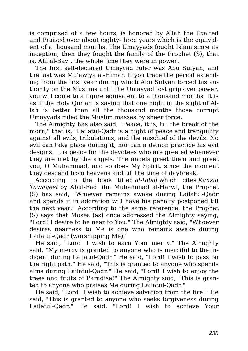is comprised of a few hours, is honored by Allah the Exalted and Praised over about eighty-three years which is the equivalent of a thousand months. The Umayyads fought Islam since its inception, then they fought the family of the Prophet (S), that is, Ahl al-Bayt, the whole time they were in power.

The first self-declared Umayyad ruler was Abu Sufyan, and the last was Mu'awiya al-Himar. If you trace the period extending from the first year during which Abu Sufyan forced his authority on the Muslims until the Umayyad lost grip over power, you will come to a figure equivalent to a thousand months. It is as if the Holy Qur'an is saying that one night in the sight of Allah is better than all the thousand months those corrupt Umayyads ruled the Muslim masses by sheer force.

The Almighty has also said, "Peace, it is, till the break of the morn," that is, "Lailatul-Qadr is a night of peace and tranquility against all evils, tribulations, and the mischief of the devils. No evil can take place during it, nor can a demon practice his evil designs. It is peace for the devotees who are greeted whenever they are met by the angels. The angels greet them and greet you, O Muhammad, and so does My Spirit, since the moment they descend from heavens and till the time of daybreak."

According to the book titled *al-Iqbal* which cites *Kanzul Yawaqeet* by Abul-Fadl ibn Muhammad al-Harwi, the Prophet (S) has said, "Whoever remains awake during Lailatul-Qadr and spends it in adoration will have his penalty postponed till the next year." According to the same reference, the Prophet (S) says that Moses (as) once addressed the Almighty saying, "Lord! I desire to be near to You." The Almighty said, "Whoever desires nearness to Me is one who remains awake during Lailatul-Qadr (worshipping Me)."

He said, "Lord! I wish to earn Your mercy." The Almighty said, "My mercy is granted to anyone who is merciful to the indigent during Lailatul-Qadr." He said, "Lord! I wish to pass on the right path." He said, "This is granted to anyone who spends alms during Lailatul-Qadr." He said, "Lord! I wish to enjoy the trees and fruits of Paradise!" The Almighty said, "This is granted to anyone who praises Me during Lailatul-Qadr."

He said, "Lord! I wish to achieve salvation from the fire!" He said, "This is granted to anyone who seeks forgiveness during Lailatul-Qadr." He said, "Lord! I wish to achieve Your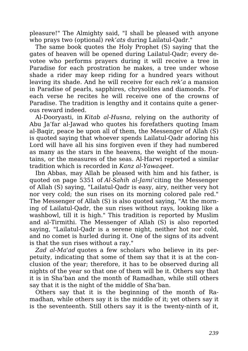pleasure!" The Almighty said, "I shall be pleased with anyone who prays two (optional) *rek'ats* during Lailatul-Qadr."

The same book quotes the Holy Prophet (S) saying that the gates of heaven will be opened during Lailatul-Qadr; every devotee who performs prayers during it will receive a tree in Paradise for each prostration he makes, a tree under whose shade a rider may keep riding for a hundred years without leaving its shade. And he will receive for each *rek'a* a mansion in Paradise of pearls, sapphires, chrysolites and diamonds. For each verse he recites he will receive one of the crowns of Paradise. The tradition is lengthy and it contains quite a generous reward indeed.

Al-Dooryasti, in *Kitab al-Husna*, relying on the authority of Abu Ja'far al-Jawad who quotes his forefathers quoting Imam al-Baqir, peace be upon all of them, the Messenger of Allah (S) is quoted saying that whoever spends Lailatul-Qadr adoring his Lord will have all his sins forgiven even if they had numbered as many as the stars in the heavens, the weight of the mountains, or the measures of the seas. Al-Harwi reported a similar tradition which is recorded in *Kanz al-Yawaqeet*.

Ibn Abbas, may Allah be pleased with him and his father, is quoted on page 5351 of *Al-Sahih al-Jami'*citing the Messenger of Allah (S) saying, "Lailatul-Qadr is easy, airy, neither very hot nor very cold; the sun rises on its morning colored pale red." The Messenger of Allah (S) is also quoted saying, "At the morning of Lailatul-Qadr, the sun rises without rays, looking like a washbowl, till it is high." This tradition is reported by Muslim and al-Tirmithi. The Messenger of Allah (S) is also reported saying, "Lailatul-Qadr is a serene night, neither hot nor cold, and no comet is hurled during it. One of the signs of its advent is that the sun rises without a ray."

*Zad al-Ma'ad* quotes a few scholars who believe in its perpetuity, indicating that some of them say that it is at the conclusion of the year; therefore, it has to be observed during all nights of the year so that one of them will be it. Others say that it is in Sha'ban and the month of Ramadhan, while still others say that it is the night of the middle of Sha'ban.

Others say that it is the beginning of the month of Ramadhan, while others say it is the middle of it; yet others say it is the seventeenth. Still others say it is the twenty-ninth of it,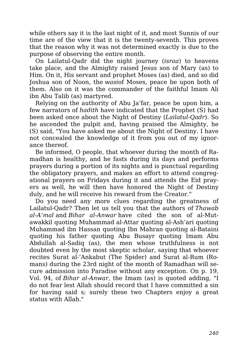while others say it is the last night of it, and most Sunnis of our time are of the view that it is the twenty-seventh. This proves that the reason why it was not determined exactly is due to the purpose of observing the entire month.

On Lailatul-Qadr did the night journey (*israa*) to heavens take place, and the Almighty raised Jesus son of Mary (as) to Him. On it, His servant and prophet Moses (as) died, and so did Joshua son of Noon, the *wasi*of Moses, peace be upon both of them. Also on it was the commander of the faithful Imam Ali ibn Abu Talib (as) martyred.

Relying on the authority of Abu Ja'far, peace be upon him, a few narrators of *hadith* have indicated that the Prophet (S) had been asked once about the Night of Destiny (*Lailatul-Qadr*). So he ascended the pulpit and, having praised the Almighty, he (S) said, "You have asked me about the Night of Destiny. I have not concealed the knowledge of it from you out of my ignorance thereof.

Be informed, O people, that whoever during the month of Ramadhan is healthy, and he fasts during its days and performs prayers during a portion of its nights and is punctual regarding the obligatory prayers, and makes an effort to attend congregational prayers on Fridays during it and attends the Eid prayers as well, he will then have honored the Night of Destiny duly, and he will receive his reward from the Creator."

Do you need any more clues regarding the greatness of Lailatul-Qadr? Then let us tell you that the authors of *Thawab al-A'mal* and *Bihar al-Anwar* have cited the son of al-Mutawakkil quoting Muhammad al-Attar quoting al-Ash'ari quoting Muhammad ibn Hassan quoting Ibn Mahran quoting al-Bataini quoting his father quoting Abu Busayr quoting Imam Abu Abdullah al-Sadiq (as), the men whose truthfulness is not doubted even by the most skeptic scholar, saying that whoever recites Surat al-'Ankabut (The Spider) and Surat al-Rum (Romans) during the 23rd night of the month of Ramadhan will secure admission into Paradise without any exception. On p. 19, Vol. 94, of *Bihar al-Anwar*, the Imam (as) is quoted adding, "I do not fear lest Allah should record that I have committed a sin for having said s; surely these two Chapters enjoy a great status with Allah."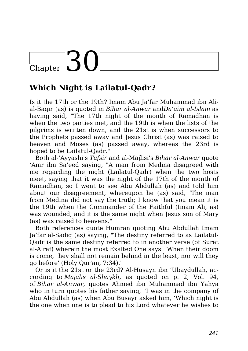# $\frac{1}{\text{Chapter 30}}$

### **Which Night is Lailatul-Qadr?**

Is it the 17th or the 19th? Imam Abu Ja'far Muhammad ibn Alial-Baqir (as) is quoted in *Bihar al-Anwar* and*Da'aim al-Islam* as having said, "The 17th night of the month of Ramadhan is when the two parties met, and the 19th is when the lists of the pilgrims is written down, and the 21st is when successors to the Prophets passed away and Jesus Christ (as) was raised to heaven and Moses (as) passed away, whereas the 23rd is hoped to be Lailatul-Qadr."

Both al-'Ayyashi's *Tafsir* and al-Majlisi's *Bihar al-Anwar* quote 'Amr ibn Sa'eed saying, "A man from Medina disagreed with me regarding the night (Lailatul-Qadr) when the two hosts meet, saying that it was the night of the 17th of the month of Ramadhan, so I went to see Abu Abdullah (as) and told him about our disagreement, whereupon he (as) said, 'The man from Medina did not say the truth; I know that you mean it is the 19th when the Commander of the Faithful (Imam Ali, as) was wounded, and it is the same night when Jesus son of Mary (as) was raised to heavens."

Both references quote Humran quoting Abu Abdullah Imam Ja'far al-Sadiq (as) saying, "The destiny referred to as Lailatul-Qadr is the same destiny referred to in another verse (of Surat al-A'raf) wherein the most Exalted One says: 'When their doom is come, they shall not remain behind in the least, nor will they go before' (Holy Qur'an, 7:34)."

Or is it the 21st or the 23rd? Al-Husayn ibn 'Ubaydullah, according to *Majalis al-Shaykh*, as quoted on p. 2, Vol. 94, of *Bihar al-Anwar*, quotes Ahmed ibn Muhammad ibn Yahya who in turn quotes his father saying, "I was in the company of Abu Abdullah (as) when Abu Busayr asked him, 'Which night is the one when one is to plead to his Lord whatever he wishes to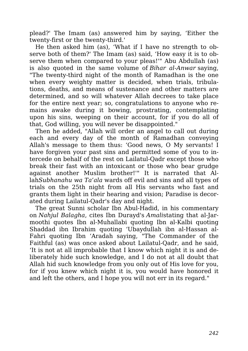plead?' The Imam (as) answered him by saying, 'Either the twenty-first or the twenty-third.'

He then asked him (as), 'What if I have no strength to observe both of them?' The Imam (as) said, 'How easy it is to observe them when compared to your pleas!'" Abu Abdullah (as) is also quoted in the same volume of *Bihar al-Anwar* saying, "The twenty-third night of the month of Ramadhan is the one when every weighty matter is decided, when trials, tribulations, deaths, and means of sustenance and other matters are determined, and so will whatever Allah decrees to take place for the entire next year; so, congratulations to anyone who remains awake during it bowing, prostrating, contemplating upon his sins, weeping on their account, for if you do all of that, God willing, you will never be disappointed."

Then he added, "Allah will order an angel to call out during each and every day of the month of Ramadhan conveying Allah's message to them thus: 'Good news, O My servants! I have forgiven your past sins and permitted some of you to intercede on behalf of the rest on Lailatul-Qadr except those who break their fast with an intoxicant or those who bear grudge against another Muslim brother!'" It is narrated that Allah*Subhanahu wa Ta'ala* wards off evil and sins and all types of trials on the 25th night from all His servants who fast and grants them light in their hearing and vision; Paradise is decorated during Lailatul-Qadr's day and night.

The great Sunni scholar Ibn Abul-Hadid, in his commentary on *Nahjul Balagha*, cites Ibn Durayd's *Amali*stating that al-Jarmoothi quotes Ibn al-Muhallabi quoting Ibn al-Kalbi quoting Shaddad ibn Ibrahim quoting 'Ubaydullah ibn al-Hassan al-Fahri quoting Ibn 'Aradah saying, "The Commander of the Faithful (as) was once asked about Lailatul-Qadr, and he said, 'It is not at all improbable that I know which night it is and deliberately hide such knowledge, and I do not at all doubt that Allah hid such knowledge from you only out of His love for you, for if you knew which night it is, you would have honored it and left the others, and I hope you will not err in its regard."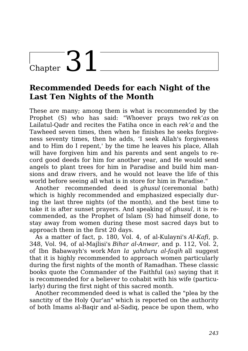## $\frac{1}{\text{Chapter 31}}$

### **Recommended Deeds for each Night of the Last Ten Nights of the Month**

These are many; among them is what is recommended by the Prophet (S) who has said: "Whoever prays two *rek'as* on Lailatul-Qadr and recites the Fatiha once in each *rek'a* and the Tawheed seven times, then when he finishes he seeks forgiveness seventy times, then he adds, 'I seek Allah's forgiveness and to Him do I repent,' by the time he leaves his place, Allah will have forgiven him and his parents and sent angels to record good deeds for him for another year, and He would send angels to plant trees for him in Paradise and build him mansions and draw rivers, and he would not leave the life of this world before seeing all what is in store for him in Paradise."

Another recommended deed is *ghusul* (ceremonial bath) which is highly recommended and emphasized especially during the last three nights (of the month), and the best time to take it is after sunset prayers. And speaking of *ghusul*, it is recommended, as the Prophet of Islam (S) had himself done, to stay away from women during these most sacred days but to approach them in the first 20 days.

As a matter of fact, p. 180, Vol. 4, of al-Kulayni's *Al-Kafi*, p. 348, Vol. 94, of al-Majlisi's *Bihar al-Anwar*, and p. 112, Vol. 2, of Ibn Babawayh's work *Man la yahduru al-faqih* all suggest that it is highly recommended to approach women particularly during the first nights of the month of Ramadhan. These classic books quote the Commander of the Faithful (as) saying that it is recommended for a believer to cohabit with his wife (particularly) during the first night of this sacred month.

Another recommended deed is what is called the "plea by the sanctity of the Holy Qur'an" which is reported on the authority of both Imams al-Baqir and al-Sadiq, peace be upon them, who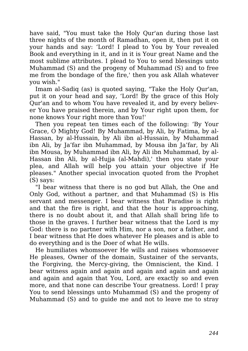have said, "You must take the Holy Qur'an during those last three nights of the month of Ramadhan, open it, then put it on your hands and say: 'Lord! I plead to You by Your revealed Book and everything in it, and in it is Your great Name and the most sublime attributes. I plead to You to send blessings unto Muhammad (S) and the progeny of Muhammad (S) and to free me from the bondage of the fire,' then you ask Allah whatever you wish."

Imam al-Sadiq (as) is quoted saying, "Take the Holy Qur'an, put it on your head and say, 'Lord! By the grace of this Holy Qur'an and to whom You have revealed it, and by every believer You have praised therein, and by Your right upon them, for none knows Your right more than You!'

Then you repeat ten times each of the following: 'By Your Grace, O Mighty God! By Muhammad, by Ali, by Fatima, by al-Hassan, by al-Hussain, by Ali ibn al-Hussain, by Muhammad ibn Ali, by Ja'far ibn Muhammad, by Mousa ibn Ja'far, by Ali ibn Mousa, by Muhammad ibn Ali, by Ali ibn Muhammad, by al-Hassan ibn Ali, by al-Hujja (al-Mahdi),' then you state your plea, and Allah will help you attain your objective if He pleases." Another special invocation quoted from the Prophet (S) says:

"I bear witness that there is no god but Allah, the One and Only God, without a partner, and that Muhammad (S) is His servant and messenger. I bear witness that Paradise is right and that the fire is right, and that the hour is approaching, there is no doubt about it, and that Allah shall bring life to those in the graves. I further bear witness that the Lord is my God: there is no partner with Him, nor a son, nor a father, and I bear witness that He does whatever He pleases and is able to do everything and is the Doer of what He wills.

He humiliates whomsoever He wills and raises whomsoever He pleases, Owner of the domain, Sustainer of the servants, the Forgiving, the Mercy-giving, the Omniscient, the Kind. I bear witness again and again and again and again and again and again and again that You, Lord, are exactly so and even more, and that none can describe Your greatness. Lord! I pray You to send blessings unto Muhammad (S) and the progeny of Muhammad (S) and to guide me and not to leave me to stray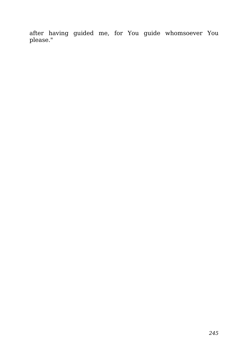after having guided me, for You guide whomsoever You please."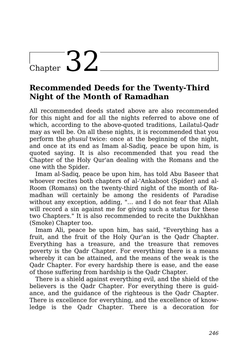## Chapter  $32^-$

### **Recommended Deeds for the Twenty-Third Night of the Month of Ramadhan**

All recommended deeds stated above are also recommended for this night and for all the nights referred to above one of which, according to the above-quoted traditions, Lailatul-Qadr may as well be. On all these nights, it is recommended that you perform the *ghusul* twice: once at the beginning of the night, and once at its end as Imam al-Sadiq, peace be upon him, is quoted saying. It is also recommended that you read the Chapter of the Holy Qur'an dealing with the Romans and the one with the Spider.

Imam al-Sadiq, peace be upon him, has told Abu Baseer that whoever recites both chapters of al-'Ankaboot (Spider) and al-Room (Romans) on the twenty-third night of the month of Ramadhan will certainly be among the residents of Paradise without any exception, adding, "… and I do not fear that Allah will record a sin against me for giving such a status for these two Chapters." It is also recommended to recite the Dukhkhan (Smoke) Chapter too.

Imam Ali, peace be upon him, has said, "Everything has a fruit, and the fruit of the Holy Qur'an is the Qadr Chapter. Everything has a treasure, and the treasure that removes poverty is the Qadr Chapter. For everything there is a means whereby it can be attained, and the means of the weak is the Qadr Chapter. For every hardship there is ease, and the ease of those suffering from hardship is the Qadr Chapter.

There is a shield against everything evil, and the shield of the believers is the Qadr Chapter. For everything there is guidance, and the guidance of the righteous is the Qadr Chapter. There is excellence for everything, and the excellence of knowledge is the Qadr Chapter. There is a decoration for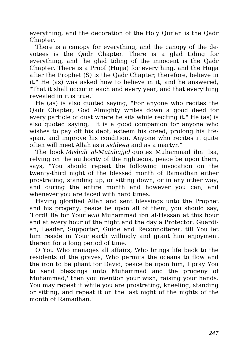everything, and the decoration of the Holy Qur'an is the Qadr Chapter.

There is a canopy for everything, and the canopy of the devotees is the Qadr Chapter. There is a glad tiding for everything, and the glad tiding of the innocent is the Qadr Chapter. There is a Proof (Hujja) for everything, and the Hujja after the Prophet (S) is the Qadr Chapter; therefore, believe in it." He (as) was asked how to believe in it, and he answered, "That it shall occur in each and every year, and that everything revealed in it is true."

He (as) is also quoted saying, "For anyone who recites the Qadr Chapter, God Almighty writes down a good deed for every particle of dust where he sits while reciting it." He (as) is also quoted saying, "It is a good companion for anyone who wishes to pay off his debt, esteem his creed, prolong his lifespan, and improve his condition. Anyone who recites it quite often will meet Allah as a *siddeeq* and as a martyr."

The book *Misbah al-Mutahajjid* quotes Muhammad ibn 'Isa, relying on the authority of the righteous, peace be upon them, says, "You should repeat the following invocation on the twenty-third night of the blessed month of Ramadhan either prostrating, standing up, or sitting down, or in any other way, and during the entire month and however you can, and whenever you are faced with hard times.

Having glorified Allah and sent blessings unto the Prophet and his progeny, peace be upon all of them, you should say, 'Lord! Be for Your *wali* Muhammad ibn al-Hassan at this hour and at every hour of the night and the day a Protector, Guardian, Leader, Supporter, Guide and Reconnoiterer, till You let him reside in Your earth willingly and grant him enjoyment therein for a long period of time.

O You Who manages all affairs, Who brings life back to the residents of the graves, Who permits the oceans to flow and the iron to be pliant for David, peace be upon him, I pray You to send blessings unto Muhammad and the progeny of Muhammad,' then you mention your wish, raising your hands. You may repeat it while you are prostrating, kneeling, standing or sitting, and repeat it on the last night of the nights of the month of Ramadhan."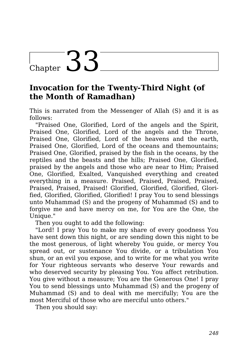## Chapter 33

### **Invocation for the Twenty-Third Night (of the Month of Ramadhan)**

This is narrated from the Messenger of Allah (S) and it is as follows:

"Praised One, Glorified, Lord of the angels and the Spirit, Praised One, Glorified, Lord of the angels and the Throne, Praised One, Glorified, Lord of the heavens and the earth, Praised One, Glorified, Lord of the oceans and themountains; Praised One, Glorified, praised by the fish in the oceans, by the reptiles and the beasts and the hills; Praised One, Glorified, praised by the angels and those who are near to Him; Praised One, Glorified, Exalted, Vanquished everything and created everything in a measure. Praised, Praised, Praised, Praised, Praised, Praised, Praised! Glorified, Glorified, Glorified, Glorified, Glorified, Glorified, Glorified! I pray You to send blessings unto Muhammad (S) and the progeny of Muhammad (S) and to forgive me and have mercy on me, for You are the One, the Unique."

Then you ought to add the following:

"Lord! I pray You to make my share of every goodness You have sent down this night, or are sending down this night to be the most generous, of light whereby You guide, or mercy You spread out, or sustenance You divide, or a tribulation You shun, or an evil you expose, and to write for me what you write for Your righteous servants who deserve Your rewards and who deserved security by pleasing You. You affect retribution. You give without a measure; You are the Generous One! I pray You to send blessings unto Muhammad (S) and the progeny of Muhammad (S) and to deal with me mercifully; You are the most Merciful of those who are merciful unto others."

Then you should say: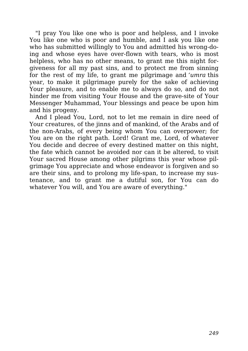"I pray You like one who is poor and helpless, and I invoke You like one who is poor and humble, and I ask you like one who has submitted willingly to You and admitted his wrong-doing and whose eyes have over-flown with tears, who is most helpless, who has no other means, to grant me this night forgiveness for all my past sins, and to protect me from sinning for the rest of my life, to grant me pilgrimage and *'umra* this year, to make it pilgrimage purely for the sake of achieving Your pleasure, and to enable me to always do so, and do not hinder me from visiting Your House and the grave-site of Your Messenger Muhammad, Your blessings and peace be upon him and his progeny.

And I plead You, Lord, not to let me remain in dire need of Your creatures, of the jinns and of mankind, of the Arabs and of the non-Arabs, of every being whom You can overpower; for You are on the right path. Lord! Grant me, Lord, of whatever You decide and decree of every destined matter on this night, the fate which cannot be avoided nor can it be altered, to visit Your sacred House among other pilgrims this year whose pilgrimage You appreciate and whose endeavor is forgiven and so are their sins, and to prolong my life-span, to increase my sustenance, and to grant me a dutiful son, for You can do whatever You will, and You are aware of everything."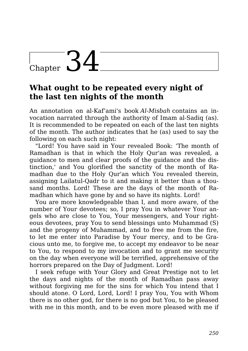## Chapter  $34$

### **What ought to be repeated every night of the last ten nights of the month**

An annotation on al-Kaf'ami's book *Al-Misbah* contains an invocation narrated through the authority of Imam al-Sadiq (as). It is recommended to be repeated on each of the last ten nights of the month. The author indicates that he (as) used to say the following on each such night:

"Lord! You have said in Your revealed Book: 'The month of Ramadhan is that in which the Holy Qur'an was revealed, a guidance to men and clear proofs of the guidance and the distinction,' and You glorified the sanctity of the month of Ramadhan due to the Holy Qur'an which You revealed therein, assigning Lailatul-Qadr to it and making it better than a thousand months. Lord! These are the days of the month of Ramadhan which have gone by and so have its nights. Lord!

You are more knowledgeable than I, and more aware, of the number of Your devotees; so, I pray You in whatever Your angels who are close to You, Your messengers, and Your righteous devotees, pray You to send blessings unto Muhammad (S) and the progeny of Muhammad, and to free me from the fire, to let me enter into Paradise by Your mercy, and to be Gracious unto me, to forgive me, to accept my endeavor to be near to You, to respond to my invocation and to grant me security on the day when everyone will be terrified, apprehensive of the horrors prepared on the Day of Judgment. Lord!

I seek refuge with Your Glory and Great Prestige not to let the days and nights of the month of Ramadhan pass away without forgiving me for the sins for which You intend that I should atone. O Lord, Lord, Lord! I pray You, You with Whom there is no other god, for there is no god but You, to be pleased with me in this month, and to be even more pleased with me if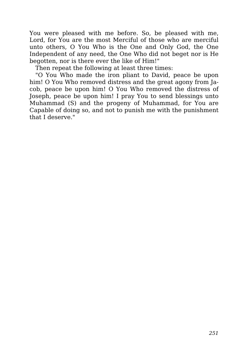You were pleased with me before. So, be pleased with me, Lord, for You are the most Merciful of those who are merciful unto others, O You Who is the One and Only God, the One Independent of any need, the One Who did not beget nor is He begotten, nor is there ever the like of Him!"

Then repeat the following at least three times:

"O You Who made the iron pliant to David, peace be upon him! O You Who removed distress and the great agony from Jacob, peace be upon him! O You Who removed the distress of Joseph, peace be upon him! I pray You to send blessings unto Muhammad (S) and the progeny of Muhammad, for You are Capable of doing so, and not to punish me with the punishment that I deserve."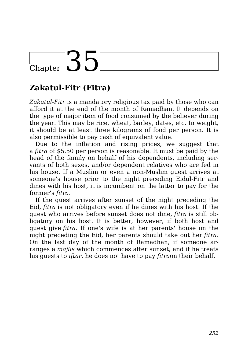# Chapter 35

## **Zakatul-Fitr (Fitra)**

*Zakatul-Fitr* is a mandatory religious tax paid by those who can afford it at the end of the month of Ramadhan. It depends on the type of major item of food consumed by the believer during the year. This may be rice, wheat, barley, dates, etc. In weight, it should be at least three kilograms of food per person. It is also permissible to pay cash of equivalent value.

Due to the inflation and rising prices, we suggest that a *fitra* of \$5.50 per person is reasonable. It must be paid by the head of the family on behalf of his dependents, including servants of both sexes, and/or dependent relatives who are fed in his house. If a Muslim or even a non-Muslim guest arrives at someone's house prior to the night preceding Eidul-Fitr and dines with his host, it is incumbent on the latter to pay for the former's *fitra*.

If the guest arrives after sunset of the night preceding the Eid, *fitra* is not obligatory even if he dines with his host. If the guest who arrives before sunset does not dine, *fitra* is still obligatory on his host. It is better, however, if both host and guest give *fitra*. If one's wife is at her parents' house on the night preceding the Eid, her parents should take out her *fitra*. On the last day of the month of Ramadhan, if someone arranges a *majlis* which commences after sunset, and if he treats his guests to *iftar*, he does not have to pay *fitra*on their behalf.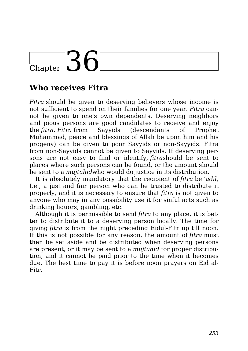## Chapter  $36$

### **Who receives Fitra**

*Fitra* should be given to deserving believers whose income is not sufficient to spend on their families for one year. *Fitra* cannot be given to one's own dependents. Deserving neighbors and pious persons are good candidates to receive and enjoy the *fitra*. *Fitra* from Sayyids (descendants of Prophet Muhammad, peace and blessings of Allah be upon him and his progeny) can be given to poor Sayyids or non-Sayyids. Fitra from non-Sayyids cannot be given to Sayyids. If deserving persons are not easy to find or identify, *fitra*should be sent to places where such persons can be found, or the amount should be sent to a *mujtahid*who would do justice in its distribution.

It is absolutely mandatory that the recipient of *fitra* be *'adil*, I.e., a just and fair person who can be trusted to distribute it properly, and it is necessary to ensure that *fitra* is not given to anyone who may in any possibility use it for sinful acts such as drinking liquors, gambling, etc.

Although it is permissible to send *fitra* to any place, it is better to distribute it to a deserving person locally. The time for giving *fitra* is from the night preceding Eidul-Fitr up till noon. If this is not possible for any reason, the amount of *fitra* must then be set aside and be distributed when deserving persons are present, or it may be sent to a *mujtahid* for proper distribution, and it cannot be paid prior to the time when it becomes due. The best time to pay it is before noon prayers on Eid al-Fitr.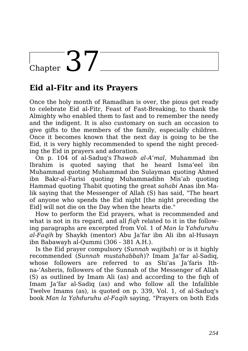## Chapter  $37$

### **Eid al-Fitr and its Prayers**

Once the holy month of Ramadhan is over, the pious get ready to celebrate Eid al-Fitr, Feast of Fast-Breaking, to thank the Almighty who enabled them to fast and to remember the needy and the indigent. It is also customary on such an occasion to give gifts to the members of the family, especially children. Once it becomes known that the next day is going to be the Eid, it is very highly recommended to spend the night preceding the Eid in prayers and adoration.

On p. 104 of al-Saduq's *Thawab al-A'mal*, Muhammad ibn Ibrahim is quoted saying that he heard Isma'eel ibn Muhammad quoting Muhammad ibn Sulayman quoting Ahmed ibn Bakr-al-Farisi quoting Muhammadibn Mis'ab quoting Hammad quoting Thabit quoting the great *sahabi* Anas ibn Malik saying that the Messenger of Allah (S) has said, "The heart of anyone who spends the Eid night [the night preceding the Eid] will not die on the Day when the hearts die."

How to perform the Eid prayers, what is recommended and what is not in its regard, and all *fiqh* related to it in the following paragraphs are excerpted from Vol. 1 of *Man la Yahduruhu al-Faqih* by Shaykh (mentor) Abu Ja'far ibn Ali ibn al-Husayn ibn Babawayh al-Qummi (306 - 381 A.H.).

Is the Eid prayer compulsory (*Sunnah wajibah*) or is it highly recommended (*Sunnah mustahabbah*)? Imam Ja'far al-Sadiq, whose followers are referred to as Shi'as Ja'faris Ithna-'Asheris, followers of the Sunnah of the Messenger of Allah (S) as outlined by Imam Ali (as) and according to the fiqh of Imam Ja'far al-Sadiq (as) and who follow all the Infallible Twelve Imams (as), is quoted on p. 339, Vol. 1, of al-Saduq's book *Man la Yahduruhu al-Faqih* saying, "Prayers on both Eids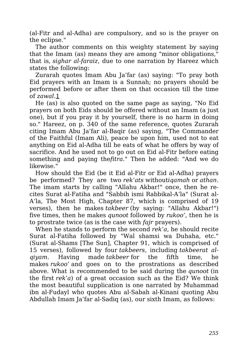(al-Fitr and al-Adha) are compulsory, and so is the prayer on the eclipse."

The author comments on this weighty statement by saying that the Imam (as) means they are among "minor obligations," that is, *sighar al-faraiz*, due to one narration by Hareez which states the following:

Zurarah quotes Imam Abu Ja'far (as) saying: "To pray both Eid prayers with an Imam is a Sunnah; no prayers should be performed before or after them on that occasion till the time of *zawal*.1

He (as) is also quoted on the same page as saying, "No Eid prayers on both Eids should be offered without an Imam (a just one), but if you pray it by yourself, there is no harm in doing so." Hareez, on p. 340 of the same reference, quotes Zurarah citing Imam Abu Ja'far al-Baqir (as) saying, "The Commander of the Faithful (Imam Ali), peace be upon him, used not to eat anything on Eid al-Adha till he eats of what he offers by way of sacrifice. And he used not to go out on Eid al-Fitr before eating something and paying the*fitra*." Then he added: "And we do likewise."

How should the Eid (be it Eid al-Fitr or Eid al-Adha) prayers be performed? They are two *rek'ats* without*iqamah* or *athan*. The imam starts by calling "Allahu Akbar!" once, then he recites Surat al-Fatiha and "Sabbih ismi Rabbikal-A'la" (Surat al-A'la, The Most High, Chapter 87, which is comprised of 19 verses), then he makes *takbeer* (by saying: "Allahu Akbar!") five times, then he makes *qunoot* followed by *rukoo'*, then he is to prostrate twice (as is the case with *fajr* prayers).

When he stands to perform the second *rek'a*, he should recite Surat al-Fatiha followed by "Wal shamsi wa Duhaha, etc." (Surat al-Shams [The Sun], Chapter 91, which is comprised of 15 verses), followed by four *takbeers*, including *takbeerat alqiyam*. Having made *takbeer* for the fifth time, he makes *rukoo'* and goes on to the prostrations as described above. What is recommended to be said during the *qunoot* (in the first *rek'a*) of a great occasion such as the Eid? We think the most beautiful supplication is one narrated by Muhammad ibn al-Fudayl who quotes Abu al-Sabah al-Kinani quoting Abu Abdullah Imam Ja'far al-Sadiq (as), our sixth Imam, as follows: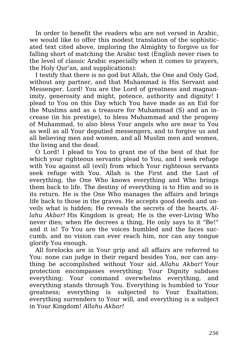In order to benefit the readers who are not versed in Arabic, we would like to offer this modest translation of the sophisticated text cited above, imploring the Almighty to forgive us for falling short of matching the Arabic text (English never rises to the level of classic Arabic especially when it comes to prayers, the Holy Qur'an, and supplications):

I testify that there is no god but Allah, the One and Only God, without any partner, and that Muhammad is His Servant and Messenger. Lord! You are the Lord of greatness and magnanimity, generosity and might, potence, authority and dignity! I plead to You on this Day which You have made as an Eid for the Muslims and as a treasure for Muhammad (S) and an increase (in his prestige), to bless Muhammad and the progeny of Muhammad, to also bless Your angels who are near to You as well as all Your deputied messengers, and to forgive us and all believing men and women, and all Muslim men and women, the living and the dead.

O Lord! I plead to You to grant me of the best of that for which your righteous servants plead to You, and I seek refuge with You against all (evil) from which Your righteous servants seek refuge with You. Allah is the First and the Last of everything, the One Who knows everything and Who brings them back to life. The destiny of everything is to Him and so is its return. He is the One Who manages the affairs and brings life back to those in the graves. He accepts good deeds and unveils what is hidden; He reveals the secrets of the hearts. *Allahu Akbar!* His Kingdom is great; He is the ever-Living Who never dies; when He decrees a thing, He only says to it "Be!" and it is! To You are the voices humbled and the faces succumb, and no vision can ever reach him, nor can any tongue glorify You enough.

All forelocks are in Your grip and all affairs are referred to You: none can judge in their regard besides You, nor can anything be accomplished without Your aid. *Allahu Akbar!* Your protection encompasses everything; Your Dignity subdues everything; Your command overwhelms everything, and everything stands through You. Everything is humbled to Your greatness; everything is subjected to Your Exaltation; everything surrenders to Your will, and everything is a subject in Your Kingdom! *Allahu Akbar!*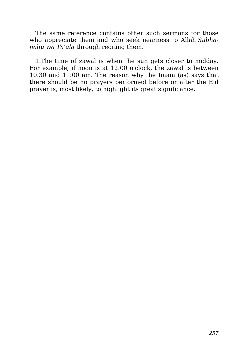The same reference contains other such sermons for those who appreciate them and who seek nearness to Allah *Subhanahu wa Ta'ala* through reciting them.

1.The time of zawal is when the sun gets closer to midday. For example, if noon is at 12:00 o'clock, the zawal is between 10:30 and 11:00 am. The reason why the Imam (as) says that there should be no prayers performed before or after the Eid prayer is, most likely, to highlight its great significance.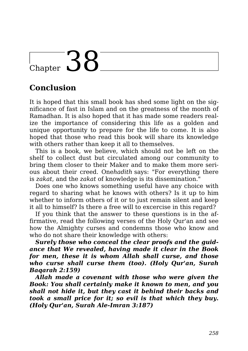## $\sum_{\text{Chapter}}$  38

### **Conclusion**

It is hoped that this small book has shed some light on the significance of fast in Islam and on the greatness of the month of Ramadhan. It is also hoped that it has made some readers realize the importance of considering this life as a golden and unique opportunity to prepare for the life to come. It is also hoped that those who read this book will share its knowledge with others rather than keep it all to themselves.

This is a book, we believe, which should not be left on the shelf to collect dust but circulated among our community to bring them closer to their Maker and to make them more serious about their creed. One*hadith* says: "For everything there is *zakat*, and the *zakat* of knowledge is its dissemination."

Does one who knows something useful have any choice with regard to sharing what he knows with others? Is it up to him whether to inform others of it or to just remain silent and keep it all to himself? Is there a free will to excercise in this regard?

If you think that the answer to these questions is in the affirmative, read the following verses of the Holy Qur'an and see how the Almighty curses and condemns those who know and who do not share their knowledge with others:

*Surely those who conceal the clear proofs and the guidance that We revealed, having made it clear in the Book for men, these it is whom Allah shall curse, and those who curse shall curse them (too). (Holy Qur'an, Surah Baqarah 2:159)*

*Allah made a covenant with those who were given the Book: You shall certainly make it known to men, and you shall not hide it, but they cast it behind their backs and took a small price for it; so evil is that which they buy. (Holy Qur'an, Surah Ale-Imran 3:187)*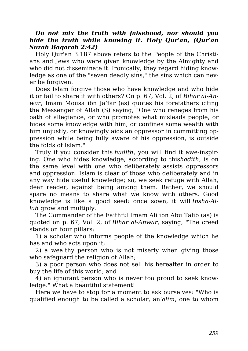#### *Do not mix the truth with falsehood, nor should you hide the truth while knowing it. Holy Qur'an, (Qur'an Surah Baqarah 2:42)*

Holy Qur'an 3:187 above refers to the People of the Christians and Jews who were given knowledge by the Almighty and who did not disseminate it. Ironically, they regard hiding knowledge as one of the "seven deadly sins," the sins which can never be forgiven.

Does Islam forgive those who have knowledge and who hide it or fail to share it with others? On p. 67, Vol. 2, of *Bihar al-Anwar*, Imam Mousa ibn Ja'far (as) quotes his forefathers citing the Messenger of Allah (S) saying, "One who reneges from his oath of allegiance, or who promotes what misleads people, or hides some knowledge with him, or confines some wealth with him unjustly, or knowingly aids an oppressor in committing oppression while being fully aware of his oppression, is outside the folds of Islam."

Truly if you consider this *hadith*, you will find it awe-inspiring. One who hides knowledge, according to this*hadith*, is on the same level with one who deliberately assists oppressors and oppression. Islam is clear of those who deliberately and in any way hide useful knowledge; so, we seek refuge with Allah, dear reader, against being among them. Rather, we should spare no means to share what we know with others. Good knowledge is like a good seed: once sown, it will *Insha-Allah* grow and multiply.

The Commander of the Faithful Imam Ali ibn Abu Talib (as) is quoted on p. 67, Vol. 2, of *Bihar al-Anwar*, saying, "The creed stands on four pillars:

1) a scholar who informs people of the knowledge which he has and who acts upon it;

2) a wealthy person who is not miserly when giving those who safeguard the religion of Allah;

3) a poor person who does not sell his hereafter in order to buy the life of this world; and

4) an ignorant person who is never too proud to seek knowledge." What a beautiful statement!

Here we have to stop for a moment to ask ourselves: "Who is qualified enough to be called a scholar, an*'alim*, one to whom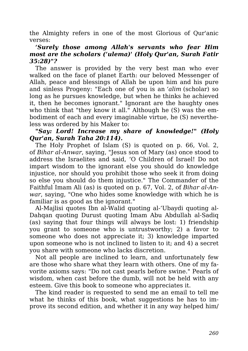the Almighty refers in one of the most Glorious of Qur'anic verses:

#### *'Surely those among Allah's servants who fear Him most are the scholars ('ulema)' (Holy Qur'an, Surah Fatir 35:28)"?*

The answer is provided by the very best man who ever walked on the face of planet Earth: our beloved Messenger of Allah, peace and blessings of Allah be upon him and his pure and sinless Progeny: "Each one of you is an *'alim* (scholar) so long as he pursues knowledge, but when he thinks he achieved it, then he becomes ignorant." Ignorant are the haughty ones who think that "they know it all." Although he (S) was the embodiment of each and every imaginable virtue, he (S) nevertheless was ordered by his Maker to:

#### *"Say: Lord! Increase my share of knowledge!" (Holy Qur'an, Surah Taha 20:114).*

The Holy Prophet of Islam (S) is quoted on p. 66, Vol. 2, of *Bihar al-Anwar*, saying, "Jesus son of Mary (as) once stood to address the Israelites and said, 'O Children of Israel! Do not impart wisdom to the ignorant else you should do knowledge injustice, nor should you prohibit those who seek it from doing so else you should do them injustice." The Commander of the Faithful Imam Ali (as) is quoted on p. 67, Vol. 2, of *Bihar al-Anwar*, saying, "One who hides some knowledge with which he is familiar is as good as the ignorant."

Al-Majlisi quotes Ibn al-Walid quoting al-'Ubaydi quoting al-Dahqan quoting Durust quoting Imam Abu Abdullah al-Sadiq (as) saying that four things will always be lost: 1) friendship you grant to someone who is untrustworthy; 2) a favor to someone who does not appreciate it; 3) knowledge imparted upon someone who is not inclined to listen to it; and 4) a secret you share with someone who lacks discretion.

Not all people are inclined to learn, and unfortunately few are those who share what they learn with others. One of my favorite axioms says: "Do not cast pearls before swine." Pearls of wisdom, when cast before the dumb, will not be held with any esteem. Give this book to someone who appreciates it.

The kind reader is requested to send me an email to tell me what he thinks of this book, what suggestions he has to improve its second edition, and whether it in any way helped him/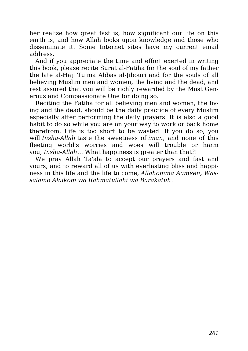her realize how great fast is, how significant our life on this earth is, and how Allah looks upon knowledge and those who disseminate it. Some Internet sites have my current email address.

And if you appreciate the time and effort exerted in writing this book, please recite Surat al-Fatiha for the soul of my father the late al-Hajj Tu'ma Abbas al-Jibouri and for the souls of all believing Muslim men and women, the living and the dead, and rest assured that you will be richly rewarded by the Most Generous and Compassionate One for doing so.

Reciting the Fatiha for all believing men and women, the living and the dead, should be the daily practice of every Muslim especially after performing the daily prayers. It is also a good habit to do so while you are on your way to work or back home therefrom. Life is too short to be wasted. If you do so, you will *Insha-Allah* taste the sweetness of *iman*, and none of this fleeting world's worries and woes will trouble or harm you, *Insha-Allah*… What happiness is greater than that?!

We pray Allah Ta'ala to accept our prayers and fast and yours, and to reward all of us with everlasting bliss and happiness in this life and the life to come, *Allahomma Aameen, Wassalamo Alaikom wa Rahmatullahi wa Barakatuh*.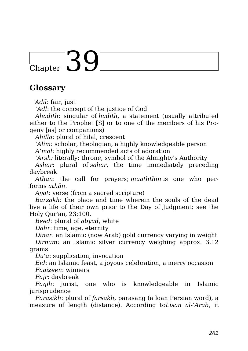## $\frac{1}{\text{Chapter 30}}$

### **Glossary**

*'Adil*: fair, just

*'Adl*: the concept of the justice of God

*Ahadith*: singular of *hadith*, a statement (usually attributed either to the Prophet [S] or to one of the members of his Progeny [as] or companions)

*Ahilla*: plural of hilal, crescent

*'Alim*: scholar, theologian, a highly knowledgeable person

*A'mal*: highly recommended acts of adoration

*'Arsh:* literally: throne, symbol of the Almighty's Authority

*Ashar*: plural of *sahar*, the time immediately preceding daybreak

*Athan*: the call for prayers; *muaththin* is one who performs *athān*.

*Ayat*: verse (from a sacred scripture)

*Barzakh*: the place and time wherein the souls of the dead live a life of their own prior to the Day of Judgment; see the Holy Qur'an, 23:100.

*Beed*: plural of *abyad*, white

*Dahr*: time, age, eternity

*Dinar*: an Islamic (now Arab) gold currency varying in weight *Dirham*: an Islamic silver currency weighing approx. 3.12 grams

*Du'a*: supplication, invocation

*Eid*: an Islamic feast, a joyous celebration, a merry occasion

*Faaizeen*: winners

*Fajr*: daybreak

*Faqih*: jurist, one who is knowledgeable in Islamic jurisprudence

*Farasikh*: plural of *farsakh*, parasang (a loan Persian word), a measure of length (distance). According to*Lisan al-'Arab*, it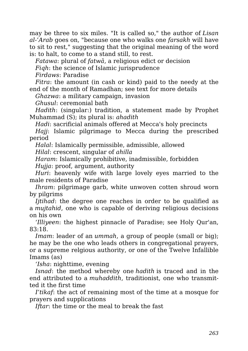may be three to six miles. "It is called so," the author of *Lisan al-'Arab* goes on, "because one who walks one *farsakh* will have to sit to rest," suggesting that the original meaning of the word is: to halt, to come to a stand still, to rest.

*Fatawa*: plural of *fatwā*, a religious edict or decision

*Fiqh*: the science of Islamic jurisprudence

*Firdaws*: Paradise

*Fitra*: the amount (in cash or kind) paid to the needy at the end of the month of Ramadhan; see text for more details

*Ghazwa*: a military campaign, invasion

*Ghusul*: ceremonial bath

*Hadith*: (singular:) tradition, a statement made by Prophet Muhammad (S); its plural is: *ahadith*

*Hadi*: sacrificial animals offered at Mecca's holy precincts

*Hajj*: Islamic pilgrimage to Mecca during the prescribed period

*Halal*: Islamically permissible, admissible, allowed *Hilal*: crescent, singular of *ahilla*

*Haram*: Islamically prohibitive, inadmissible, forbidden *Hujja*: proof, argument, authority

*Huri*: heavenly wife with large lovely eyes married to the male residents of Paradise

*Ihram*: pilgrimage garb, white unwoven cotten shroud worn by pilgrims

*Ijtihad*: the degree one reaches in order to be qualified as a *mujtahid*, one who is capable of deriving religious decisions on his own

*'Illiyeen*: the highest pinnacle of Paradise; see Holy Qur'an, 83:18.

*Imam*: leader of an *ummah*, a group of people (small or big); he may be the one who leads others in congregational prayers, or a supreme relgious authority, or one of the Twelve Infallible Imams (as)

*'Isha*: nighttime, evening

*Isnad*: the method whereby one *hadith* is traced and in the end attributed to a *muhaddith*, traditionist, one who transmitted it the first time

*I'tikaf*: the act of remaining most of the time at a mosque for prayers and supplications

*Iftar*: the time or the meal to break the fast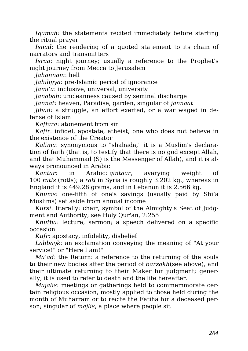*Iqamah*: the statements recited immediately before starting the ritual prayer

*Isnad*: the rendering of a quoted statement to its chain of narrators and transmitters

*Israa*: night journey; usually a reference to the Prophet's night journey from Mecca to Jerusalem

*Jahannam*: hell

*Jahiliyya*: pre-Islamic period of ignorance

*Jami'a*: inclusive, universal, university

*Janabah*: uncleanness caused by seminal discharge

*Jannat*: heaven, Paradise, garden, singular of *jannaat*

*Jihad*: a struggle, an effort exerted, or a war waged in defense of Islam

*Kaffara*: atonement from sin

*Kafir*: infidel, apostate, atheist, one who does not believe in the existence of the Creator

*Kalima*: synonymous to "shahada," it is a Muslim's declaration of faith (that is, to testify that there is no god except Allah, and that Muhammad (S) is the Messenger of Allah), and it is always pronounced in Arabic

*Kantar*: in Arabic: *qintaar*, avarying weight of 100 *ratls* (rotls); a *ratl* in Syria is roughly 3.202 kg., whereas in England it is 449.28 grams, and in Lebanon it is 2.566 kg.

*Khums*: one-fifth of one's savings (usually paid by Shi'a Muslims) set aside from annual income

*Kursi*: literally: chair, symbol of the Almighty's Seat of Judgment and Authority; see Holy Qur'an, 2:255

*Khutba*: lecture, sermon; a speech delivered on a specific occasion

*Kufr*: apostacy, infidelity, disbelief

*Labbayk:* an exclamation conveying the meaning of "At your service!" or "Here I am!"

*Ma'ad*: the Return: a reference to the returning of the souls to their new bodies after the period of *barzakh*(see above), and their ultimate returning to their Maker for judgment; generally, it is used to refer to death and the life hereafter.

*Majalis*: meetings or gatherings held to commemmorate certain religious occasion, mostly applied to those held during the month of Muharram or to recite the Fatiha for a deceased person; singular of *majlis*, a place where people sit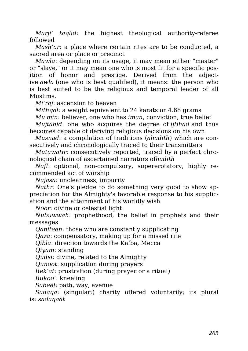*Marji' taqlid*: the highest theological authority-referee followed

*Mash'ar*: a place where certain rites are to be conducted, a sacred area or place or precinct

*Mawla*: depending on its usage, it may mean either "master" or "slave," or it may mean one who is most fit for a specific position of honor and prestige. Derived from the adjective *awla* (one who is best qualified), it means: the person who is best suited to be the religious and temporal leader of all Muslims.

*Mi'raj*: ascension to heaven

*Mithqal*: a weight equivalent to 24 karats or 4.68 grams

*Mu'min*: believer, one who has *iman*, conviction, true belief

*Mujtahid*: one who acquires the degree of *ijtihad* and thus becomes capable of deriving religious decisions on his own

*Musnad*: a compilation of traditions (*ahadith*) which are consecutively and chronologically traced to their transmitters

*Mutawatir*: consecutively reported, traced by a perfect chronological chain of ascertained narrators of*hadith*

*Nafl*: optional, non-compulsory, supererotatory, highly recommended act of worship

*Najasa*: uncleanness, impurity

*Nathr*: One's pledge to do something very good to show appreciation for the Almighty's favorable response to his supplication and the attainment of his worldly wish

*Noor*: divine or celestial light

*Nubuwwah*: prophethood, the belief in prophets and their messages

*Qaniteen*: those who are constantly supplicating

*Qaza*: compensatory, making up for a missed rite

*Qibla*: direction towards the Ka'ba, Mecca

*Qiyam*: standing

*Qudsi*: divine, related to the Almighty

*Qunoot*: supplication during prayers

*Rek'at*: prostration (during prayer or a ritual)

*Rukoo'*: kneeling

*Sabeel*: path, way, avenue

*Sadaqa*: (singular:) charity offered voluntarily; its plural is: *sadaqaāt*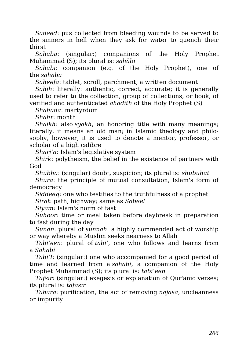*Sadeed*: pus collected from bleeding wounds to be served to the sinners in hell when they ask for water to quench their thirst

*Sahaba*: (singular:) companions of the Holy Prophet Muhammad (S); its plural is: *sahābi*

*Sahabi*: companion (e.g. of the Holy Prophet), one of the *sahaba*

*Saheefa*: tablet, scroll, parchment, a written document

*Sahih*: literally: authentic, correct, accurate; it is generally used to refer to the collection, group of collections, or book, of verified and authenticated *ahadith* of the Holy Prophet (S)

*Shahada*: martyrdom

*Shahr*: month

*Shaikh*: also *syakh*, an honoring title with many meanings; literally, it means an old man; in Islamic theology and philosophy, however, it is used to denote a mentor, professor, or scholar of a high calibre

*Shari'a*: Islam's legislative system

*Shirk*: polytheism, the belief in the existence of partners with God

*Shubha*: (singular) doubt, suspicion; its plural is: *shubuhat*

*Shura*: the principle of mutual consultation, Islam's form of democracy

*Siddeeq*: one who testifies to the truthfulness of a prophet

*Sirat*: path, highway; same as *Sabeel*

*Siyam*: Islam's norm of fast

*Suhoor*: time or meal taken before daybreak in preparation to fast during the day

*Sunan*: plural of *sunnah*: a highly commended act of worship or way whereby a Muslim seeks nearness to Allah

*Tabi'een*: plural of *tabi'*, one who follows and learns from a *Sahabi*

*Tabi'I*: (singular:) one who accompanied for a good period of time and learned from a *sahabi*, a companion of the Holy Prophet Muhammad (S); its plural is: *tabi'een*

*Tafsïr*: (singular:) exegesis or explanation of Qur'anic verses; its plural is: *tafasïr*

*Tahara*: purification, the act of removing *najasa*, uncleanness or impurity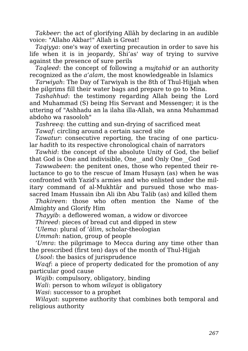*Takbeer*: the act of glorifying Allāh by declaring in an audible voice: "Allaho Akbar!" Allah is Great!

*Taqiyya*: one's way of exerting precaution in order to save his life when it is in jeopardy, Shi'as' way of trying to survive against the presence of sure perils

*Taqleed*: the concept of following a *mujtahid* or an authority recognized as the *a'alam*, the most knowledgeable in Islamics

*Tarwiyah*: The Day of Tarwiyah is the 8th of Thul-Hijjah when the pilgrims fill their water bags and prepare to go to Mina.

*Tashahhud*: the testimony regarding Allah being the Lord and Muhammad (S) being His Servant and Messenger; it is the uttering of "Ashhadu an la ilaha illa-Allah, wa anna Muhammad abdoho wa rasooloh"

*Tashreeq*: the cutting and sun-drying of sacrificed meat

*Tawaf*: circling around a certain sacred site

*Tawatur*: consecutive reporting, the tracing of one particular *hadith* to its respective chronological chain of narrators

*Tawhid*: the concept of the absolute Unity of God, the belief that God is One and indivisible, One\_\_and Only One\_\_God

*Tawwabeen*: the penitent ones, those who repented their reluctance to go to the rescue of Imam Husayn (as) when he was confronted with Yazid's armies and who enlisted under the military command of al-Mukhtār and pursued those who massacred Imam Hussain ibn Ali ibn Abu Talib (as) and killed them

*Thakireen*: those who often mention the Name of the Almighty and Glorify Him

*Thayyib*: a deflowered woman, a widow or divorcee

*Thireed*: pieces of bread cut and dipped in stew

*'Ulema*: plural of *'ālim*, scholar-theologian

*Ummah*: nation, group of people

*'Umra*: the pilgrimage to Mecca during any time other than the prescribed (first ten) days of the month of Thul-Hijjah

*Usool*: the basics of jurisprudence

*Waqf*: a piece of property dedicated for the promotion of any particular good cause

*Wajib*: compulsory, obligatory, binding

*Wali*: person to whom *wilayat* is obligatory

*Wasi*: successor to a prophet

*Wilayat*: supreme authority that combines both temporal and religious authority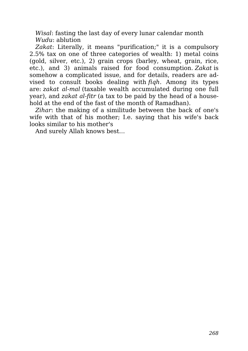*Wisal*: fasting the last day of every lunar calendar month *Wudu*: ablution

*Zakat*: Literally, it means "purification;" it is a compulsory 2.5% tax on one of three categories of wealth: 1) metal coins (gold, silver, etc.), 2) grain crops (barley, wheat, grain, rice, etc.), and 3) animals raised for food consumption. *Zakat* is somehow a complicated issue, and for details, readers are advised to consult books dealing with *fiqh*. Among its types are: *zakat al-mal* (taxable wealth accumulated during one full year), and *zakat al-fitr* (a tax to be paid by the head of a household at the end of the fast of the month of Ramadhan).

*Zihar*: the making of a similitude between the back of one's wife with that of his mother; I.e. saying that his wife's back looks similar to his mother's

And surely Allah knows best…